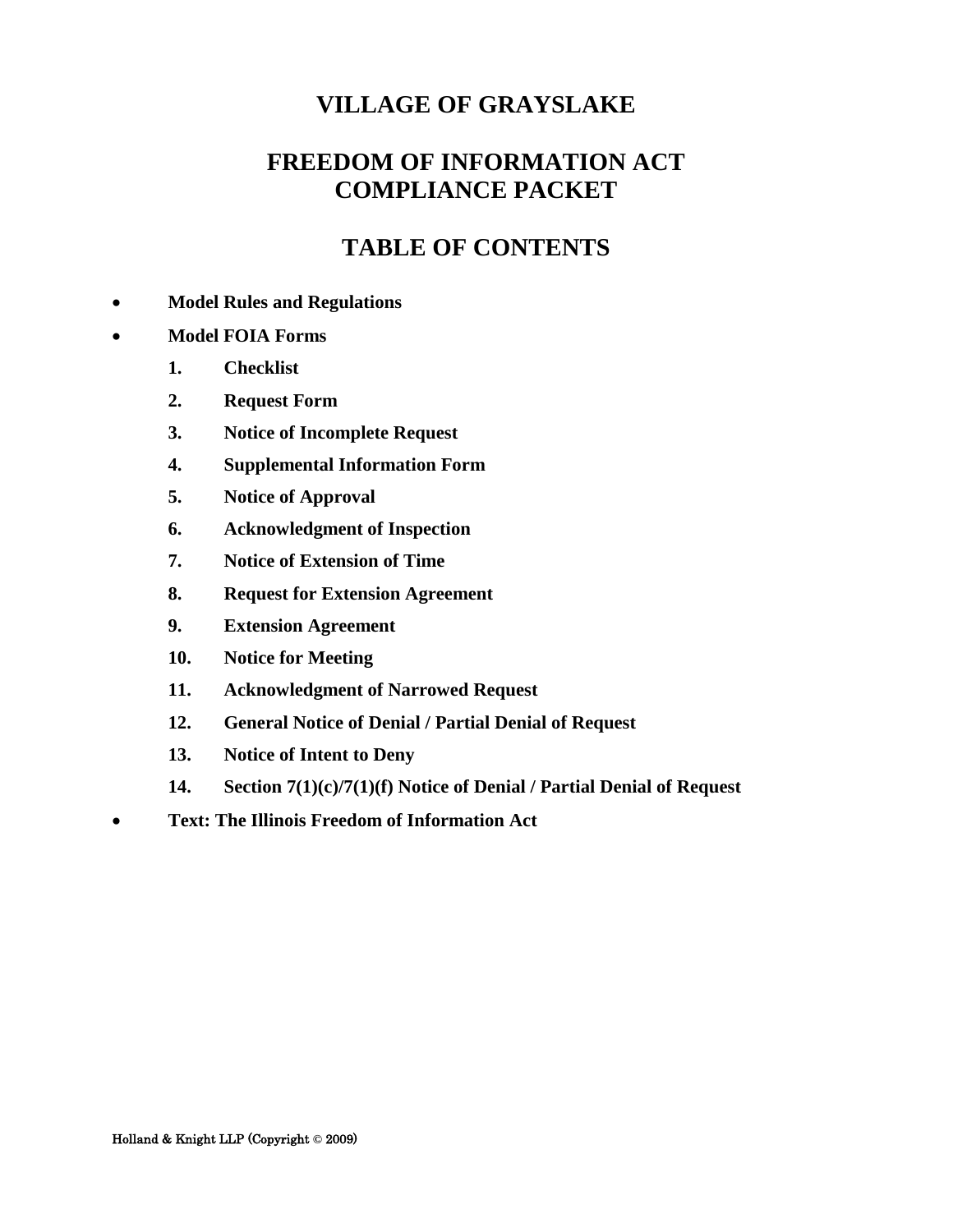# **FREEDOM OF INFORMATION ACT COMPLIANCE PACKET**

# **TABLE OF CONTENTS**

#### • **Model Rules and Regulations**

#### • **Model FOIA Forms**

- **1. Checklist**
- **2. Request Form**
- **3. Notice of Incomplete Request**
- **4. Supplemental Information Form**
- **5. Notice of Approval**
- **6. Acknowledgment of Inspection**
- **7. Notice of Extension of Time**
- **8. Request for Extension Agreement**
- **9. Extension Agreement**
- **10. Notice for Meeting**
- **11. Acknowledgment of Narrowed Request**
- **12. General Notice of Denial / Partial Denial of Request**
- **13. Notice of Intent to Deny**
- **14. Section 7(1)(c)/7(1)(f) Notice of Denial / Partial Denial of Request**
- **Text: The Illinois Freedom of Information Act**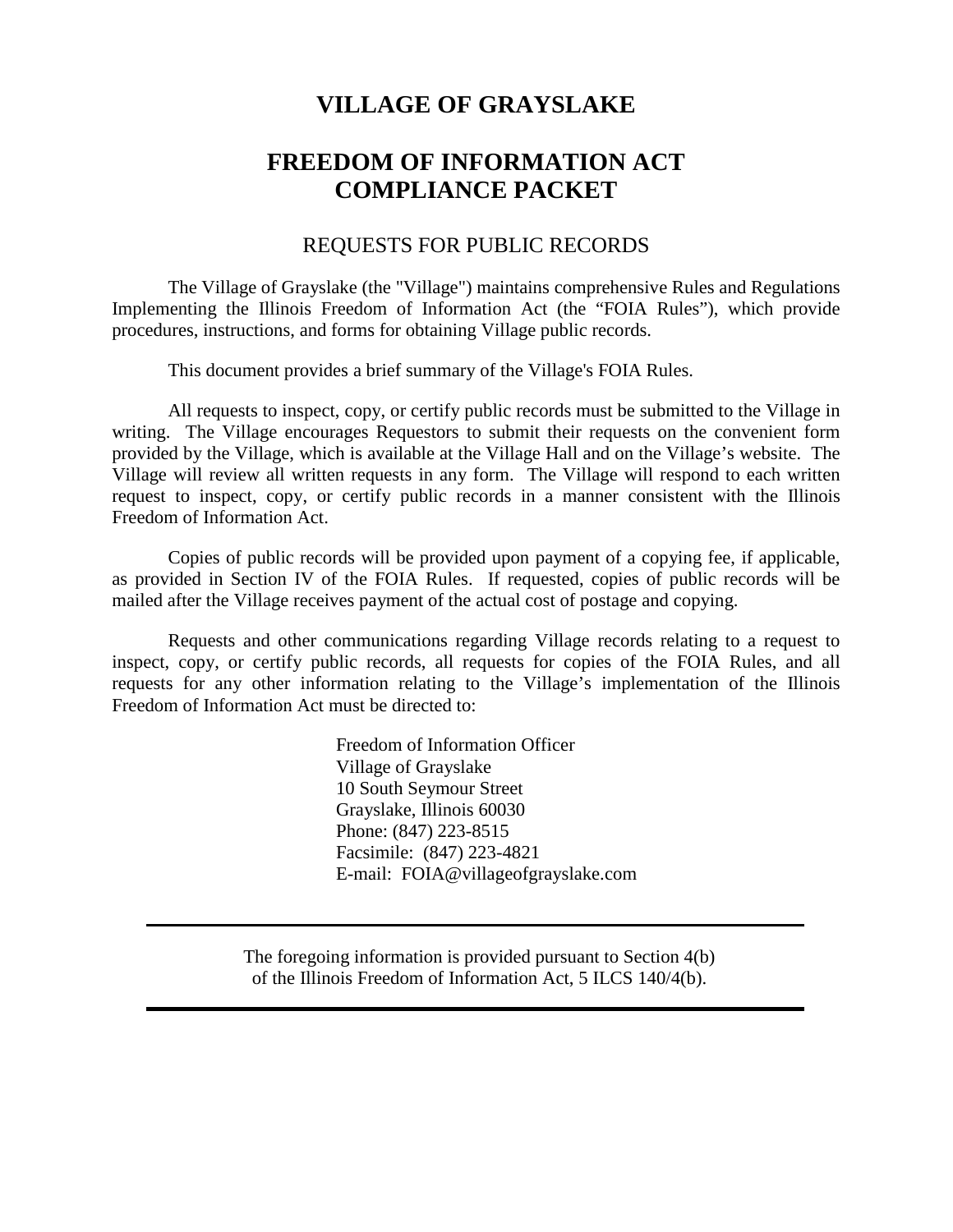# **FREEDOM OF INFORMATION ACT COMPLIANCE PACKET**

### REQUESTS FOR PUBLIC RECORDS

The Village of Grayslake (the "Village") maintains comprehensive Rules and Regulations Implementing the Illinois Freedom of Information Act (the "FOIA Rules"), which provide procedures, instructions, and forms for obtaining Village public records.

This document provides a brief summary of the Village's FOIA Rules.

All requests to inspect, copy, or certify public records must be submitted to the Village in writing. The Village encourages Requestors to submit their requests on the convenient form provided by the Village, which is available at the Village Hall and on the Village's website. The Village will review all written requests in any form. The Village will respond to each written request to inspect, copy, or certify public records in a manner consistent with the Illinois Freedom of Information Act.

Copies of public records will be provided upon payment of a copying fee, if applicable, as provided in Section IV of the FOIA Rules. If requested, copies of public records will be mailed after the Village receives payment of the actual cost of postage and copying.

Requests and other communications regarding Village records relating to a request to inspect, copy, or certify public records, all requests for copies of the FOIA Rules, and all requests for any other information relating to the Village's implementation of the Illinois Freedom of Information Act must be directed to:

> Freedom of Information Officer Village of Grayslake 10 South Seymour Street Grayslake, Illinois 60030 Phone: (847) 223-8515 Facsimile: (847) 223-4821 E-mail: FOIA@villageofgrayslake.com

The foregoing information is provided pursuant to Section 4(b) of the Illinois Freedom of Information Act, 5 ILCS 140/4(b).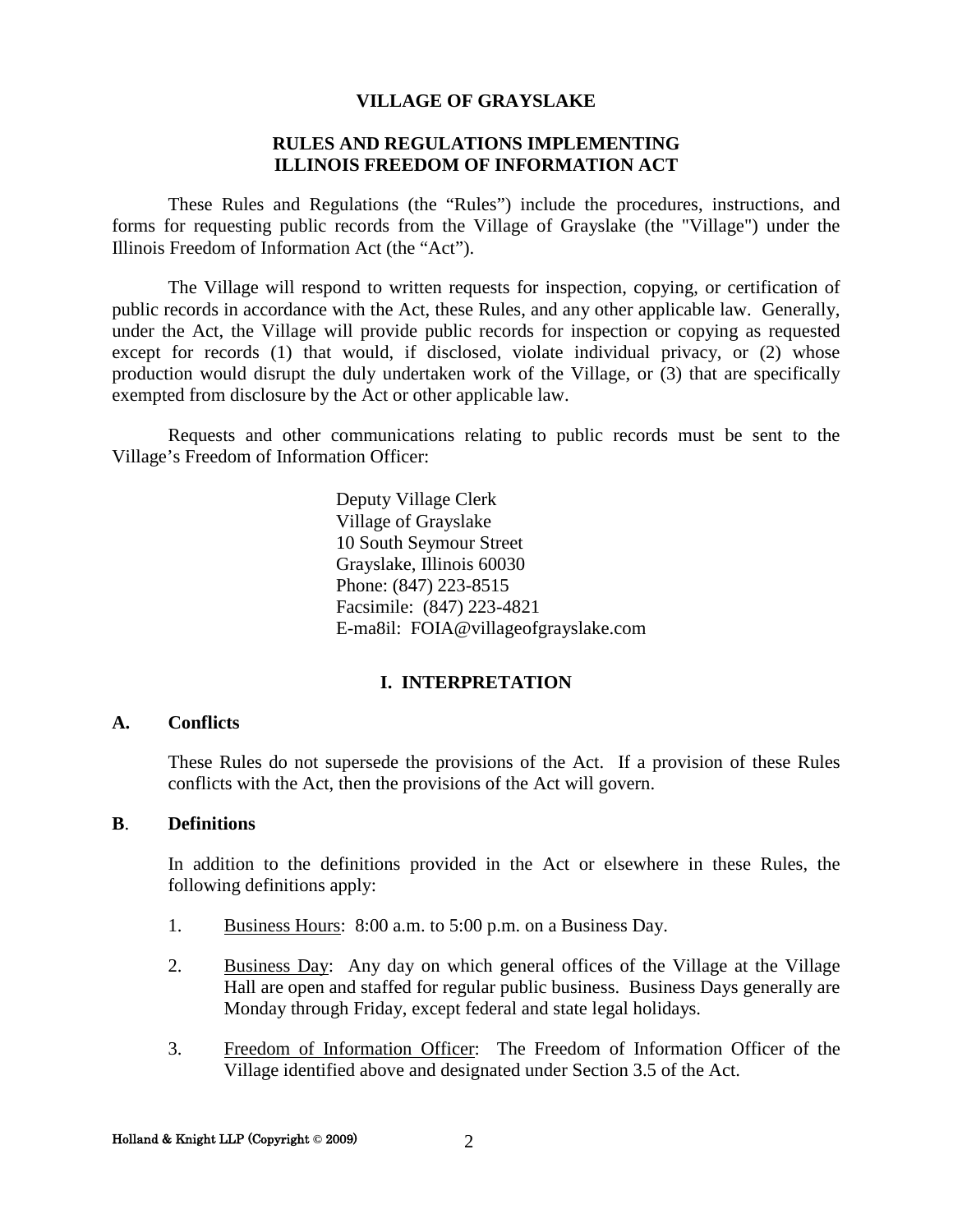#### **RULES AND REGULATIONS IMPLEMENTING ILLINOIS FREEDOM OF INFORMATION ACT**

These Rules and Regulations (the "Rules") include the procedures, instructions, and forms for requesting public records from the Village of Grayslake (the "Village") under the Illinois Freedom of Information Act (the "Act").

The Village will respond to written requests for inspection, copying, or certification of public records in accordance with the Act, these Rules, and any other applicable law. Generally, under the Act, the Village will provide public records for inspection or copying as requested except for records (1) that would, if disclosed, violate individual privacy, or (2) whose production would disrupt the duly undertaken work of the Village, or (3) that are specifically exempted from disclosure by the Act or other applicable law.

Requests and other communications relating to public records must be sent to the Village's Freedom of Information Officer:

> Deputy Village Clerk Village of Grayslake 10 South Seymour Street Grayslake, Illinois 60030 Phone: (847) 223-8515 Facsimile: (847) 223-4821 E-ma8il: FOIA@villageofgrayslake.com

#### **I. INTERPRETATION**

#### **A. Conflicts**

These Rules do not supersede the provisions of the Act. If a provision of these Rules conflicts with the Act, then the provisions of the Act will govern.

#### **B**. **Definitions**

In addition to the definitions provided in the Act or elsewhere in these Rules, the following definitions apply:

- 1. Business Hours: 8:00 a.m. to 5:00 p.m. on a Business Day.
- 2. Business Day: Any day on which general offices of the Village at the Village Hall are open and staffed for regular public business. Business Days generally are Monday through Friday, except federal and state legal holidays.
- 3. Freedom of Information Officer: The Freedom of Information Officer of the Village identified above and designated under Section 3.5 of the Act.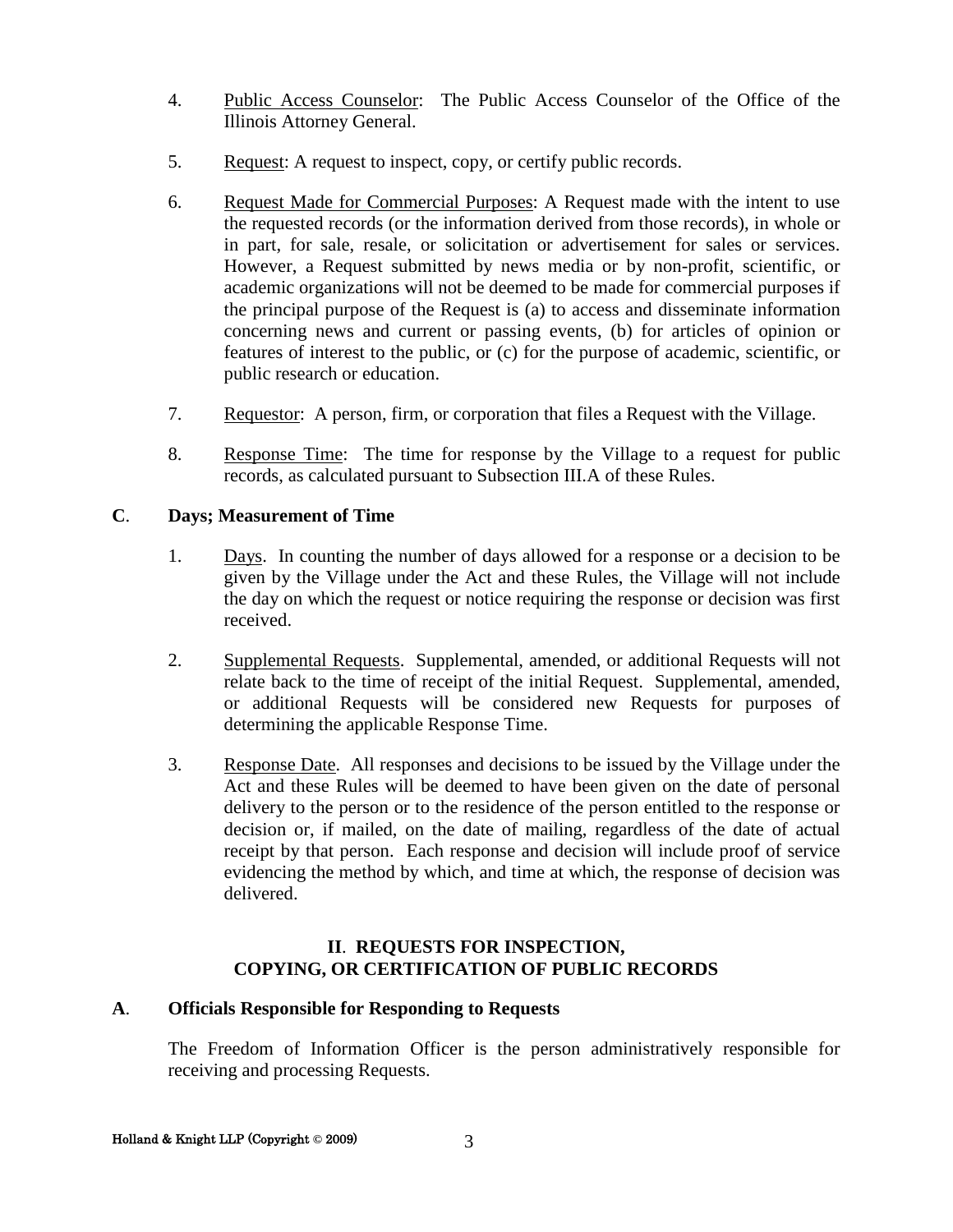- 4. Public Access Counselor: The Public Access Counselor of the Office of the Illinois Attorney General.
- 5. Request: A request to inspect, copy, or certify public records.
- 6. Request Made for Commercial Purposes: A Request made with the intent to use the requested records (or the information derived from those records), in whole or in part, for sale, resale, or solicitation or advertisement for sales or services. However, a Request submitted by news media or by non-profit, scientific, or academic organizations will not be deemed to be made for commercial purposes if the principal purpose of the Request is (a) to access and disseminate information concerning news and current or passing events, (b) for articles of opinion or features of interest to the public, or (c) for the purpose of academic, scientific, or public research or education.
- 7. Requestor: A person, firm, or corporation that files a Request with the Village.
- 8. Response Time: The time for response by the Village to a request for public records, as calculated pursuant to Subsection III.A of these Rules.

#### **C**. **Days; Measurement of Time**

- 1. Days. In counting the number of days allowed for a response or a decision to be given by the Village under the Act and these Rules, the Village will not include the day on which the request or notice requiring the response or decision was first received.
- 2. Supplemental Requests. Supplemental, amended, or additional Requests will not relate back to the time of receipt of the initial Request. Supplemental, amended, or additional Requests will be considered new Requests for purposes of determining the applicable Response Time.
- 3. Response Date. All responses and decisions to be issued by the Village under the Act and these Rules will be deemed to have been given on the date of personal delivery to the person or to the residence of the person entitled to the response or decision or, if mailed, on the date of mailing, regardless of the date of actual receipt by that person. Each response and decision will include proof of service evidencing the method by which, and time at which, the response of decision was delivered.

#### **II**. **REQUESTS FOR INSPECTION, COPYING, OR CERTIFICATION OF PUBLIC RECORDS**

#### **A**. **Officials Responsible for Responding to Requests**

The Freedom of Information Officer is the person administratively responsible for receiving and processing Requests.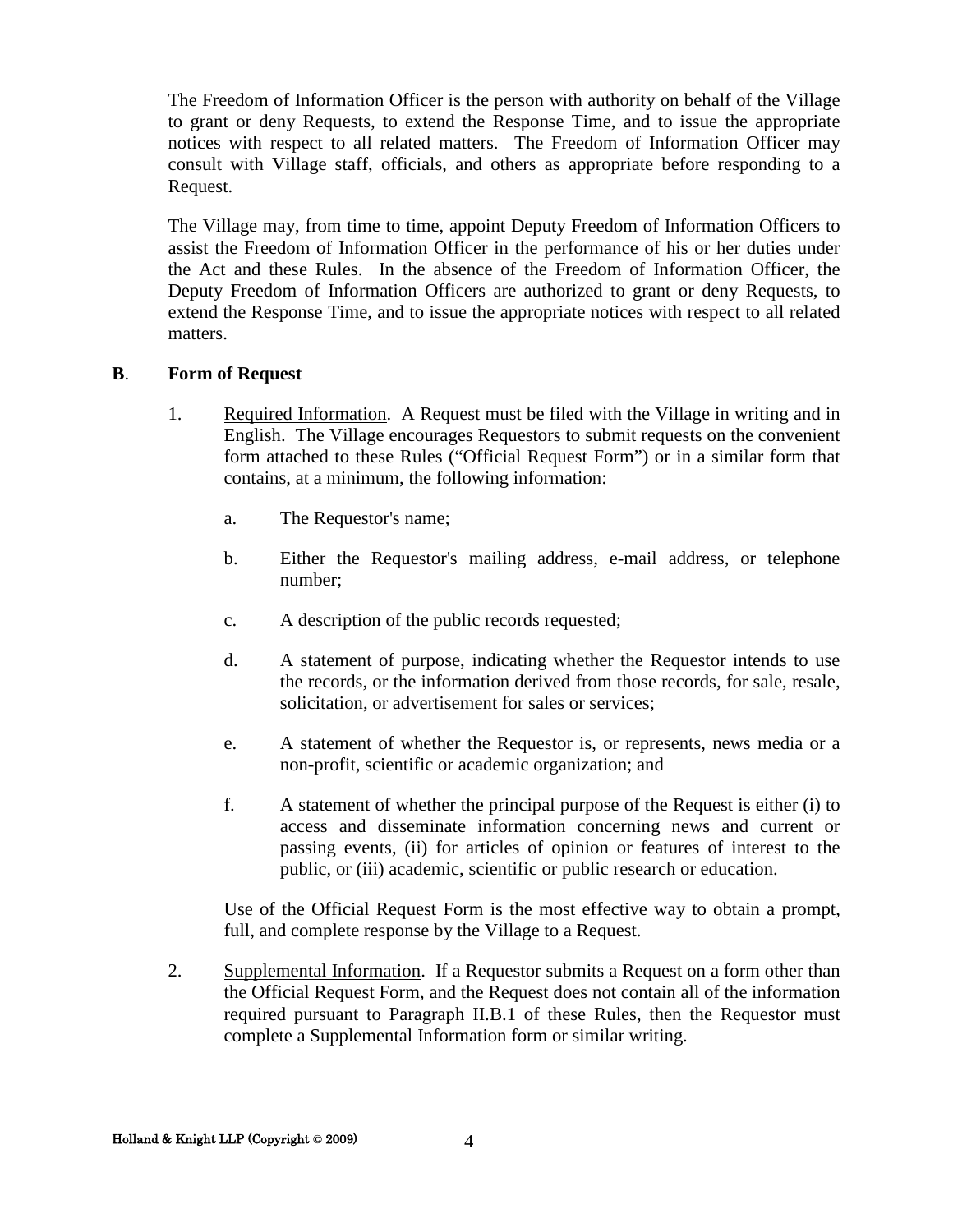The Freedom of Information Officer is the person with authority on behalf of the Village to grant or deny Requests, to extend the Response Time, and to issue the appropriate notices with respect to all related matters. The Freedom of Information Officer may consult with Village staff, officials, and others as appropriate before responding to a Request.

The Village may, from time to time, appoint Deputy Freedom of Information Officers to assist the Freedom of Information Officer in the performance of his or her duties under the Act and these Rules. In the absence of the Freedom of Information Officer, the Deputy Freedom of Information Officers are authorized to grant or deny Requests, to extend the Response Time, and to issue the appropriate notices with respect to all related matters.

#### **B**. **Form of Request**

- 1. Required Information. A Request must be filed with the Village in writing and in English. The Village encourages Requestors to submit requests on the convenient form attached to these Rules ("Official Request Form") or in a similar form that contains, at a minimum, the following information:
	- a. The Requestor's name;
	- b. Either the Requestor's mailing address, e-mail address, or telephone number;
	- c. A description of the public records requested;
	- d. A statement of purpose, indicating whether the Requestor intends to use the records, or the information derived from those records, for sale, resale, solicitation, or advertisement for sales or services;
	- e. A statement of whether the Requestor is, or represents, news media or a non-profit, scientific or academic organization; and
	- f. A statement of whether the principal purpose of the Request is either (i) to access and disseminate information concerning news and current or passing events, (ii) for articles of opinion or features of interest to the public, or (iii) academic, scientific or public research or education.

Use of the Official Request Form is the most effective way to obtain a prompt, full, and complete response by the Village to a Request.

2. Supplemental Information. If a Requestor submits a Request on a form other than the Official Request Form, and the Request does not contain all of the information required pursuant to Paragraph II.B.1 of these Rules, then the Requestor must complete a Supplemental Information form or similar writing.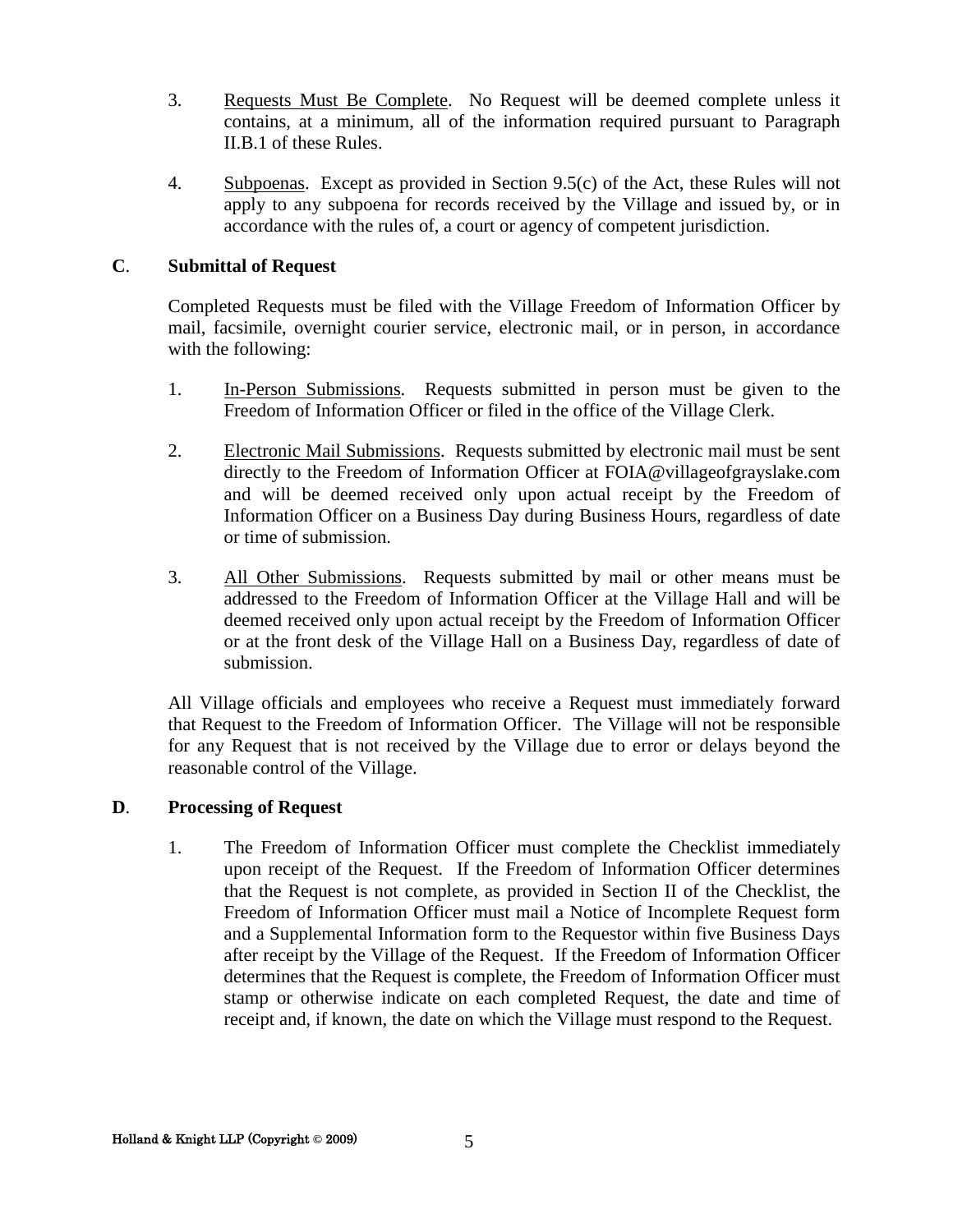- 3. Requests Must Be Complete. No Request will be deemed complete unless it contains, at a minimum, all of the information required pursuant to Paragraph II.B.1 of these Rules.
- 4. Subpoenas. Except as provided in Section 9.5(c) of the Act, these Rules will not apply to any subpoena for records received by the Village and issued by, or in accordance with the rules of, a court or agency of competent jurisdiction.

#### **C**. **Submittal of Request**

Completed Requests must be filed with the Village Freedom of Information Officer by mail, facsimile, overnight courier service, electronic mail, or in person, in accordance with the following:

- 1. In-Person Submissions. Requests submitted in person must be given to the Freedom of Information Officer or filed in the office of the Village Clerk.
- 2. Electronic Mail Submissions. Requests submitted by electronic mail must be sent directly to the Freedom of Information Officer at FOIA@villageofgrayslake.com and will be deemed received only upon actual receipt by the Freedom of Information Officer on a Business Day during Business Hours, regardless of date or time of submission.
- 3. All Other Submissions. Requests submitted by mail or other means must be addressed to the Freedom of Information Officer at the Village Hall and will be deemed received only upon actual receipt by the Freedom of Information Officer or at the front desk of the Village Hall on a Business Day, regardless of date of submission.

All Village officials and employees who receive a Request must immediately forward that Request to the Freedom of Information Officer. The Village will not be responsible for any Request that is not received by the Village due to error or delays beyond the reasonable control of the Village.

#### **D**. **Processing of Request**

1. The Freedom of Information Officer must complete the Checklist immediately upon receipt of the Request. If the Freedom of Information Officer determines that the Request is not complete, as provided in Section II of the Checklist, the Freedom of Information Officer must mail a Notice of Incomplete Request form and a Supplemental Information form to the Requestor within five Business Days after receipt by the Village of the Request. If the Freedom of Information Officer determines that the Request is complete, the Freedom of Information Officer must stamp or otherwise indicate on each completed Request, the date and time of receipt and, if known, the date on which the Village must respond to the Request.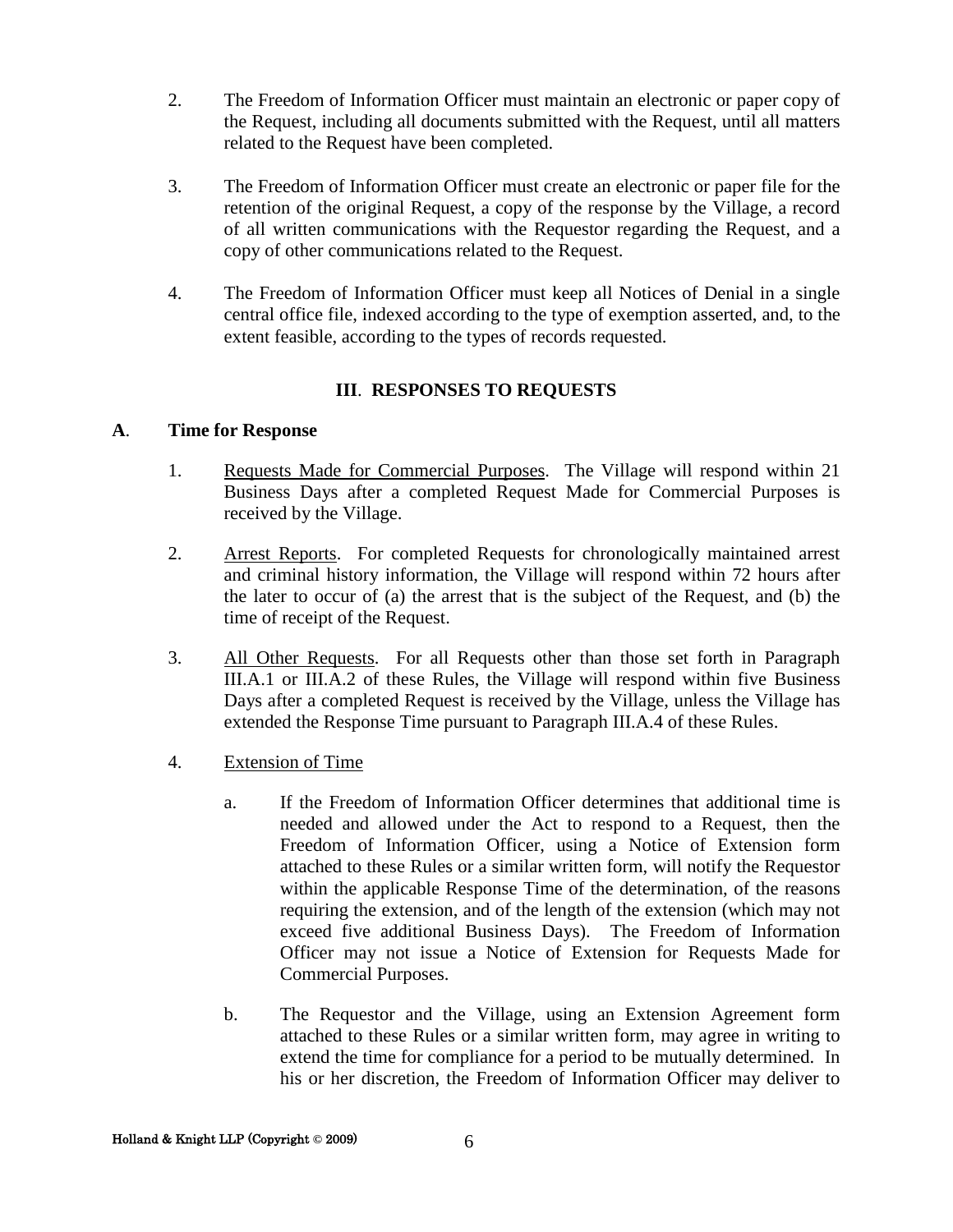- 2. The Freedom of Information Officer must maintain an electronic or paper copy of the Request, including all documents submitted with the Request, until all matters related to the Request have been completed.
- 3. The Freedom of Information Officer must create an electronic or paper file for the retention of the original Request, a copy of the response by the Village, a record of all written communications with the Requestor regarding the Request, and a copy of other communications related to the Request.
- 4. The Freedom of Information Officer must keep all Notices of Denial in a single central office file, indexed according to the type of exemption asserted, and, to the extent feasible, according to the types of records requested.

#### **III**. **RESPONSES TO REQUESTS**

#### **A**. **Time for Response**

- 1. Requests Made for Commercial Purposes. The Village will respond within 21 Business Days after a completed Request Made for Commercial Purposes is received by the Village.
- 2. Arrest Reports. For completed Requests for chronologically maintained arrest and criminal history information, the Village will respond within 72 hours after the later to occur of (a) the arrest that is the subject of the Request, and (b) the time of receipt of the Request.
- 3. All Other Requests. For all Requests other than those set forth in Paragraph III.A.1 or III.A.2 of these Rules, the Village will respond within five Business Days after a completed Request is received by the Village, unless the Village has extended the Response Time pursuant to Paragraph III.A.4 of these Rules.
- 4. Extension of Time
	- a. If the Freedom of Information Officer determines that additional time is needed and allowed under the Act to respond to a Request, then the Freedom of Information Officer, using a Notice of Extension form attached to these Rules or a similar written form, will notify the Requestor within the applicable Response Time of the determination, of the reasons requiring the extension, and of the length of the extension (which may not exceed five additional Business Days). The Freedom of Information Officer may not issue a Notice of Extension for Requests Made for Commercial Purposes.
	- b. The Requestor and the Village, using an Extension Agreement form attached to these Rules or a similar written form, may agree in writing to extend the time for compliance for a period to be mutually determined. In his or her discretion, the Freedom of Information Officer may deliver to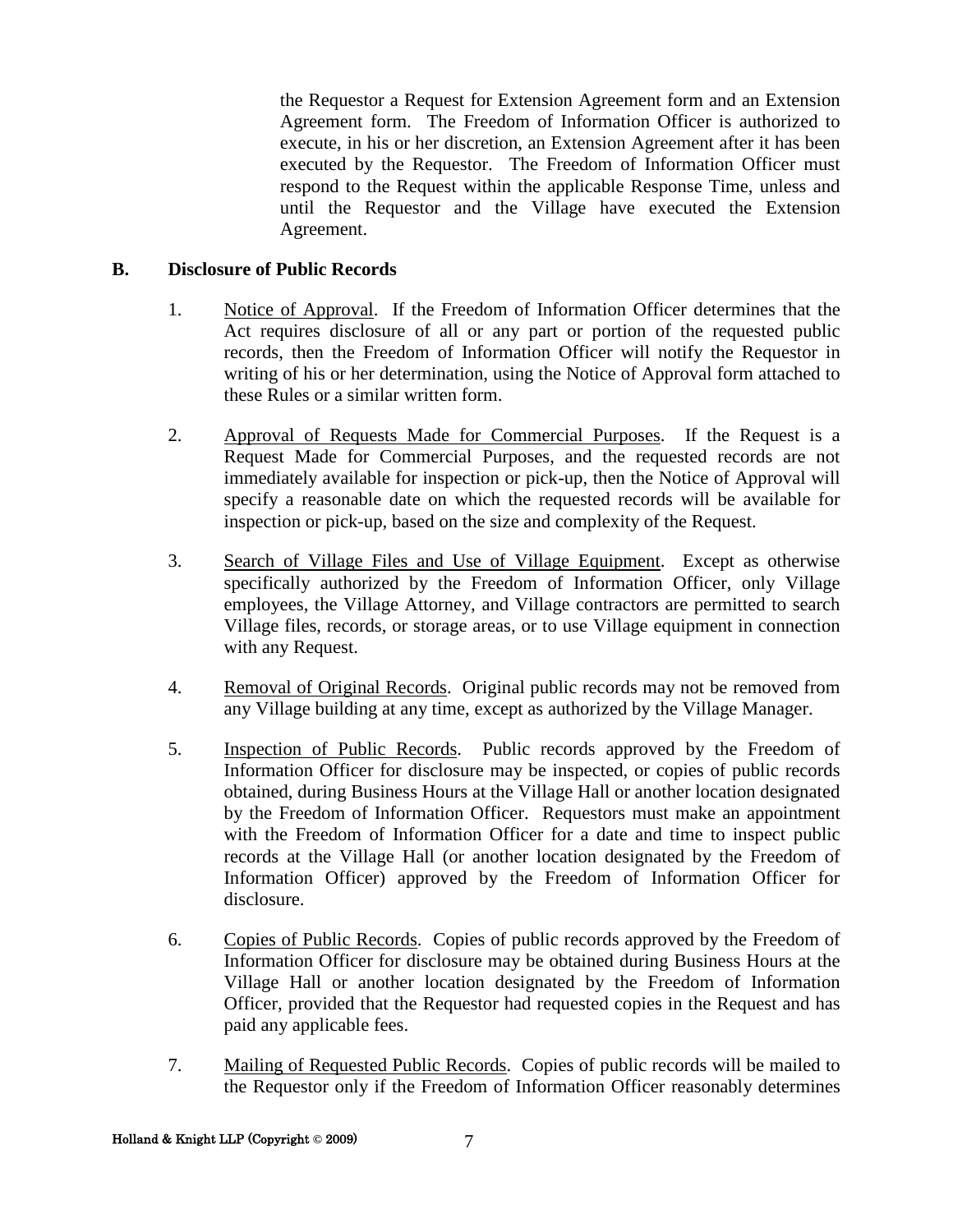the Requestor a Request for Extension Agreement form and an Extension Agreement form. The Freedom of Information Officer is authorized to execute, in his or her discretion, an Extension Agreement after it has been executed by the Requestor. The Freedom of Information Officer must respond to the Request within the applicable Response Time, unless and until the Requestor and the Village have executed the Extension Agreement.

#### **B. Disclosure of Public Records**

- 1. Notice of Approval. If the Freedom of Information Officer determines that the Act requires disclosure of all or any part or portion of the requested public records, then the Freedom of Information Officer will notify the Requestor in writing of his or her determination, using the Notice of Approval form attached to these Rules or a similar written form.
- 2. Approval of Requests Made for Commercial Purposes. If the Request is a Request Made for Commercial Purposes, and the requested records are not immediately available for inspection or pick-up, then the Notice of Approval will specify a reasonable date on which the requested records will be available for inspection or pick-up, based on the size and complexity of the Request.
- 3. Search of Village Files and Use of Village Equipment. Except as otherwise specifically authorized by the Freedom of Information Officer, only Village employees, the Village Attorney, and Village contractors are permitted to search Village files, records, or storage areas, or to use Village equipment in connection with any Request.
- 4. Removal of Original Records. Original public records may not be removed from any Village building at any time, except as authorized by the Village Manager.
- 5. Inspection of Public Records. Public records approved by the Freedom of Information Officer for disclosure may be inspected, or copies of public records obtained, during Business Hours at the Village Hall or another location designated by the Freedom of Information Officer. Requestors must make an appointment with the Freedom of Information Officer for a date and time to inspect public records at the Village Hall (or another location designated by the Freedom of Information Officer) approved by the Freedom of Information Officer for disclosure.
- 6. Copies of Public Records. Copies of public records approved by the Freedom of Information Officer for disclosure may be obtained during Business Hours at the Village Hall or another location designated by the Freedom of Information Officer, provided that the Requestor had requested copies in the Request and has paid any applicable fees.
- 7. Mailing of Requested Public Records. Copies of public records will be mailed to the Requestor only if the Freedom of Information Officer reasonably determines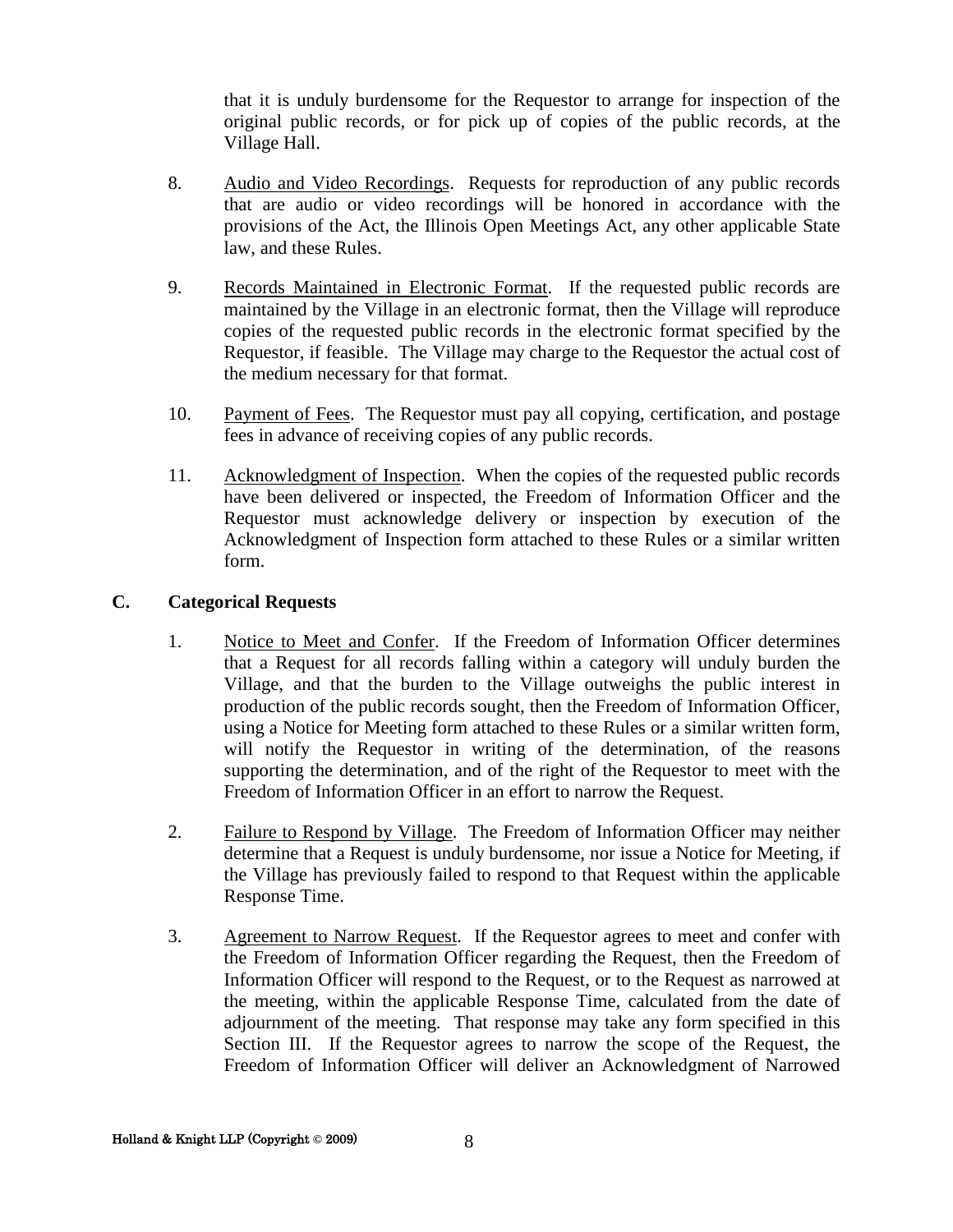that it is unduly burdensome for the Requestor to arrange for inspection of the original public records, or for pick up of copies of the public records, at the Village Hall.

- 8. Audio and Video Recordings. Requests for reproduction of any public records that are audio or video recordings will be honored in accordance with the provisions of the Act, the Illinois Open Meetings Act, any other applicable State law, and these Rules.
- 9. Records Maintained in Electronic Format. If the requested public records are maintained by the Village in an electronic format, then the Village will reproduce copies of the requested public records in the electronic format specified by the Requestor, if feasible. The Village may charge to the Requestor the actual cost of the medium necessary for that format.
- 10. Payment of Fees. The Requestor must pay all copying, certification, and postage fees in advance of receiving copies of any public records.
- 11. Acknowledgment of Inspection. When the copies of the requested public records have been delivered or inspected, the Freedom of Information Officer and the Requestor must acknowledge delivery or inspection by execution of the Acknowledgment of Inspection form attached to these Rules or a similar written form.

#### **C. Categorical Requests**

- 1. Notice to Meet and Confer. If the Freedom of Information Officer determines that a Request for all records falling within a category will unduly burden the Village, and that the burden to the Village outweighs the public interest in production of the public records sought, then the Freedom of Information Officer, using a Notice for Meeting form attached to these Rules or a similar written form, will notify the Requestor in writing of the determination, of the reasons supporting the determination, and of the right of the Requestor to meet with the Freedom of Information Officer in an effort to narrow the Request.
- 2. Failure to Respond by Village. The Freedom of Information Officer may neither determine that a Request is unduly burdensome, nor issue a Notice for Meeting, if the Village has previously failed to respond to that Request within the applicable Response Time.
- 3. Agreement to Narrow Request. If the Requestor agrees to meet and confer with the Freedom of Information Officer regarding the Request, then the Freedom of Information Officer will respond to the Request, or to the Request as narrowed at the meeting, within the applicable Response Time, calculated from the date of adjournment of the meeting. That response may take any form specified in this Section III. If the Requestor agrees to narrow the scope of the Request, the Freedom of Information Officer will deliver an Acknowledgment of Narrowed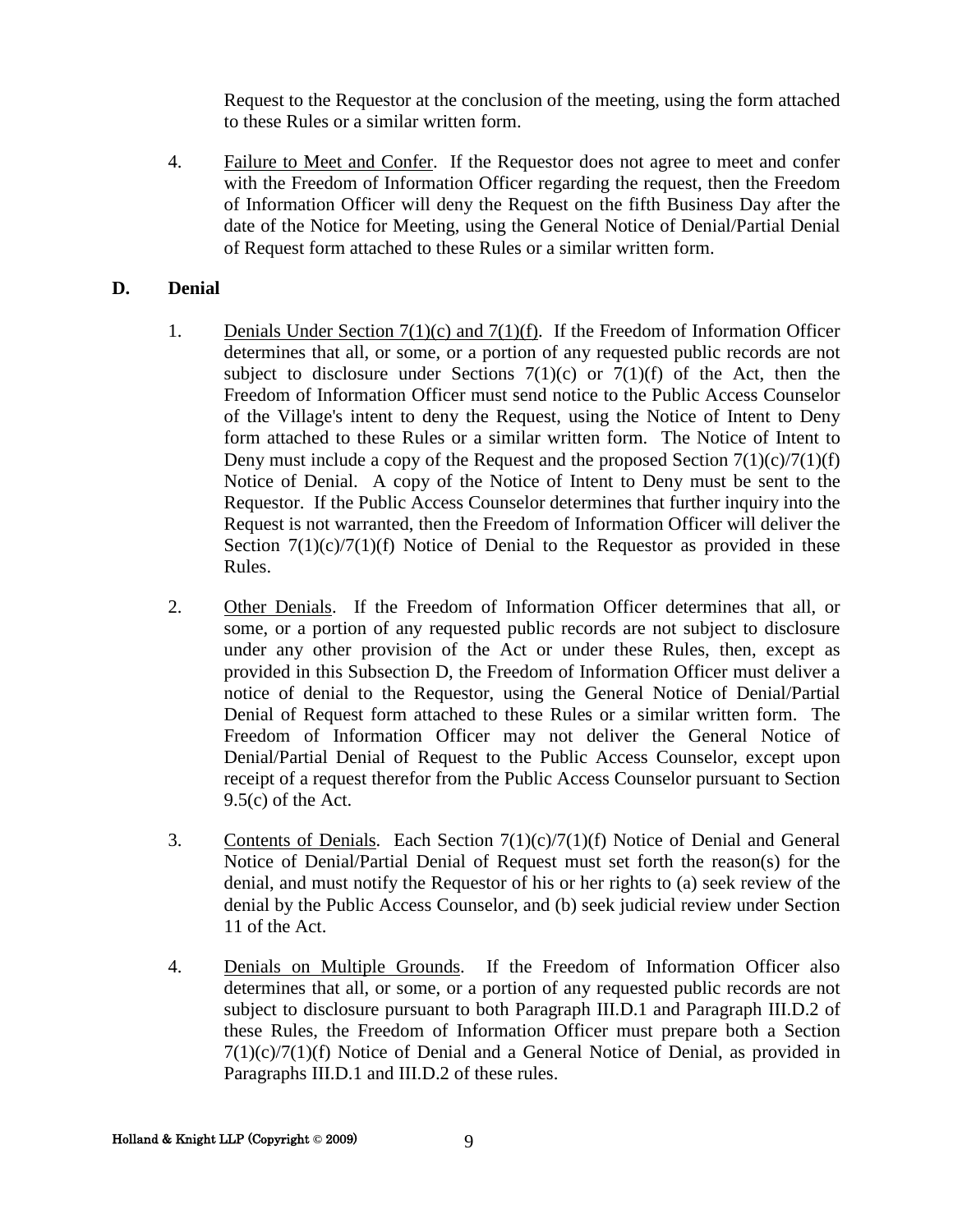Request to the Requestor at the conclusion of the meeting, using the form attached to these Rules or a similar written form.

4. Failure to Meet and Confer. If the Requestor does not agree to meet and confer with the Freedom of Information Officer regarding the request, then the Freedom of Information Officer will deny the Request on the fifth Business Day after the date of the Notice for Meeting, using the General Notice of Denial/Partial Denial of Request form attached to these Rules or a similar written form.

#### **D. Denial**

- 1. Denials Under Section 7(1)(c) and 7(1)(f). If the Freedom of Information Officer determines that all, or some, or a portion of any requested public records are not subject to disclosure under Sections  $7(1)(c)$  or  $7(1)(f)$  of the Act, then the Freedom of Information Officer must send notice to the Public Access Counselor of the Village's intent to deny the Request, using the Notice of Intent to Deny form attached to these Rules or a similar written form. The Notice of Intent to Deny must include a copy of the Request and the proposed Section  $7(1)(c)/7(1)(f)$ Notice of Denial. A copy of the Notice of Intent to Deny must be sent to the Requestor. If the Public Access Counselor determines that further inquiry into the Request is not warranted, then the Freedom of Information Officer will deliver the Section  $7(1)(c)/7(1)(f)$  Notice of Denial to the Requestor as provided in these Rules.
- 2. Other Denials. If the Freedom of Information Officer determines that all, or some, or a portion of any requested public records are not subject to disclosure under any other provision of the Act or under these Rules, then, except as provided in this Subsection D, the Freedom of Information Officer must deliver a notice of denial to the Requestor, using the General Notice of Denial/Partial Denial of Request form attached to these Rules or a similar written form. The Freedom of Information Officer may not deliver the General Notice of Denial/Partial Denial of Request to the Public Access Counselor, except upon receipt of a request therefor from the Public Access Counselor pursuant to Section  $9.5(c)$  of the Act.
- 3. Contents of Denials. Each Section  $7(1)(c)/7(1)(f)$  Notice of Denial and General Notice of Denial/Partial Denial of Request must set forth the reason(s) for the denial, and must notify the Requestor of his or her rights to (a) seek review of the denial by the Public Access Counselor, and (b) seek judicial review under Section 11 of the Act.
- 4. Denials on Multiple Grounds. If the Freedom of Information Officer also determines that all, or some, or a portion of any requested public records are not subject to disclosure pursuant to both Paragraph III.D.1 and Paragraph III.D.2 of these Rules, the Freedom of Information Officer must prepare both a Section 7(1)(c)/7(1)(f) Notice of Denial and a General Notice of Denial, as provided in Paragraphs III.D.1 and III.D.2 of these rules.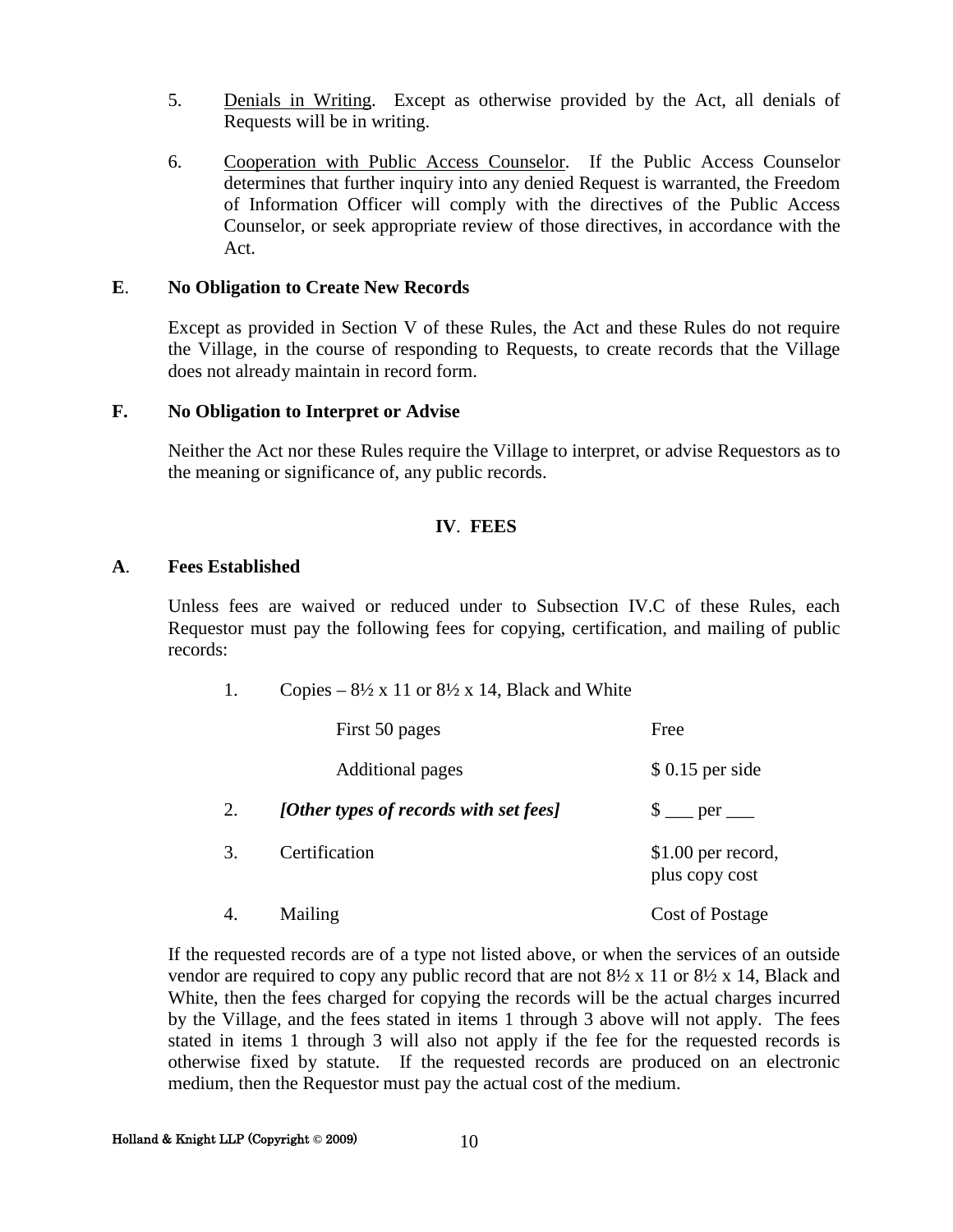- 5. Denials in Writing. Except as otherwise provided by the Act, all denials of Requests will be in writing.
- 6. Cooperation with Public Access Counselor. If the Public Access Counselor determines that further inquiry into any denied Request is warranted, the Freedom of Information Officer will comply with the directives of the Public Access Counselor, or seek appropriate review of those directives, in accordance with the Act.

#### **E**. **No Obligation to Create New Records**

Except as provided in Section V of these Rules, the Act and these Rules do not require the Village, in the course of responding to Requests, to create records that the Village does not already maintain in record form.

#### **F. No Obligation to Interpret or Advise**

Neither the Act nor these Rules require the Village to interpret, or advise Requestors as to the meaning or significance of, any public records.

#### **IV**. **FEES**

#### **A**. **Fees Established**

Unless fees are waived or reduced under to Subsection IV.C of these Rules, each Requestor must pay the following fees for copying, certification, and mailing of public records:

1. Copies –  $8\frac{1}{2} \times 11$  or  $8\frac{1}{2} \times 14$ , Black and White

|    | First 50 pages                         | Free                                  |
|----|----------------------------------------|---------------------------------------|
|    | <b>Additional pages</b>                | $$0.15$ per side                      |
| 2. | [Other types of records with set fees] | $\frac{1}{2}$ per _______             |
| 3. | Certification                          | $$1.00$ per record,<br>plus copy cost |
| 4. | Mailing                                | <b>Cost of Postage</b>                |

If the requested records are of a type not listed above, or when the services of an outside vendor are required to copy any public record that are not  $8\frac{1}{2} \times 11$  or  $8\frac{1}{2} \times 14$ , Black and White, then the fees charged for copying the records will be the actual charges incurred by the Village, and the fees stated in items 1 through 3 above will not apply. The fees stated in items 1 through 3 will also not apply if the fee for the requested records is otherwise fixed by statute. If the requested records are produced on an electronic medium, then the Requestor must pay the actual cost of the medium.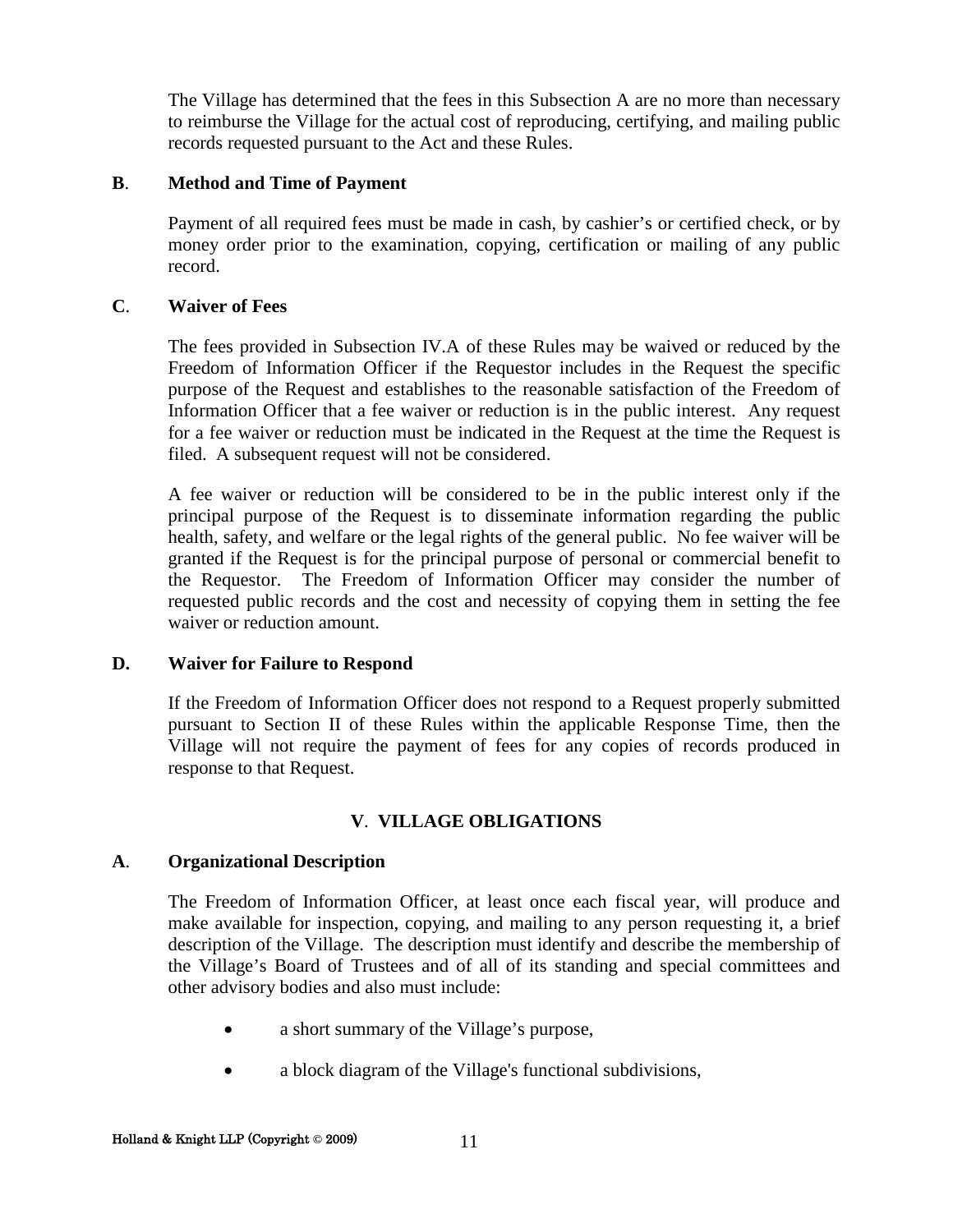The Village has determined that the fees in this Subsection A are no more than necessary to reimburse the Village for the actual cost of reproducing, certifying, and mailing public records requested pursuant to the Act and these Rules.

#### **B**. **Method and Time of Payment**

Payment of all required fees must be made in cash, by cashier's or certified check, or by money order prior to the examination, copying, certification or mailing of any public record.

#### **C**. **Waiver of Fees**

The fees provided in Subsection IV.A of these Rules may be waived or reduced by the Freedom of Information Officer if the Requestor includes in the Request the specific purpose of the Request and establishes to the reasonable satisfaction of the Freedom of Information Officer that a fee waiver or reduction is in the public interest. Any request for a fee waiver or reduction must be indicated in the Request at the time the Request is filed. A subsequent request will not be considered.

A fee waiver or reduction will be considered to be in the public interest only if the principal purpose of the Request is to disseminate information regarding the public health, safety, and welfare or the legal rights of the general public. No fee waiver will be granted if the Request is for the principal purpose of personal or commercial benefit to the Requestor. The Freedom of Information Officer may consider the number of requested public records and the cost and necessity of copying them in setting the fee waiver or reduction amount.

#### **D. Waiver for Failure to Respond**

If the Freedom of Information Officer does not respond to a Request properly submitted pursuant to Section II of these Rules within the applicable Response Time, then the Village will not require the payment of fees for any copies of records produced in response to that Request.

#### **V**. **VILLAGE OBLIGATIONS**

#### **A**. **Organizational Description**

The Freedom of Information Officer, at least once each fiscal year, will produce and make available for inspection, copying, and mailing to any person requesting it, a brief description of the Village. The description must identify and describe the membership of the Village's Board of Trustees and of all of its standing and special committees and other advisory bodies and also must include:

- a short summary of the Village's purpose,
- a block diagram of the Village's functional subdivisions,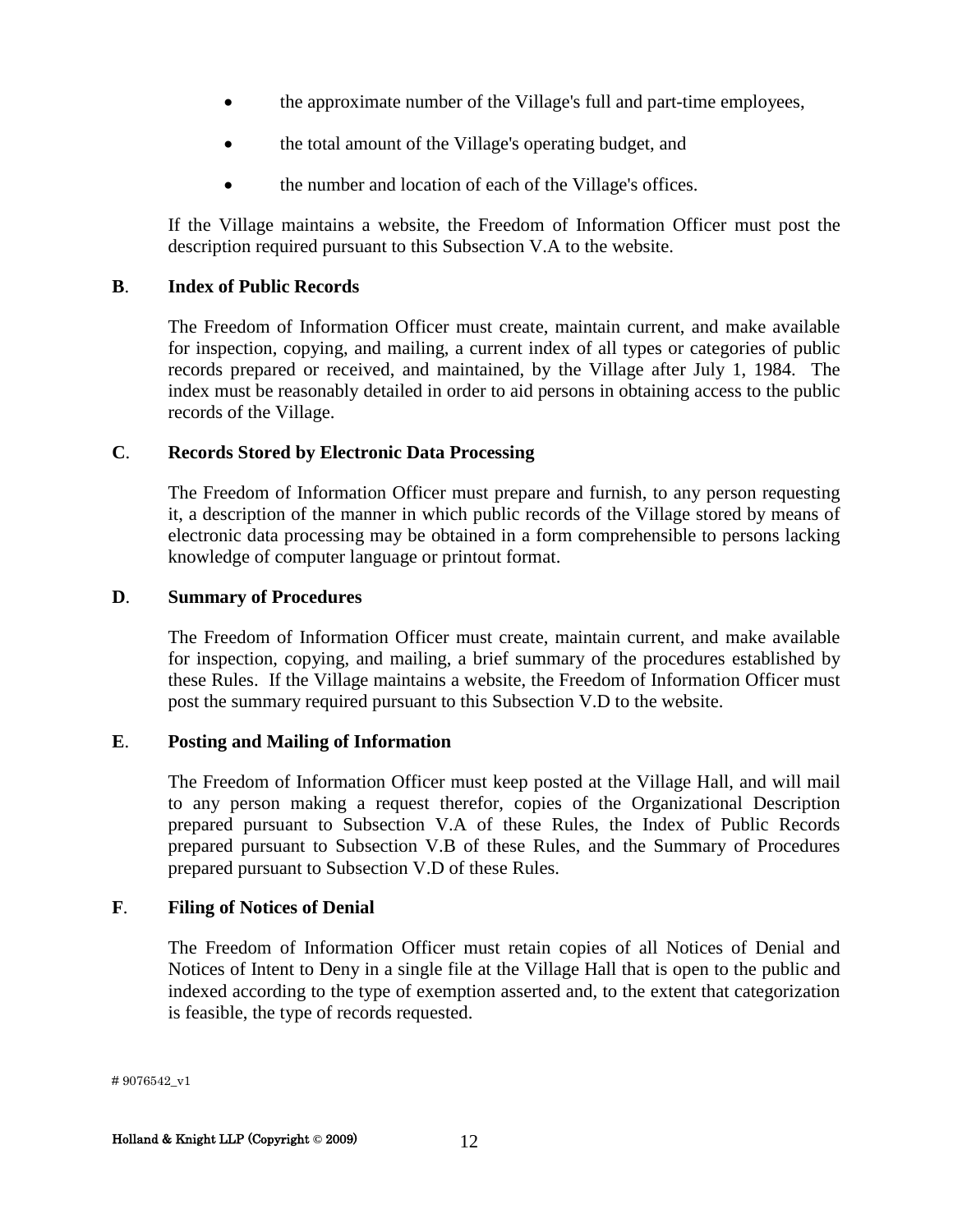- the approximate number of the Village's full and part-time employees,
- the total amount of the Village's operating budget, and
- the number and location of each of the Village's offices.

If the Village maintains a website, the Freedom of Information Officer must post the description required pursuant to this Subsection V.A to the website.

#### **B**. **Index of Public Records**

The Freedom of Information Officer must create, maintain current, and make available for inspection, copying, and mailing, a current index of all types or categories of public records prepared or received, and maintained, by the Village after July 1, 1984. The index must be reasonably detailed in order to aid persons in obtaining access to the public records of the Village.

#### **C**. **Records Stored by Electronic Data Processing**

The Freedom of Information Officer must prepare and furnish, to any person requesting it, a description of the manner in which public records of the Village stored by means of electronic data processing may be obtained in a form comprehensible to persons lacking knowledge of computer language or printout format.

#### **D**. **Summary of Procedures**

The Freedom of Information Officer must create, maintain current, and make available for inspection, copying, and mailing, a brief summary of the procedures established by these Rules. If the Village maintains a website, the Freedom of Information Officer must post the summary required pursuant to this Subsection V.D to the website.

#### **E**. **Posting and Mailing of Information**

The Freedom of Information Officer must keep posted at the Village Hall, and will mail to any person making a request therefor, copies of the Organizational Description prepared pursuant to Subsection V.A of these Rules, the Index of Public Records prepared pursuant to Subsection V.B of these Rules, and the Summary of Procedures prepared pursuant to Subsection V.D of these Rules.

#### **F**. **Filing of Notices of Denial**

The Freedom of Information Officer must retain copies of all Notices of Denial and Notices of Intent to Deny in a single file at the Village Hall that is open to the public and indexed according to the type of exemption asserted and, to the extent that categorization is feasible, the type of records requested.

# 9076542\_v1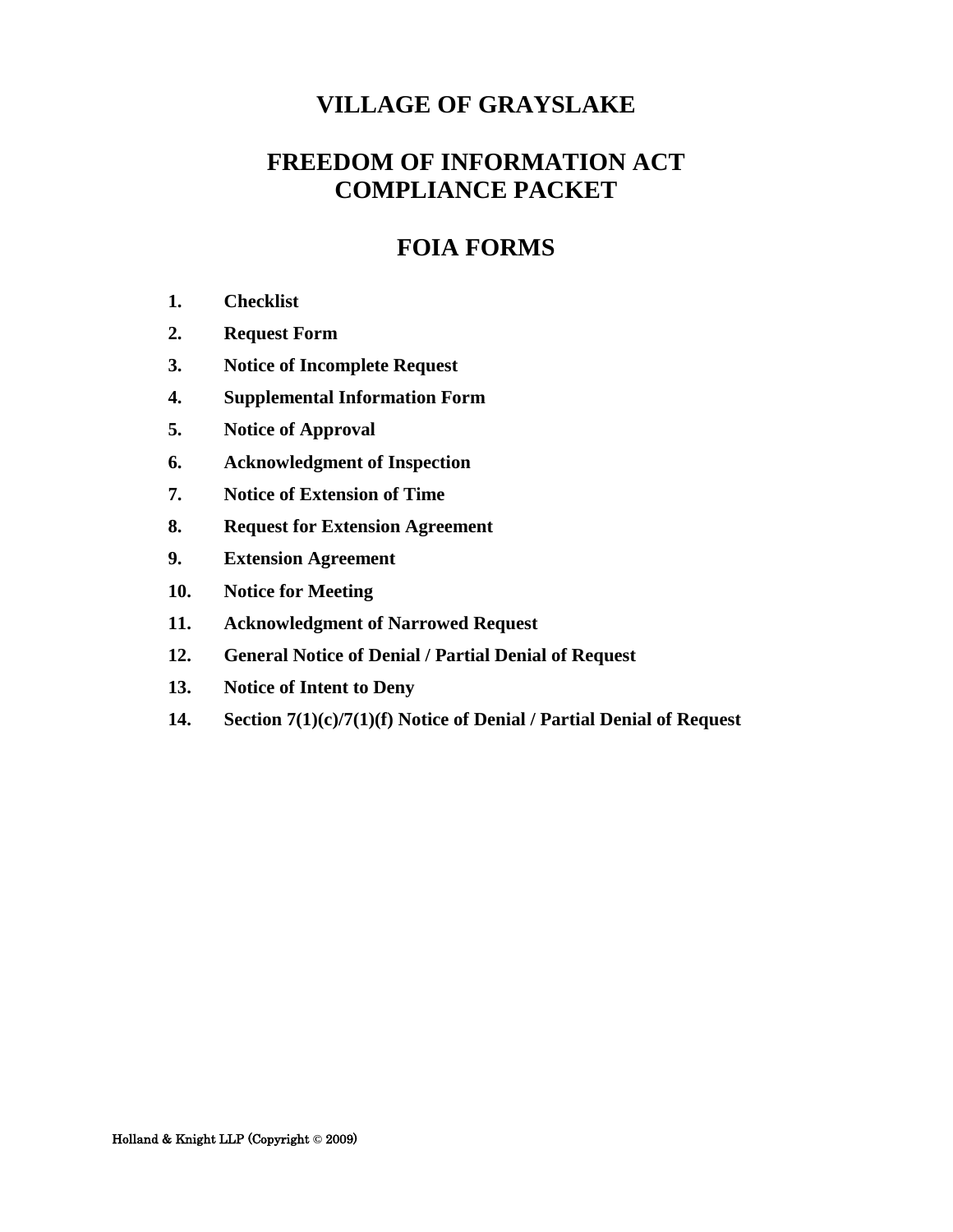# **FREEDOM OF INFORMATION ACT COMPLIANCE PACKET**

# **FOIA FORMS**

- **1. [Checklist](#page-14-0)**
- **2. [Request Form](#page-16-0)**
- **3. [Notice of Incomplete Request](#page-20-0)**
- **4. [Supplemental Information Form](#page-21-0)**
- **5. [Notice of Approval](#page-24-0)**
- **6. [Acknowledgment of Inspection](#page-28-0)**
- **7. [Notice of Extension of Time](#page-29-0)**
- **8. [Request for Extension Agreement](#page-32-0)**
- **9. [Extension Agreement](#page-33-0)**
- **10. [Notice for Meeting](#page-34-0)**
- **11. [Acknowledgment of Narrowed Request](#page-36-0)**
- **12. [General Notice of Denial / Partial Denial of Request](#page-37-0)**
- **13. [Notice of Intent to Deny](#page-44-0)**
- **14. [Section 7\(1\)\(c\)/7\(1\)\(f\) Notice of Denial / Partial Denial of Request](#page-46-0)**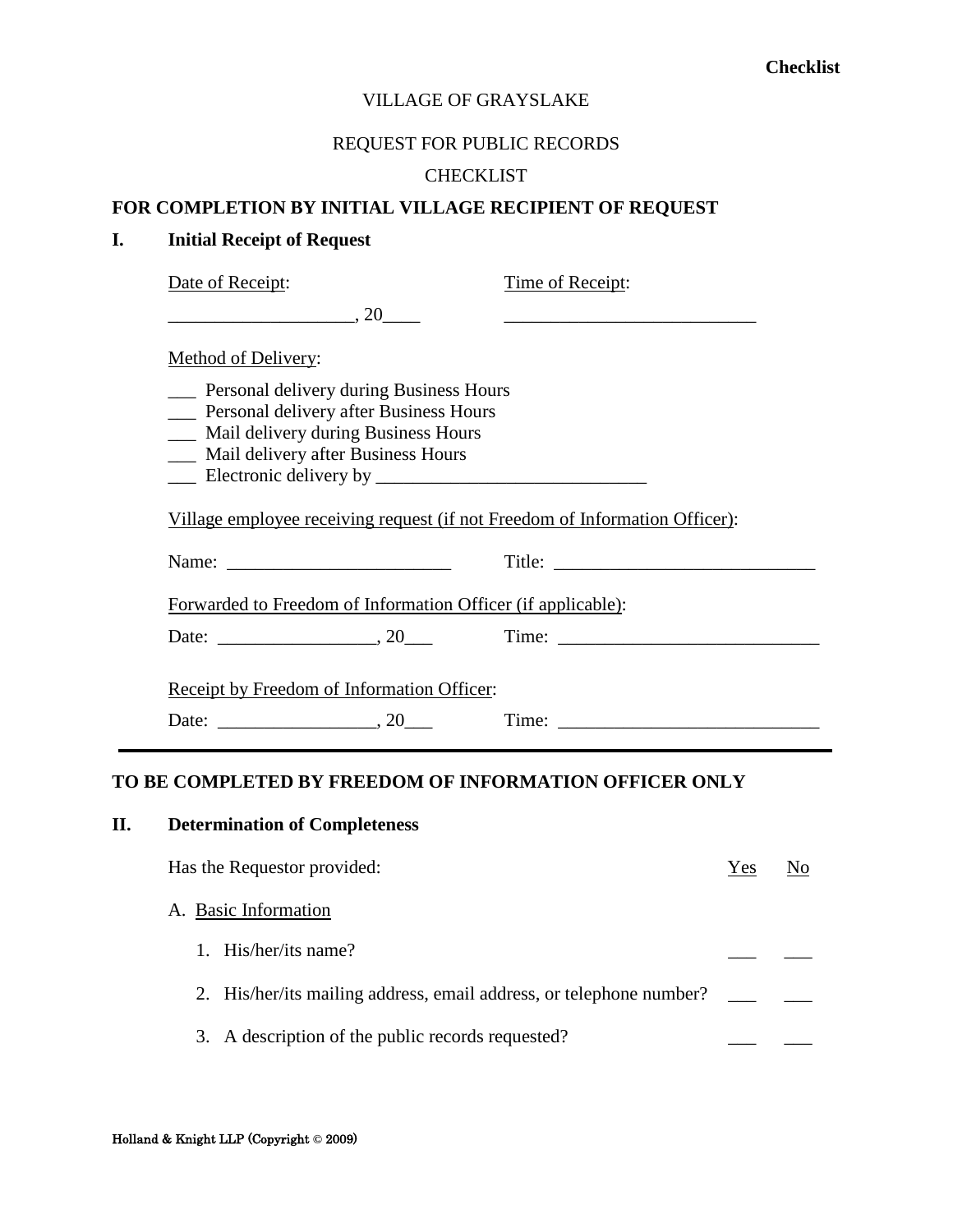#### REQUEST FOR PUBLIC RECORDS

#### **CHECKLIST**

#### <span id="page-14-0"></span>**FOR COMPLETION BY INITIAL VILLAGE RECIPIENT OF REQUEST**

#### **I. Initial Receipt of Request**

| Date of Receipt:                                                                                                                                                               | Time of Receipt:                                                                                                      |
|--------------------------------------------------------------------------------------------------------------------------------------------------------------------------------|-----------------------------------------------------------------------------------------------------------------------|
| $\overbrace{\hspace{2.5cm}}^{20}$                                                                                                                                              | <u> 1989 - Johann Harry Harry Harry Harry Harry Harry Harry Harry Harry Harry Harry Harry Harry Harry Harry Harry</u> |
| Method of Delivery:                                                                                                                                                            |                                                                                                                       |
| <b>EXECUTE:</b> Personal delivery during Business Hours<br>Personal delivery after Business Hours<br>Mail delivery during Business Hours<br>Mail delivery after Business Hours |                                                                                                                       |
| Village employee receiving request (if not Freedom of Information Officer):                                                                                                    |                                                                                                                       |
|                                                                                                                                                                                |                                                                                                                       |
| Forwarded to Freedom of Information Officer (if applicable):                                                                                                                   |                                                                                                                       |
|                                                                                                                                                                                |                                                                                                                       |
| Receipt by Freedom of Information Officer:<br>Date: $\qquad \qquad .20$                                                                                                        |                                                                                                                       |

#### **TO BE COMPLETED BY FREEDOM OF INFORMATION OFFICER ONLY**

# **II. Determination of Completeness** Has the Requestor provided:  $\frac{Y_{ES}}{N_Q}$ A. Basic Information 1. His/her/its name? 2. His/her/its mailing address, email address, or telephone number? \_\_\_ \_\_ 3. A description of the public records requested?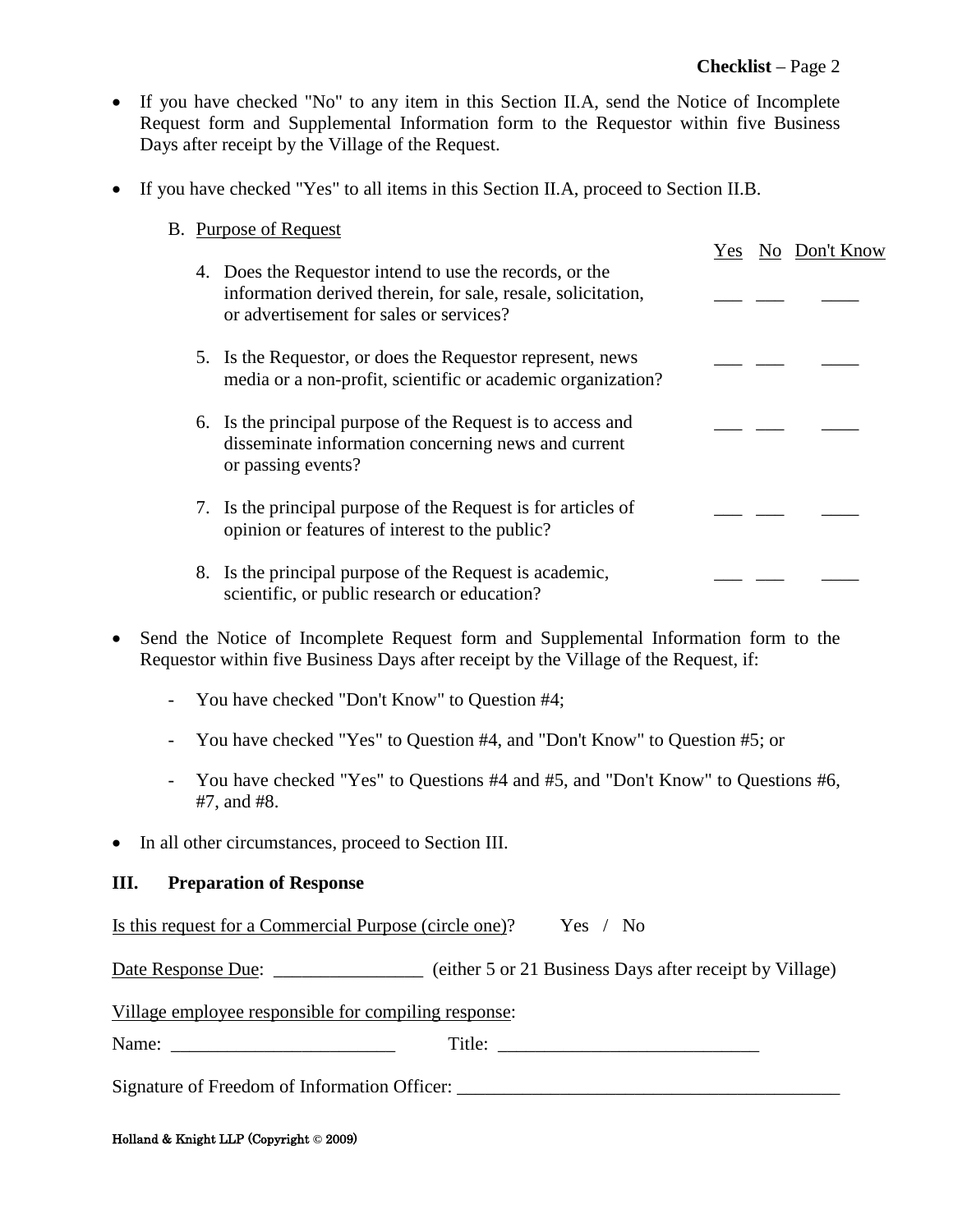- If you have checked "No" to any item in this Section II.A, send the Notice of Incomplete Request form and Supplemental Information form to the Requestor within five Business Days after receipt by the Village of the Request.
- If you have checked "Yes" to all items in this Section II.A, proceed to Section II.B.

|  | <b>B.</b> Purpose of Request                                                                                                                                       |     |               |
|--|--------------------------------------------------------------------------------------------------------------------------------------------------------------------|-----|---------------|
|  | 4. Does the Requestor intend to use the records, or the<br>information derived therein, for sale, resale, solicitation,<br>or advertisement for sales or services? | Yes | No Don't Know |
|  | 5. Is the Requestor, or does the Requestor represent, news<br>media or a non-profit, scientific or academic organization?                                          |     |               |
|  | 6. Is the principal purpose of the Request is to access and<br>disseminate information concerning news and current<br>or passing events?                           |     |               |
|  | 7. Is the principal purpose of the Request is for articles of<br>opinion or features of interest to the public?                                                    |     |               |
|  | 8. Is the principal purpose of the Request is academic,<br>scientific, or public research or education?                                                            |     |               |

- Send the Notice of Incomplete Request form and Supplemental Information form to the Requestor within five Business Days after receipt by the Village of the Request, if:
	- You have checked "Don't Know" to Question #4;
	- You have checked "Yes" to Question #4, and "Don't Know" to Question #5; or
	- You have checked "Yes" to Questions #4 and #5, and "Don't Know" to Questions #6, #7, and #8.
- In all other circumstances, proceed to Section III.

#### **III. Preparation of Response**

Is this request for a Commercial Purpose (circle one)? Yes / No

Date Response Due: \_\_\_\_\_\_\_\_\_\_\_\_\_\_\_\_\_ (either 5 or 21 Business Days after receipt by Village)

Village employee responsible for compiling response:

Name: \_\_\_\_\_\_\_\_\_\_\_\_\_\_\_\_\_\_\_\_\_\_\_\_ Title: \_\_\_\_\_\_\_\_\_\_\_\_\_\_\_\_\_\_\_\_\_\_\_\_\_\_\_\_

Signature of Freedom of Information Officer: \_\_\_\_\_\_\_\_\_\_\_\_\_\_\_\_\_\_\_\_\_\_\_\_\_\_\_\_\_\_\_\_\_\_\_\_\_\_\_\_\_

#### Holland & Knight LLP (Copyright **©** 2009)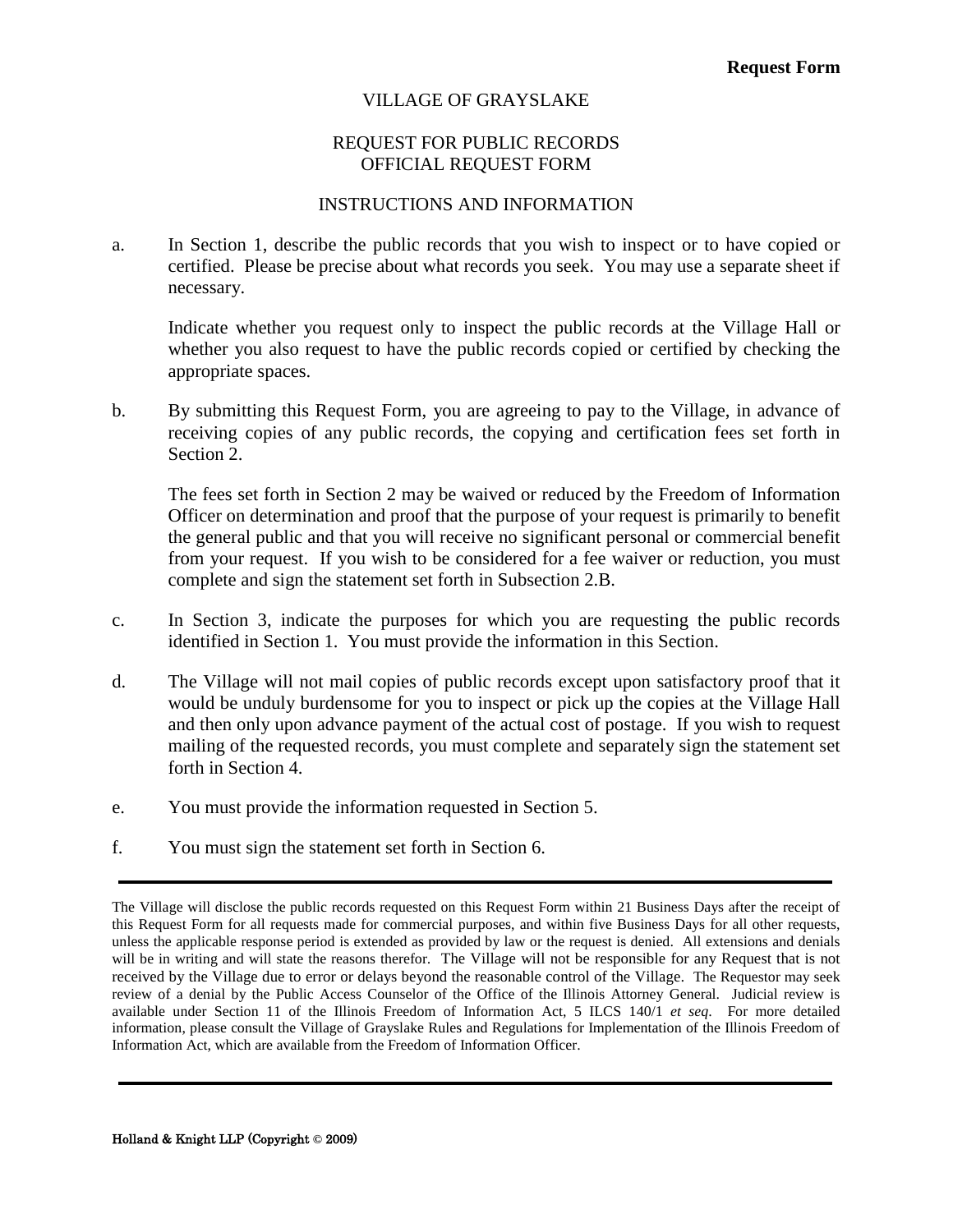#### REQUEST FOR PUBLIC RECORDS OFFICIAL REQUEST FORM

#### INSTRUCTIONS AND INFORMATION

<span id="page-16-0"></span>a. In Section 1, describe the public records that you wish to inspect or to have copied or certified. Please be precise about what records you seek. You may use a separate sheet if necessary.

Indicate whether you request only to inspect the public records at the Village Hall or whether you also request to have the public records copied or certified by checking the appropriate spaces.

b. By submitting this Request Form, you are agreeing to pay to the Village, in advance of receiving copies of any public records, the copying and certification fees set forth in Section 2.

The fees set forth in Section 2 may be waived or reduced by the Freedom of Information Officer on determination and proof that the purpose of your request is primarily to benefit the general public and that you will receive no significant personal or commercial benefit from your request. If you wish to be considered for a fee waiver or reduction, you must complete and sign the statement set forth in Subsection 2.B.

- c. In Section 3, indicate the purposes for which you are requesting the public records identified in Section 1. You must provide the information in this Section.
- d. The Village will not mail copies of public records except upon satisfactory proof that it would be unduly burdensome for you to inspect or pick up the copies at the Village Hall and then only upon advance payment of the actual cost of postage. If you wish to request mailing of the requested records, you must complete and separately sign the statement set forth in Section 4.
- e. You must provide the information requested in Section 5.
- f. You must sign the statement set forth in Section 6.

The Village will disclose the public records requested on this Request Form within 21 Business Days after the receipt of this Request Form for all requests made for commercial purposes, and within five Business Days for all other requests, unless the applicable response period is extended as provided by law or the request is denied. All extensions and denials will be in writing and will state the reasons therefor. The Village will not be responsible for any Request that is not received by the Village due to error or delays beyond the reasonable control of the Village. The Requestor may seek review of a denial by the Public Access Counselor of the Office of the Illinois Attorney General. Judicial review is available under Section 11 of the Illinois Freedom of Information Act, 5 ILCS 140/1 *et seq*. For more detailed information, please consult the Village of Grayslake Rules and Regulations for Implementation of the Illinois Freedom of Information Act, which are available from the Freedom of Information Officer.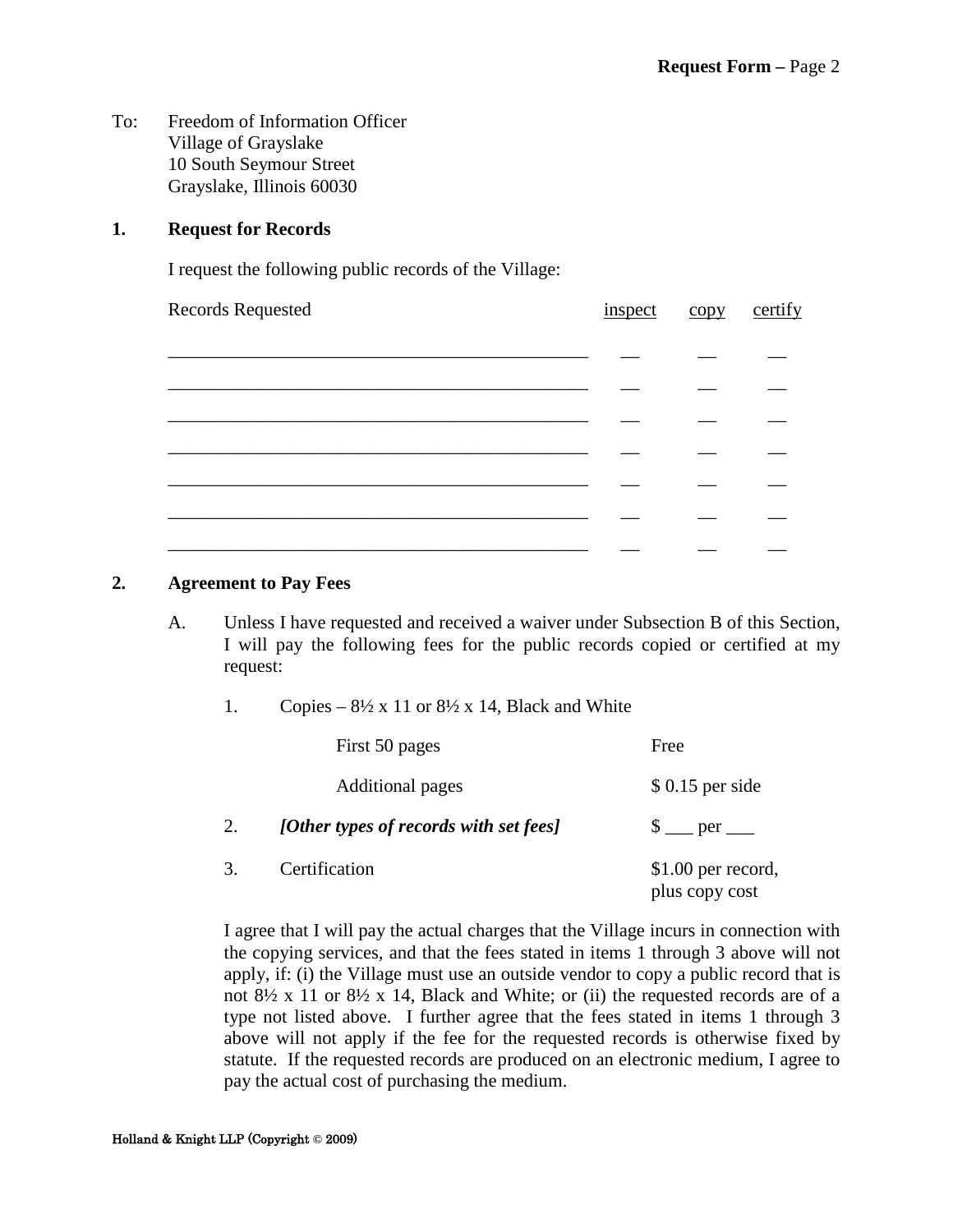To: Freedom of Information Officer Village of Grayslake 10 South Seymour Street Grayslake, Illinois 60030

#### **1. Request for Records**

I request the following public records of the Village:

| Records Requested |  | certify |
|-------------------|--|---------|
| inspect copy      |  |         |
|                   |  |         |
|                   |  |         |
|                   |  |         |
|                   |  |         |
|                   |  |         |
|                   |  |         |

#### **2. Agreement to Pay Fees**

- A. Unless I have requested and received a waiver under Subsection B of this Section, I will pay the following fees for the public records copied or certified at my request:
	- 1. Copies  $8\frac{1}{2} \times 11$  or  $8\frac{1}{2} \times 14$ , Black and White

|    | First 50 pages                         | Free                                  |
|----|----------------------------------------|---------------------------------------|
|    | <b>Additional pages</b>                | $$0.15$ per side                      |
| 2. | [Other types of records with set fees] |                                       |
| 3. | Certification                          | $$1.00$ per record,<br>plus copy cost |

I agree that I will pay the actual charges that the Village incurs in connection with the copying services, and that the fees stated in items 1 through 3 above will not apply, if: (i) the Village must use an outside vendor to copy a public record that is not  $8\frac{1}{2}$  x 11 or  $8\frac{1}{2}$  x 14, Black and White; or (ii) the requested records are of a type not listed above. I further agree that the fees stated in items 1 through 3 above will not apply if the fee for the requested records is otherwise fixed by statute. If the requested records are produced on an electronic medium, I agree to pay the actual cost of purchasing the medium.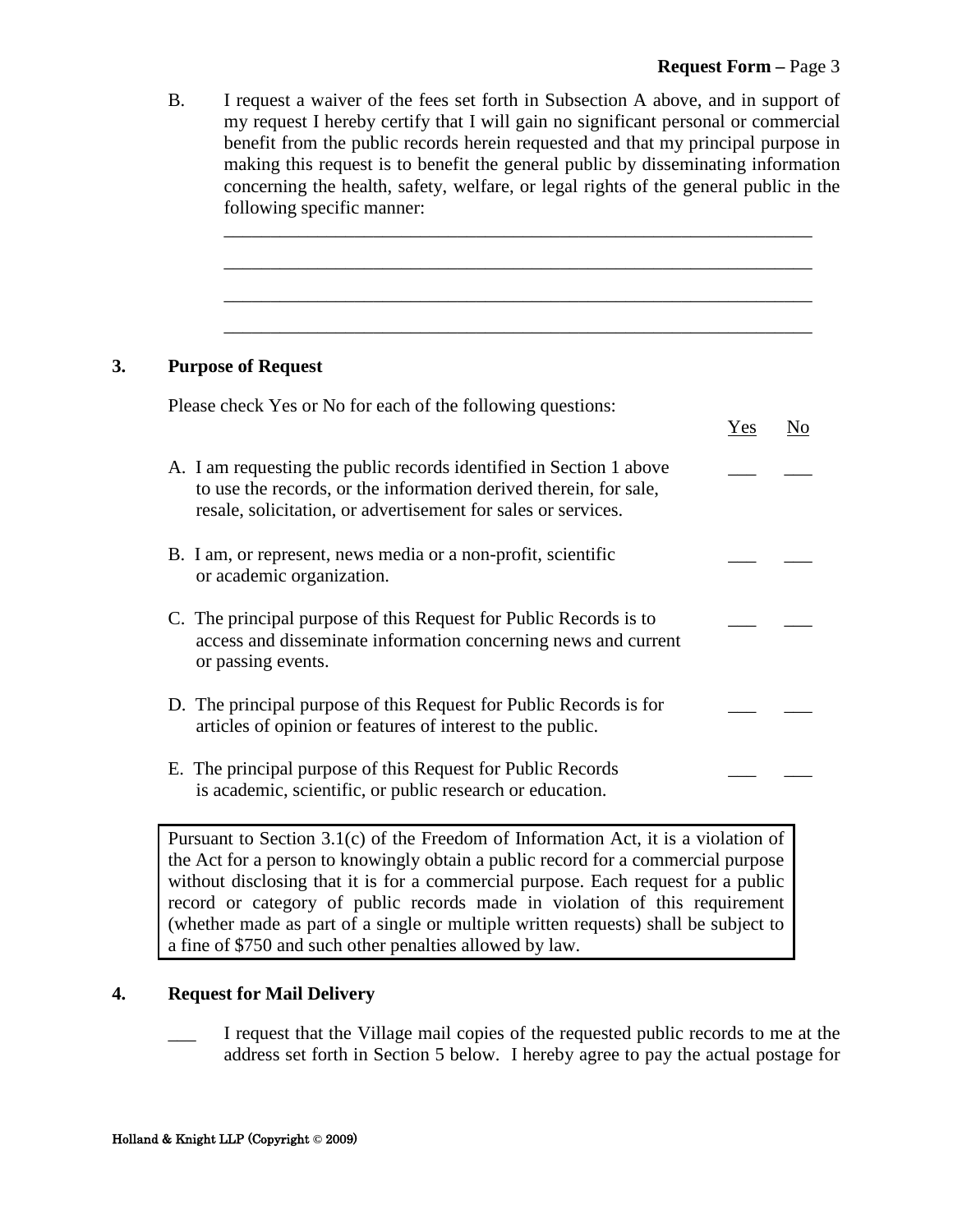B. I request a waiver of the fees set forth in Subsection A above, and in support of my request I hereby certify that I will gain no significant personal or commercial benefit from the public records herein requested and that my principal purpose in making this request is to benefit the general public by disseminating information concerning the health, safety, welfare, or legal rights of the general public in the following specific manner:

\_\_\_\_\_\_\_\_\_\_\_\_\_\_\_\_\_\_\_\_\_\_\_\_\_\_\_\_\_\_\_\_\_\_\_\_\_\_\_\_\_\_\_\_\_\_\_\_\_\_\_\_\_\_\_\_\_\_\_\_\_\_\_

\_\_\_\_\_\_\_\_\_\_\_\_\_\_\_\_\_\_\_\_\_\_\_\_\_\_\_\_\_\_\_\_\_\_\_\_\_\_\_\_\_\_\_\_\_\_\_\_\_\_\_\_\_\_\_\_\_\_\_\_\_\_\_

\_\_\_\_\_\_\_\_\_\_\_\_\_\_\_\_\_\_\_\_\_\_\_\_\_\_\_\_\_\_\_\_\_\_\_\_\_\_\_\_\_\_\_\_\_\_\_\_\_\_\_\_\_\_\_\_\_\_\_\_\_\_\_

\_\_\_\_\_\_\_\_\_\_\_\_\_\_\_\_\_\_\_\_\_\_\_\_\_\_\_\_\_\_\_\_\_\_\_\_\_\_\_\_\_\_\_\_\_\_\_\_\_\_\_\_\_\_\_\_\_\_\_\_\_\_\_

#### **3. Purpose of Request**

| Please check Yes or No for each of the following questions:                                                                                                                                               |     |    |
|-----------------------------------------------------------------------------------------------------------------------------------------------------------------------------------------------------------|-----|----|
|                                                                                                                                                                                                           | Yes | No |
| A. I am requesting the public records identified in Section 1 above<br>to use the records, or the information derived therein, for sale,<br>resale, solicitation, or advertisement for sales or services. |     |    |
| B. I am, or represent, news media or a non-profit, scientific<br>or academic organization.                                                                                                                |     |    |
| C. The principal purpose of this Request for Public Records is to<br>access and disseminate information concerning news and current<br>or passing events.                                                 |     |    |
| D. The principal purpose of this Request for Public Records is for<br>articles of opinion or features of interest to the public.                                                                          |     |    |
| E. The principal purpose of this Request for Public Records<br>is academic, scientific, or public research or education.                                                                                  |     |    |
| Pursuant to Section 3.1(c) of the Freedom of Information Act, it is a violation of                                                                                                                        |     |    |

the Act for a person to knowingly obtain a public record for a commercial purpose without disclosing that it is for a commercial purpose. Each request for a public record or category of public records made in violation of this requirement (whether made as part of a single or multiple written requests) shall be subject to a fine of \$750 and such other penalties allowed by law.

#### **4. Request for Mail Delivery**

\_\_\_ I request that the Village mail copies of the requested public records to me at the address set forth in Section 5 below. I hereby agree to pay the actual postage for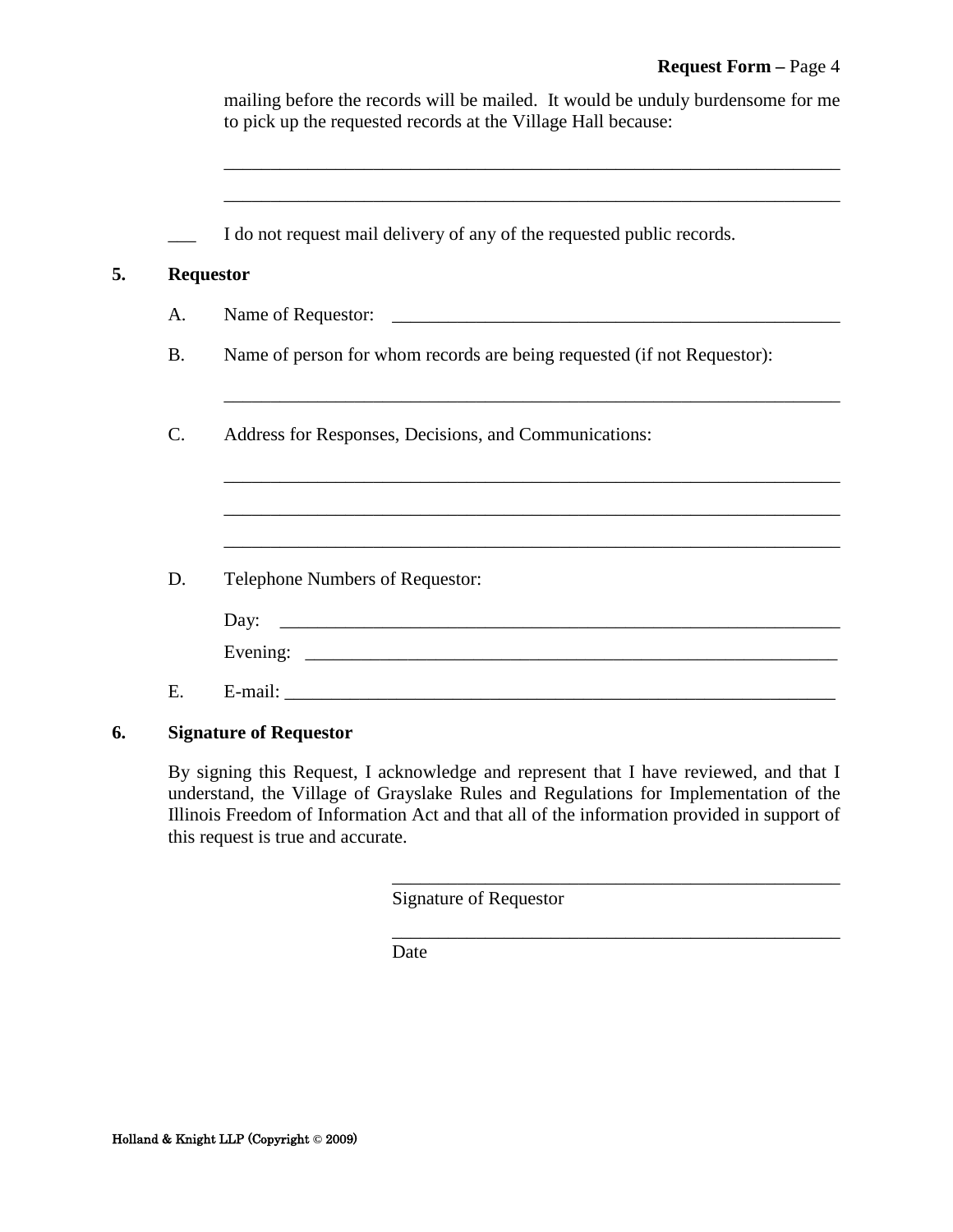|    |                 | mailing before the records will be mailed. It would be unduly burdensome for me<br>to pick up the requested records at the Village Hall because: |
|----|-----------------|--------------------------------------------------------------------------------------------------------------------------------------------------|
|    |                 | I do not request mail delivery of any of the requested public records.                                                                           |
| 5. |                 | <b>Requestor</b>                                                                                                                                 |
|    | A.              |                                                                                                                                                  |
|    | <b>B.</b>       | Name of person for whom records are being requested (if not Requestor):                                                                          |
|    | $\mathcal{C}$ . | Address for Responses, Decisions, and Communications:                                                                                            |
|    |                 | ,我们也不能在这里的时候,我们也不能在这里的时候,我们也不能会在这里的时候,我们也不能会在这里的时候,我们也不能会在这里的时候,我们也不能会在这里的时候,我们也不                                                                |
|    | D.              | Telephone Numbers of Requestor:                                                                                                                  |
|    |                 | Day:                                                                                                                                             |
|    |                 |                                                                                                                                                  |
|    | E.              |                                                                                                                                                  |
| 6. |                 | <b>Signature of Requestor</b>                                                                                                                    |

By signing this Request, I acknowledge and represent that I have reviewed, and that I understand, the Village of Grayslake Rules and Regulations for Implementation of the Illinois Freedom of Information Act and that all of the information provided in support of this request is true and accurate.

\_\_\_\_\_\_\_\_\_\_\_\_\_\_\_\_\_\_\_\_\_\_\_\_\_\_\_\_\_\_\_\_\_\_\_\_\_\_\_\_\_\_\_\_\_\_\_\_

\_\_\_\_\_\_\_\_\_\_\_\_\_\_\_\_\_\_\_\_\_\_\_\_\_\_\_\_\_\_\_\_\_\_\_\_\_\_\_\_\_\_\_\_\_\_\_\_

Signature of Requestor

Date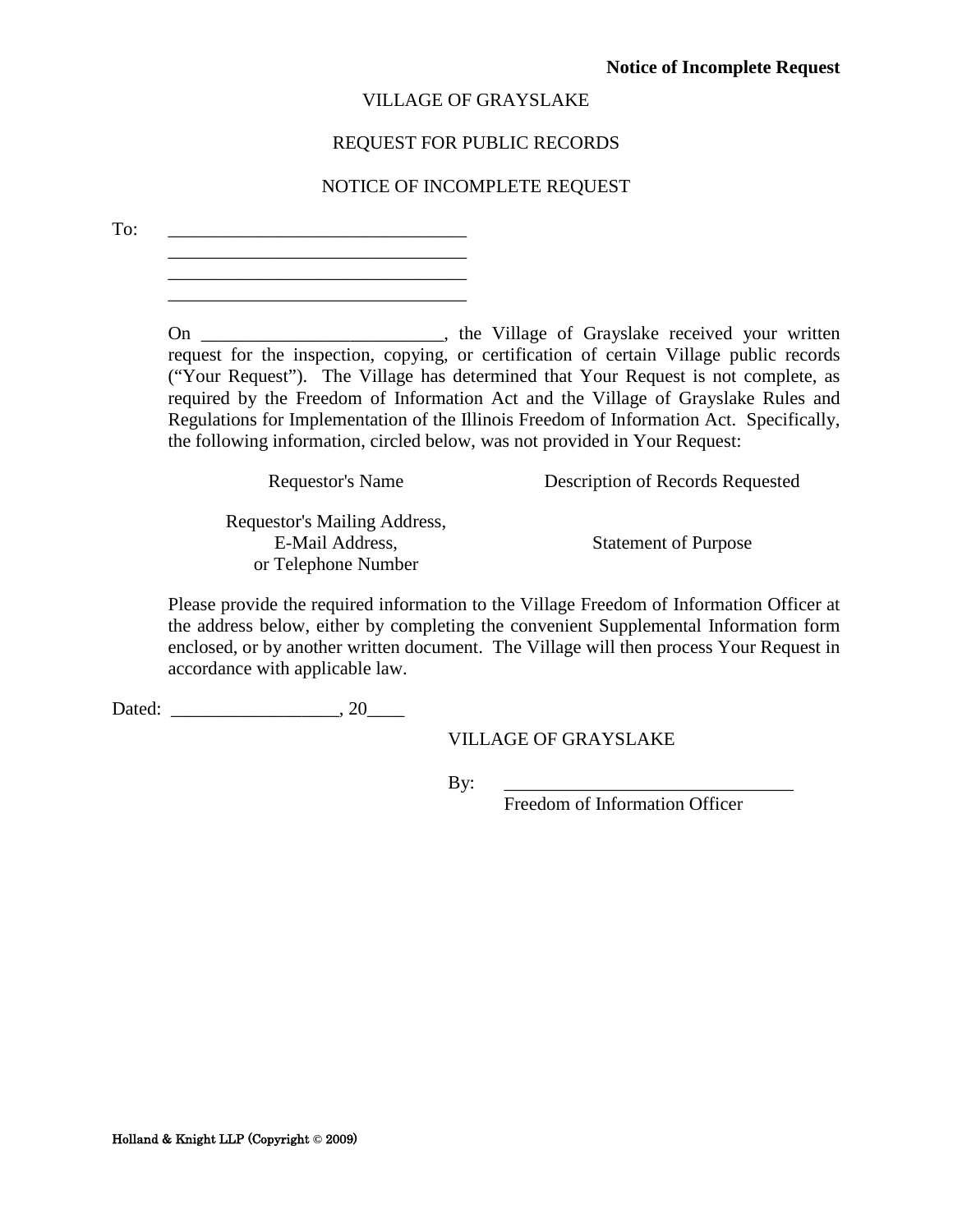#### REQUEST FOR PUBLIC RECORDS

#### NOTICE OF INCOMPLETE REQUEST

<span id="page-20-0"></span>To: \_\_\_\_\_\_\_\_\_\_\_\_\_\_\_\_\_\_\_\_\_\_\_\_\_\_\_\_\_\_\_\_

 $\mathcal{L}_\text{max}$  , where  $\mathcal{L}_\text{max}$  and  $\mathcal{L}_\text{max}$  and  $\mathcal{L}_\text{max}$ \_\_\_\_\_\_\_\_\_\_\_\_\_\_\_\_\_\_\_\_\_\_\_\_\_\_\_\_\_\_\_\_

On \_\_\_\_\_\_\_\_\_\_\_\_\_\_\_\_\_\_\_\_\_\_\_\_, the Village of Grayslake received your written request for the inspection, copying, or certification of certain Village public records ("Your Request"). The Village has determined that Your Request is not complete, as required by the Freedom of Information Act and the Village of Grayslake Rules and Regulations for Implementation of the Illinois Freedom of Information Act. Specifically, the following information, circled below, was not provided in Your Request:

| Requestor's Name             | Description of Records Requested |
|------------------------------|----------------------------------|
| Requestor's Mailing Address, |                                  |
| E-Mail Address,              | <b>Statement of Purpose</b>      |
| or Telephone Number          |                                  |

Please provide the required information to the Village Freedom of Information Officer at the address below, either by completing the convenient Supplemental Information form enclosed, or by another written document. The Village will then process Your Request in accordance with applicable law.

Dated: \_\_\_\_\_\_\_\_\_\_\_\_\_\_\_\_\_\_, 20\_\_\_\_

VILLAGE OF GRAYSLAKE

By: \_\_\_\_\_\_\_\_\_\_\_\_\_\_\_\_\_\_\_\_\_\_\_\_\_\_\_\_\_\_\_

Freedom of Information Officer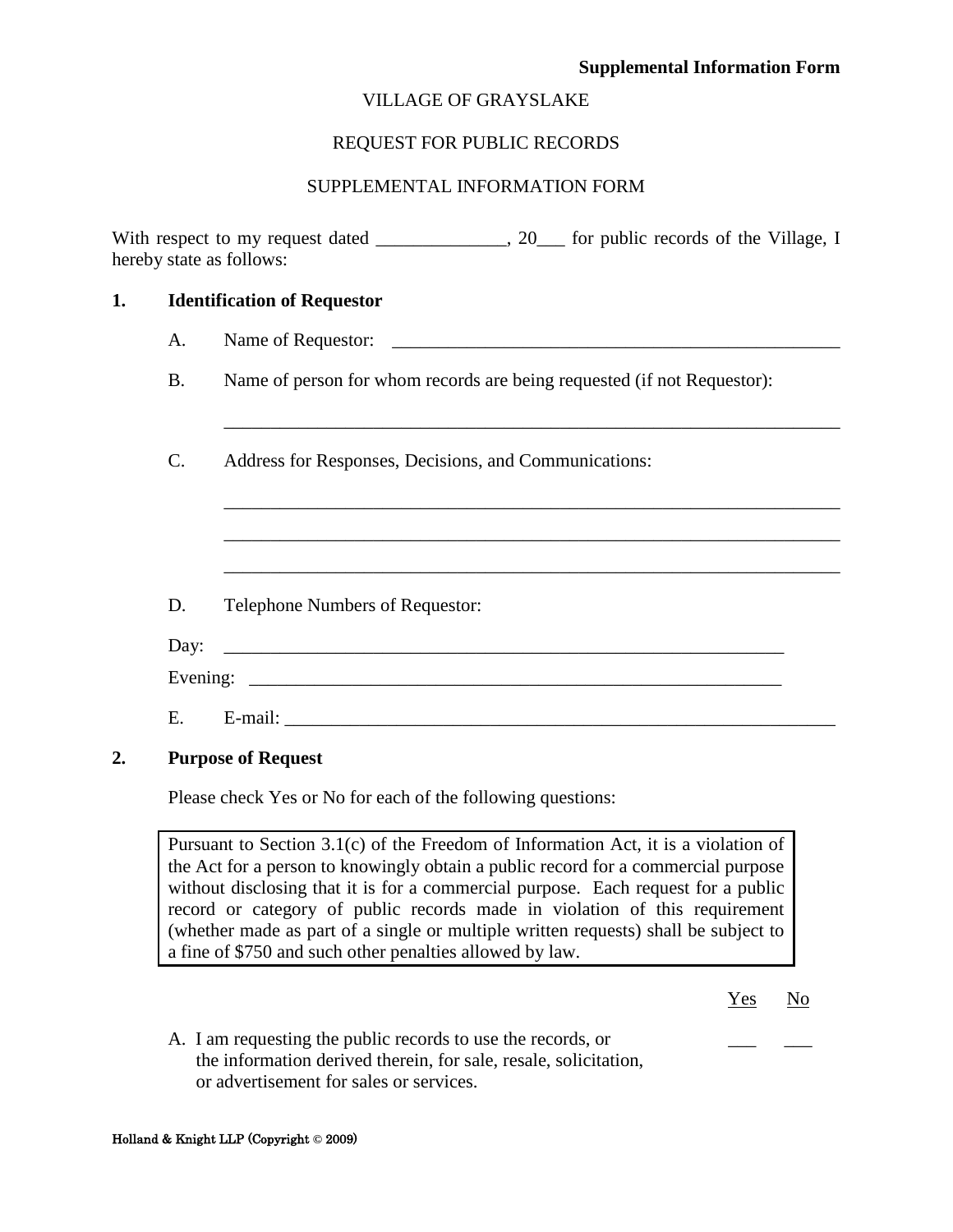#### **Supplemental Information Form**

#### VILLAGE OF GRAYSLAKE

#### REQUEST FOR PUBLIC RECORDS

#### SUPPLEMENTAL INFORMATION FORM

<span id="page-21-0"></span>With respect to my request dated \_\_\_\_\_\_\_\_\_\_\_\_, 20\_\_\_ for public records of the Village, I hereby state as follows:

| 1. |           | <b>Identification of Requestor</b>                                      |
|----|-----------|-------------------------------------------------------------------------|
|    | A.        |                                                                         |
|    | <b>B.</b> | Name of person for whom records are being requested (if not Requestor): |
|    | C.        | Address for Responses, Decisions, and Communications:                   |
|    |           |                                                                         |
|    |           |                                                                         |
|    | D.        | Telephone Numbers of Requestor:                                         |
|    | Day:      |                                                                         |
|    |           |                                                                         |
|    | Е.        |                                                                         |
|    |           | <b>Purpose of Request</b>                                               |

Please check Yes or No for each of the following questions:

Pursuant to Section 3.1(c) of the Freedom of Information Act, it is a violation of the Act for a person to knowingly obtain a public record for a commercial purpose without disclosing that it is for a commercial purpose. Each request for a public record or category of public records made in violation of this requirement (whether made as part of a single or multiple written requests) shall be subject to a fine of \$750 and such other penalties allowed by law.

> Yes No

A. I am requesting the public records to use the records, or the information derived therein, for sale, resale, solicitation, or advertisement for sales or services.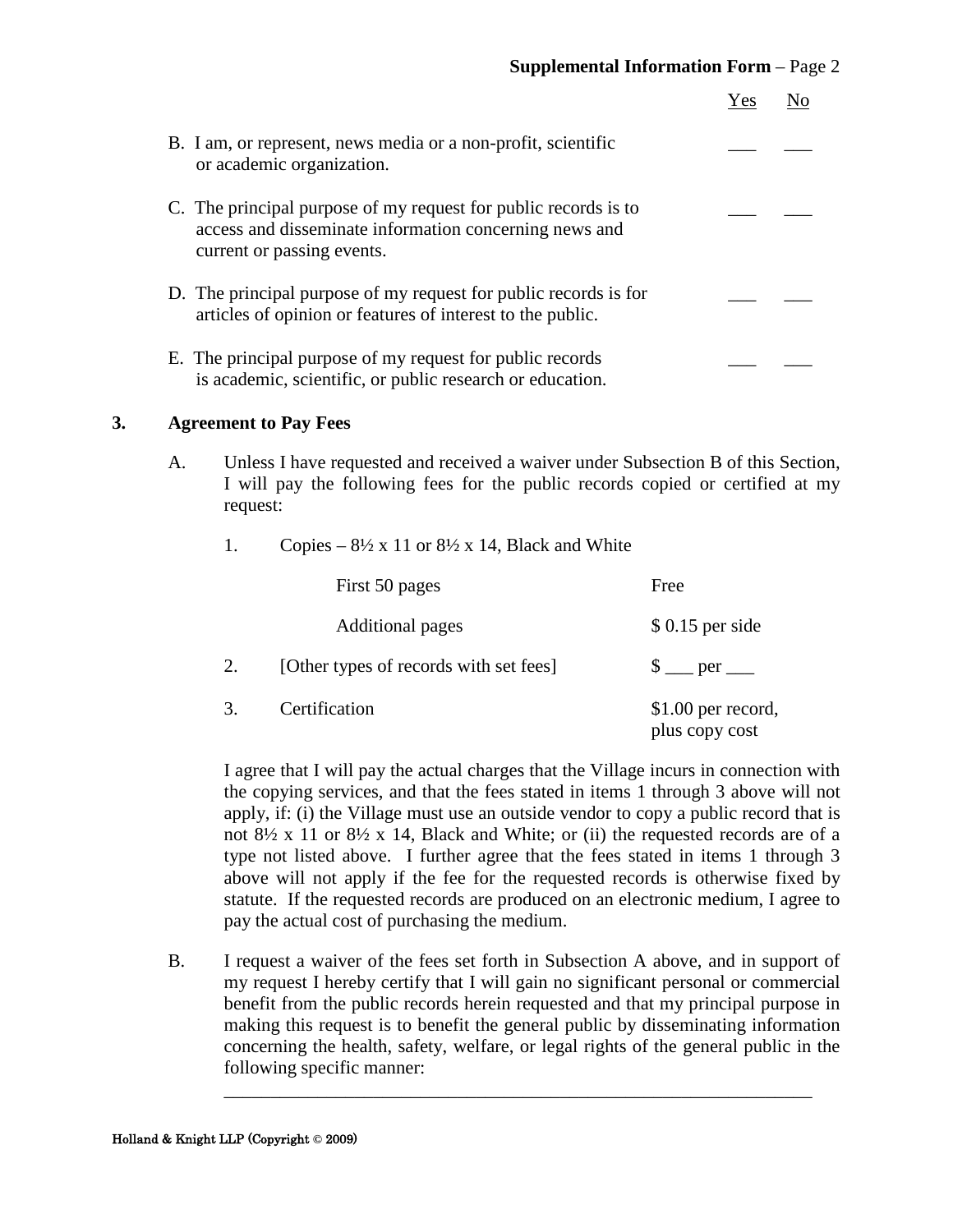|                                                                                                                                                         | Yes |  |
|---------------------------------------------------------------------------------------------------------------------------------------------------------|-----|--|
| B. I am, or represent, news media or a non-profit, scientific<br>or academic organization.                                                              |     |  |
| C. The principal purpose of my request for public records is to<br>access and disseminate information concerning news and<br>current or passing events. |     |  |
| D. The principal purpose of my request for public records is for<br>articles of opinion or features of interest to the public.                          |     |  |
| E. The principal purpose of my request for public records<br>is academic, scientific, or public research or education.                                  |     |  |

#### **3. Agreement to Pay Fees**

A. Unless I have requested and received a waiver under Subsection B of this Section, I will pay the following fees for the public records copied or certified at my request:

#### 1. Copies –  $8\frac{1}{2} \times 11$  or  $8\frac{1}{2} \times 14$ , Black and White

|    | First 50 pages                         | Free                                  |
|----|----------------------------------------|---------------------------------------|
|    | <b>Additional pages</b>                | $$0.15$ per side                      |
| 2. | [Other types of records with set fees] |                                       |
| 3. | Certification                          | $$1.00$ per record,<br>plus copy cost |

I agree that I will pay the actual charges that the Village incurs in connection with the copying services, and that the fees stated in items 1 through 3 above will not apply, if: (i) the Village must use an outside vendor to copy a public record that is not  $8\frac{1}{2}$  x 11 or  $8\frac{1}{2}$  x 14, Black and White; or (ii) the requested records are of a type not listed above. I further agree that the fees stated in items 1 through 3 above will not apply if the fee for the requested records is otherwise fixed by statute. If the requested records are produced on an electronic medium, I agree to pay the actual cost of purchasing the medium.

B. I request a waiver of the fees set forth in Subsection A above, and in support of my request I hereby certify that I will gain no significant personal or commercial benefit from the public records herein requested and that my principal purpose in making this request is to benefit the general public by disseminating information concerning the health, safety, welfare, or legal rights of the general public in the following specific manner:

\_\_\_\_\_\_\_\_\_\_\_\_\_\_\_\_\_\_\_\_\_\_\_\_\_\_\_\_\_\_\_\_\_\_\_\_\_\_\_\_\_\_\_\_\_\_\_\_\_\_\_\_\_\_\_\_\_\_\_\_\_\_\_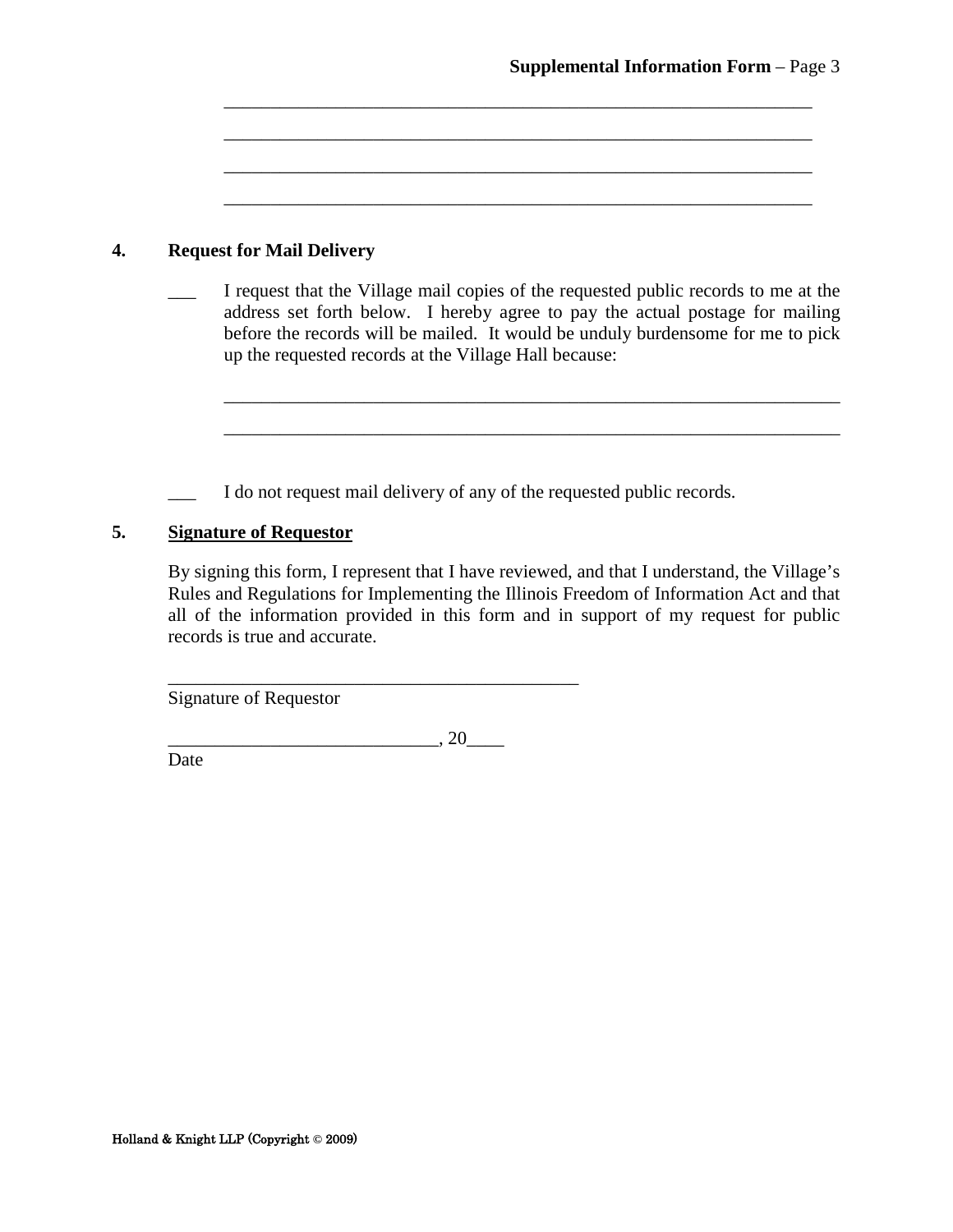#### **4. Request for Mail Delivery**

I request that the Village mail copies of the requested public records to me at the address set forth below. I hereby agree to pay the actual postage for mailing before the records will be mailed. It would be unduly burdensome for me to pick up the requested records at the Village Hall because:

\_\_\_\_\_\_\_\_\_\_\_\_\_\_\_\_\_\_\_\_\_\_\_\_\_\_\_\_\_\_\_\_\_\_\_\_\_\_\_\_\_\_\_\_\_\_\_\_\_\_\_\_\_\_\_\_\_\_\_\_\_\_\_\_\_\_

\_\_\_\_\_\_\_\_\_\_\_\_\_\_\_\_\_\_\_\_\_\_\_\_\_\_\_\_\_\_\_\_\_\_\_\_\_\_\_\_\_\_\_\_\_\_\_\_\_\_\_\_\_\_\_\_\_\_\_\_\_\_\_\_\_\_

\_\_\_\_\_\_\_\_\_\_\_\_\_\_\_\_\_\_\_\_\_\_\_\_\_\_\_\_\_\_\_\_\_\_\_\_\_\_\_\_\_\_\_\_\_\_\_\_\_\_\_\_\_\_\_\_\_\_\_\_\_\_\_

\_\_\_\_\_\_\_\_\_\_\_\_\_\_\_\_\_\_\_\_\_\_\_\_\_\_\_\_\_\_\_\_\_\_\_\_\_\_\_\_\_\_\_\_\_\_\_\_\_\_\_\_\_\_\_\_\_\_\_\_\_\_\_

\_\_\_\_\_\_\_\_\_\_\_\_\_\_\_\_\_\_\_\_\_\_\_\_\_\_\_\_\_\_\_\_\_\_\_\_\_\_\_\_\_\_\_\_\_\_\_\_\_\_\_\_\_\_\_\_\_\_\_\_\_\_\_

\_\_\_\_\_\_\_\_\_\_\_\_\_\_\_\_\_\_\_\_\_\_\_\_\_\_\_\_\_\_\_\_\_\_\_\_\_\_\_\_\_\_\_\_\_\_\_\_\_\_\_\_\_\_\_\_\_\_\_\_\_\_\_

I do not request mail delivery of any of the requested public records.

#### **5. Signature of Requestor**

By signing this form, I represent that I have reviewed, and that I understand, the Village's Rules and Regulations for Implementing the Illinois Freedom of Information Act and that all of the information provided in this form and in support of my request for public records is true and accurate.

Signature of Requestor

 $\overline{\phantom{a}}$ , 20 $\overline{\phantom{a}}$ 

\_\_\_\_\_\_\_\_\_\_\_\_\_\_\_\_\_\_\_\_\_\_\_\_\_\_\_\_\_\_\_\_\_\_\_\_\_\_\_\_\_\_\_\_

Date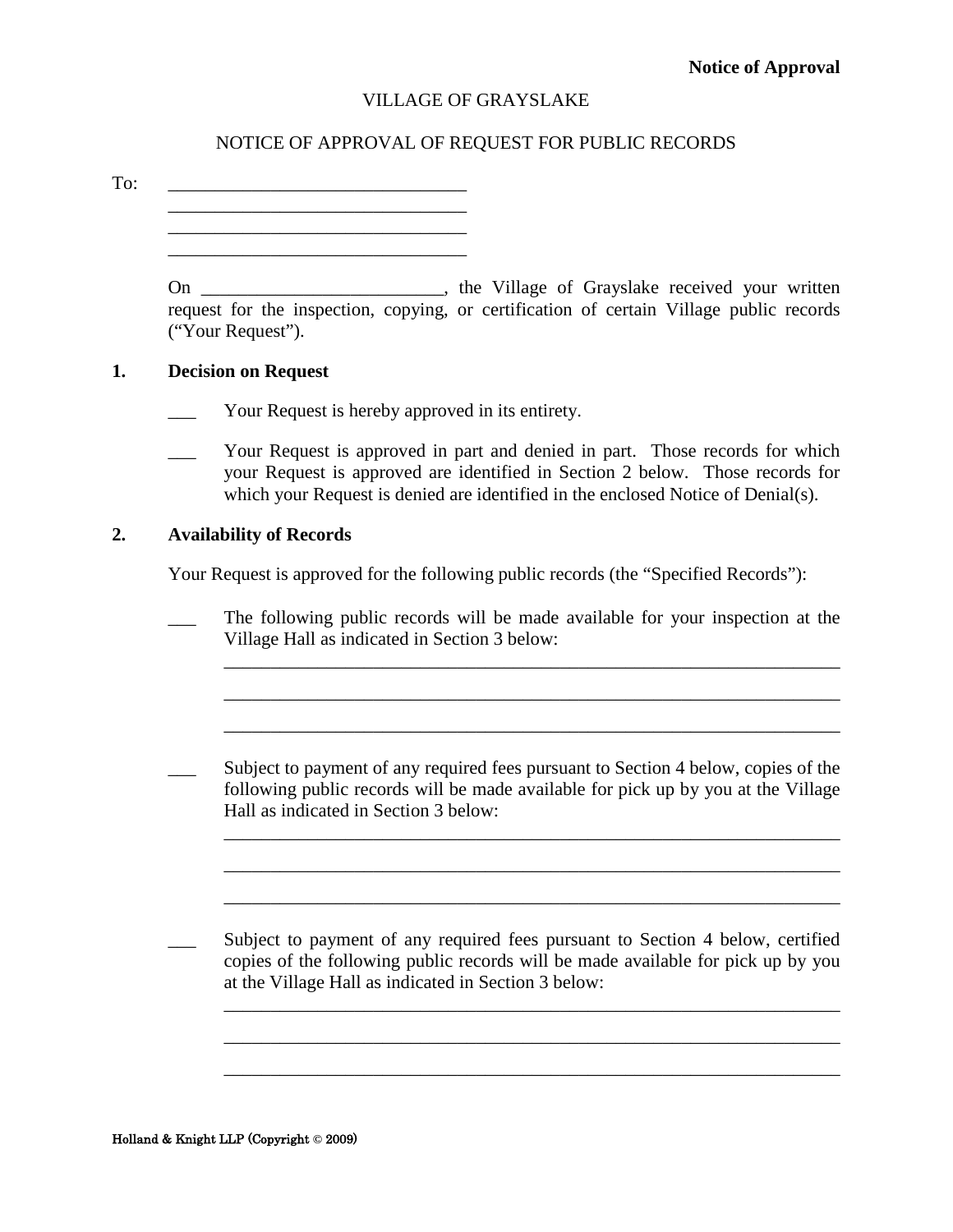#### NOTICE OF APPROVAL OF REQUEST FOR PUBLIC RECORDS

<span id="page-24-0"></span>To: \_\_\_\_\_\_\_\_\_\_\_\_\_\_\_\_\_\_\_\_\_\_\_\_\_\_\_\_\_\_\_\_ \_\_\_\_\_\_\_\_\_\_\_\_\_\_\_\_\_\_\_\_\_\_\_\_\_\_\_\_\_\_\_\_

> \_\_\_\_\_\_\_\_\_\_\_\_\_\_\_\_\_\_\_\_\_\_\_\_\_\_\_\_\_\_\_\_ \_\_\_\_\_\_\_\_\_\_\_\_\_\_\_\_\_\_\_\_\_\_\_\_\_\_\_\_\_\_\_\_

| On                                                                                      |  | the Village of Grayslake received your written |  |  |
|-----------------------------------------------------------------------------------------|--|------------------------------------------------|--|--|
| request for the inspection, copying, or certification of certain Village public records |  |                                                |  |  |
| ("Your Request").                                                                       |  |                                                |  |  |

#### **1. Decision on Request**

- Your Request is hereby approved in its entirety.
- Your Request is approved in part and denied in part. Those records for which your Request is approved are identified in Section 2 below. Those records for which your Request is denied are identified in the enclosed Notice of Denial(s).

#### **2. Availability of Records**

Your Request is approved for the following public records (the "Specified Records"):

The following public records will be made available for your inspection at the Village Hall as indicated in Section 3 below:

\_\_\_\_\_\_\_\_\_\_\_\_\_\_\_\_\_\_\_\_\_\_\_\_\_\_\_\_\_\_\_\_\_\_\_\_\_\_\_\_\_\_\_\_\_\_\_\_\_\_\_\_\_\_\_\_\_\_\_\_\_\_\_\_\_\_

\_\_\_\_\_\_\_\_\_\_\_\_\_\_\_\_\_\_\_\_\_\_\_\_\_\_\_\_\_\_\_\_\_\_\_\_\_\_\_\_\_\_\_\_\_\_\_\_\_\_\_\_\_\_\_\_\_\_\_\_\_\_\_\_\_\_

\_\_\_\_\_\_\_\_\_\_\_\_\_\_\_\_\_\_\_\_\_\_\_\_\_\_\_\_\_\_\_\_\_\_\_\_\_\_\_\_\_\_\_\_\_\_\_\_\_\_\_\_\_\_\_\_\_\_\_\_\_\_\_\_\_\_

\_\_\_\_\_\_\_\_\_\_\_\_\_\_\_\_\_\_\_\_\_\_\_\_\_\_\_\_\_\_\_\_\_\_\_\_\_\_\_\_\_\_\_\_\_\_\_\_\_\_\_\_\_\_\_\_\_\_\_\_\_\_\_\_\_\_

\_\_\_\_\_\_\_\_\_\_\_\_\_\_\_\_\_\_\_\_\_\_\_\_\_\_\_\_\_\_\_\_\_\_\_\_\_\_\_\_\_\_\_\_\_\_\_\_\_\_\_\_\_\_\_\_\_\_\_\_\_\_\_\_\_\_

\_\_\_\_\_\_\_\_\_\_\_\_\_\_\_\_\_\_\_\_\_\_\_\_\_\_\_\_\_\_\_\_\_\_\_\_\_\_\_\_\_\_\_\_\_\_\_\_\_\_\_\_\_\_\_\_\_\_\_\_\_\_\_\_\_\_

\_\_\_\_\_\_\_\_\_\_\_\_\_\_\_\_\_\_\_\_\_\_\_\_\_\_\_\_\_\_\_\_\_\_\_\_\_\_\_\_\_\_\_\_\_\_\_\_\_\_\_\_\_\_\_\_\_\_\_\_\_\_\_\_\_\_

 $\mathcal{L}_\text{max} = \mathcal{L}_\text{max} = \mathcal{L}_\text{max} = \mathcal{L}_\text{max} = \mathcal{L}_\text{max} = \mathcal{L}_\text{max} = \mathcal{L}_\text{max} = \mathcal{L}_\text{max} = \mathcal{L}_\text{max} = \mathcal{L}_\text{max} = \mathcal{L}_\text{max} = \mathcal{L}_\text{max} = \mathcal{L}_\text{max} = \mathcal{L}_\text{max} = \mathcal{L}_\text{max} = \mathcal{L}_\text{max} = \mathcal{L}_\text{max} = \mathcal{L}_\text{max} = \mathcal{$ 

Subject to payment of any required fees pursuant to Section 4 below, copies of the following public records will be made available for pick up by you at the Village Hall as indicated in Section 3 below:

Subject to payment of any required fees pursuant to Section 4 below, certified copies of the following public records will be made available for pick up by you at the Village Hall as indicated in Section 3 below: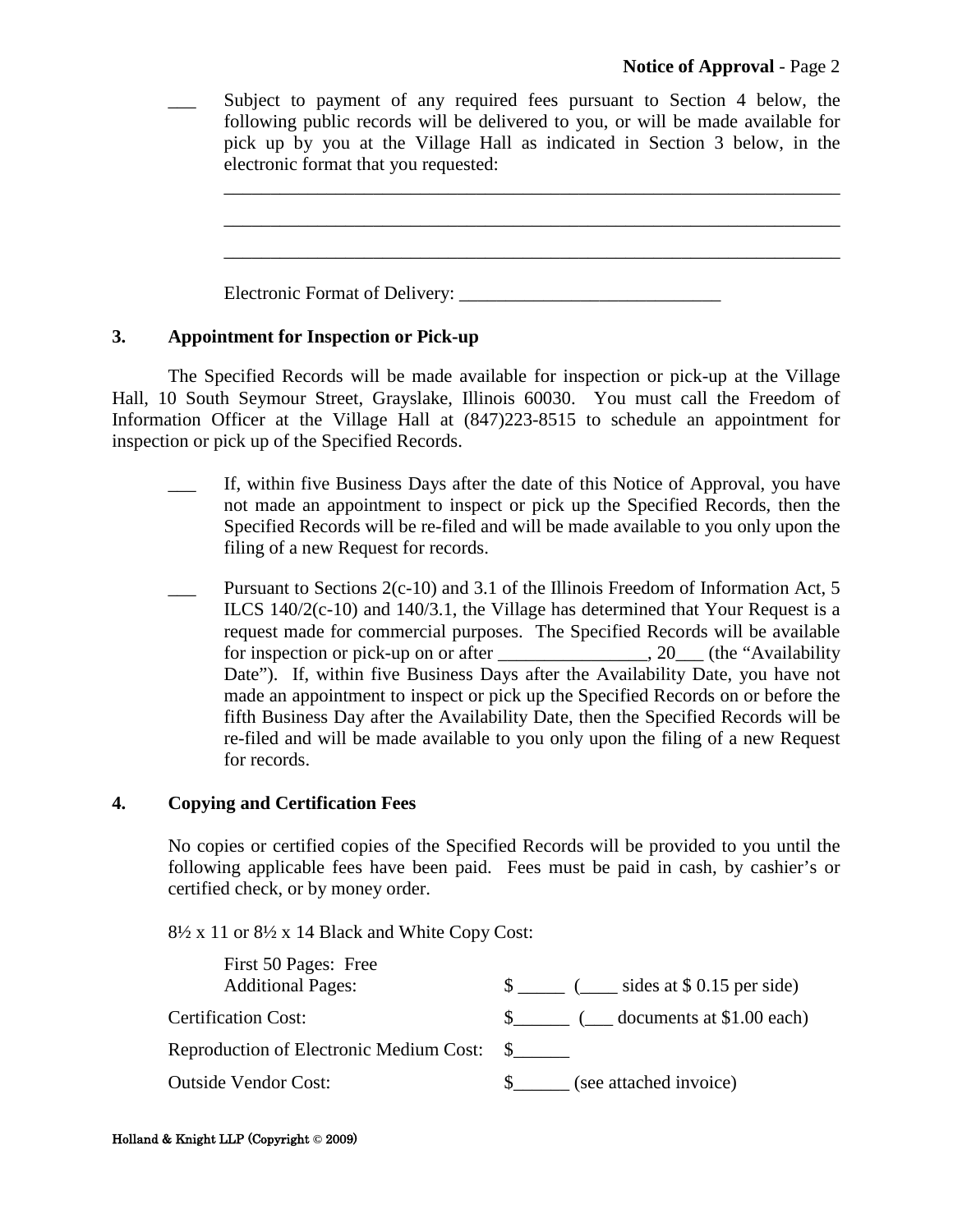Subject to payment of any required fees pursuant to Section 4 below, the following public records will be delivered to you, or will be made available for pick up by you at the Village Hall as indicated in Section 3 below, in the electronic format that you requested:

\_\_\_\_\_\_\_\_\_\_\_\_\_\_\_\_\_\_\_\_\_\_\_\_\_\_\_\_\_\_\_\_\_\_\_\_\_\_\_\_\_\_\_\_\_\_\_\_\_\_\_\_\_\_\_\_\_\_\_\_\_\_\_\_\_\_

\_\_\_\_\_\_\_\_\_\_\_\_\_\_\_\_\_\_\_\_\_\_\_\_\_\_\_\_\_\_\_\_\_\_\_\_\_\_\_\_\_\_\_\_\_\_\_\_\_\_\_\_\_\_\_\_\_\_\_\_\_\_\_\_\_\_

\_\_\_\_\_\_\_\_\_\_\_\_\_\_\_\_\_\_\_\_\_\_\_\_\_\_\_\_\_\_\_\_\_\_\_\_\_\_\_\_\_\_\_\_\_\_\_\_\_\_\_\_\_\_\_\_\_\_\_\_\_\_\_\_\_\_

Electronic Format of Delivery:

#### **3. Appointment for Inspection or Pick-up**

The Specified Records will be made available for inspection or pick-up at the Village Hall, 10 South Seymour Street, Grayslake, Illinois 60030. You must call the Freedom of Information Officer at the Village Hall at (847)223-8515 to schedule an appointment for inspection or pick up of the Specified Records.

- \_\_\_ If, within five Business Days after the date of this Notice of Approval, you have not made an appointment to inspect or pick up the Specified Records, then the Specified Records will be re-filed and will be made available to you only upon the filing of a new Request for records.
- Pursuant to Sections  $2(c-10)$  and 3.1 of the Illinois Freedom of Information Act, 5 ILCS 140/2(c-10) and 140/3.1, the Village has determined that Your Request is a request made for commercial purposes. The Specified Records will be available for inspection or pick-up on or after  $\qquad \qquad$ , 20. (the "Availability Date"). If, within five Business Days after the Availability Date, you have not made an appointment to inspect or pick up the Specified Records on or before the fifth Business Day after the Availability Date, then the Specified Records will be re-filed and will be made available to you only upon the filing of a new Request for records.

#### **4. Copying and Certification Fees**

No copies or certified copies of the Specified Records will be provided to you until the following applicable fees have been paid. Fees must be paid in cash, by cashier's or certified check, or by money order.

 $8\frac{1}{2}$  x 11 or  $8\frac{1}{2}$  x 14 Black and White Copy Cost:

| First 50 Pages: Free<br><b>Additional Pages:</b> | $\frac{1}{2}$ ( _____ sides at \$ 0.15 per side) |
|--------------------------------------------------|--------------------------------------------------|
| <b>Certification Cost:</b>                       | $\frac{1}{2}$ ( documents at \$1.00 each)        |
| Reproduction of Electronic Medium Cost: \$       |                                                  |
| <b>Outside Vendor Cost:</b>                      | (see attached invoice)                           |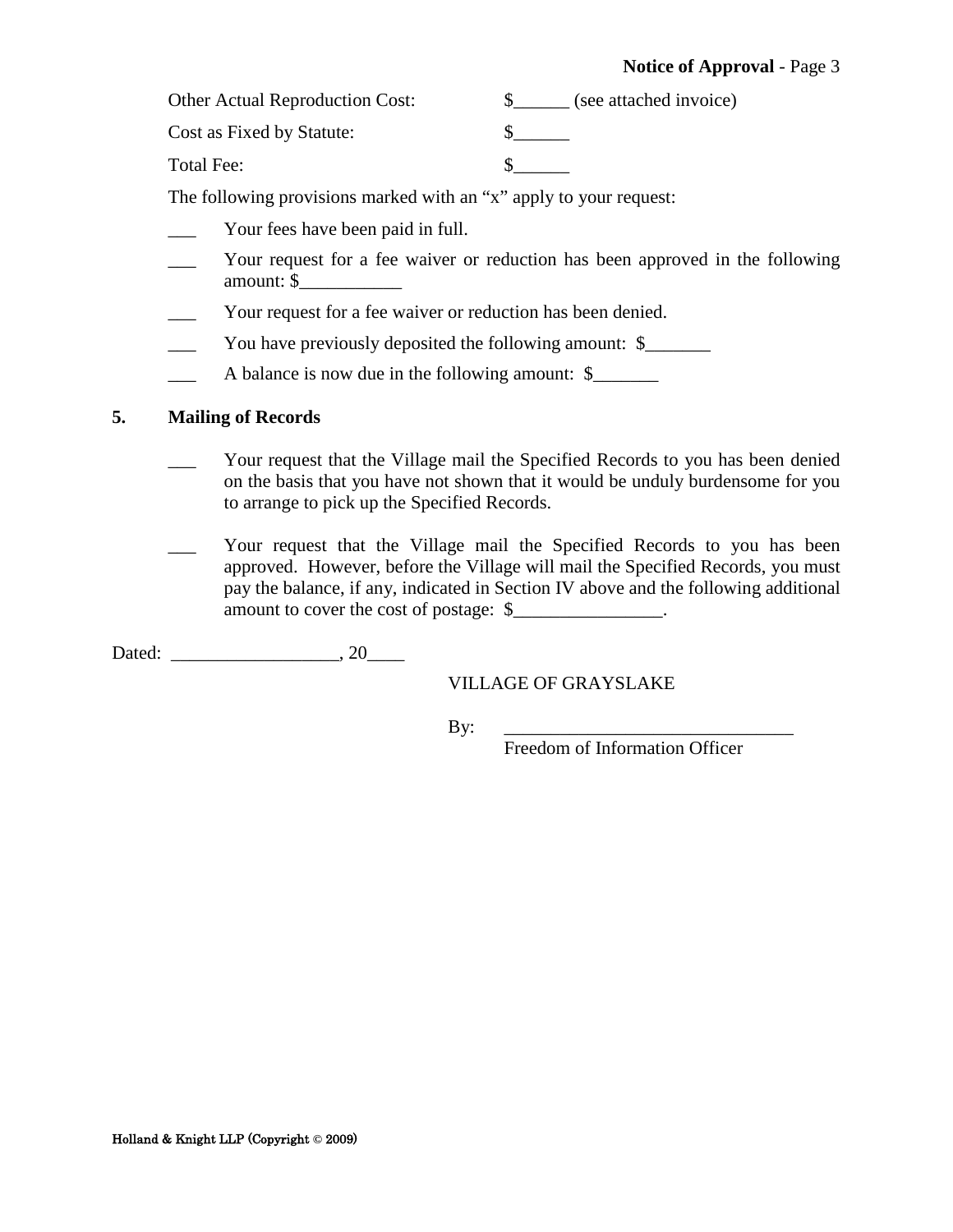Other Actual Reproduction Cost:  $\qquad \qquad \S$  (see attached invoice)

Cost as Fixed by Statute:  $\qquad \qquad$  \$

Total Fee:  $\qquad \qquad$  \$

The following provisions marked with an "x" apply to your request:

- Your fees have been paid in full.
- Your request for a fee waiver or reduction has been approved in the following amount: \$\_\_\_\_\_\_\_\_\_\_\_
- Your request for a fee waiver or reduction has been denied.
- You have previously deposited the following amount: \$
- \_\_\_ A balance is now due in the following amount: \$\_\_\_\_\_\_\_

#### **5. Mailing of Records**

- Your request that the Village mail the Specified Records to you has been denied on the basis that you have not shown that it would be unduly burdensome for you to arrange to pick up the Specified Records.
- Your request that the Village mail the Specified Records to you has been approved. However, before the Village will mail the Specified Records, you must pay the balance, if any, indicated in Section IV above and the following additional amount to cover the cost of postage:  $\$ .

Dated: \_\_\_\_\_\_\_\_\_\_\_\_\_\_\_\_\_\_, 20\_\_\_\_

#### VILLAGE OF GRAYSLAKE

By: \_\_\_\_\_\_\_\_\_\_\_\_\_\_\_\_\_\_\_\_\_\_\_\_\_\_\_\_\_\_\_

Freedom of Information Officer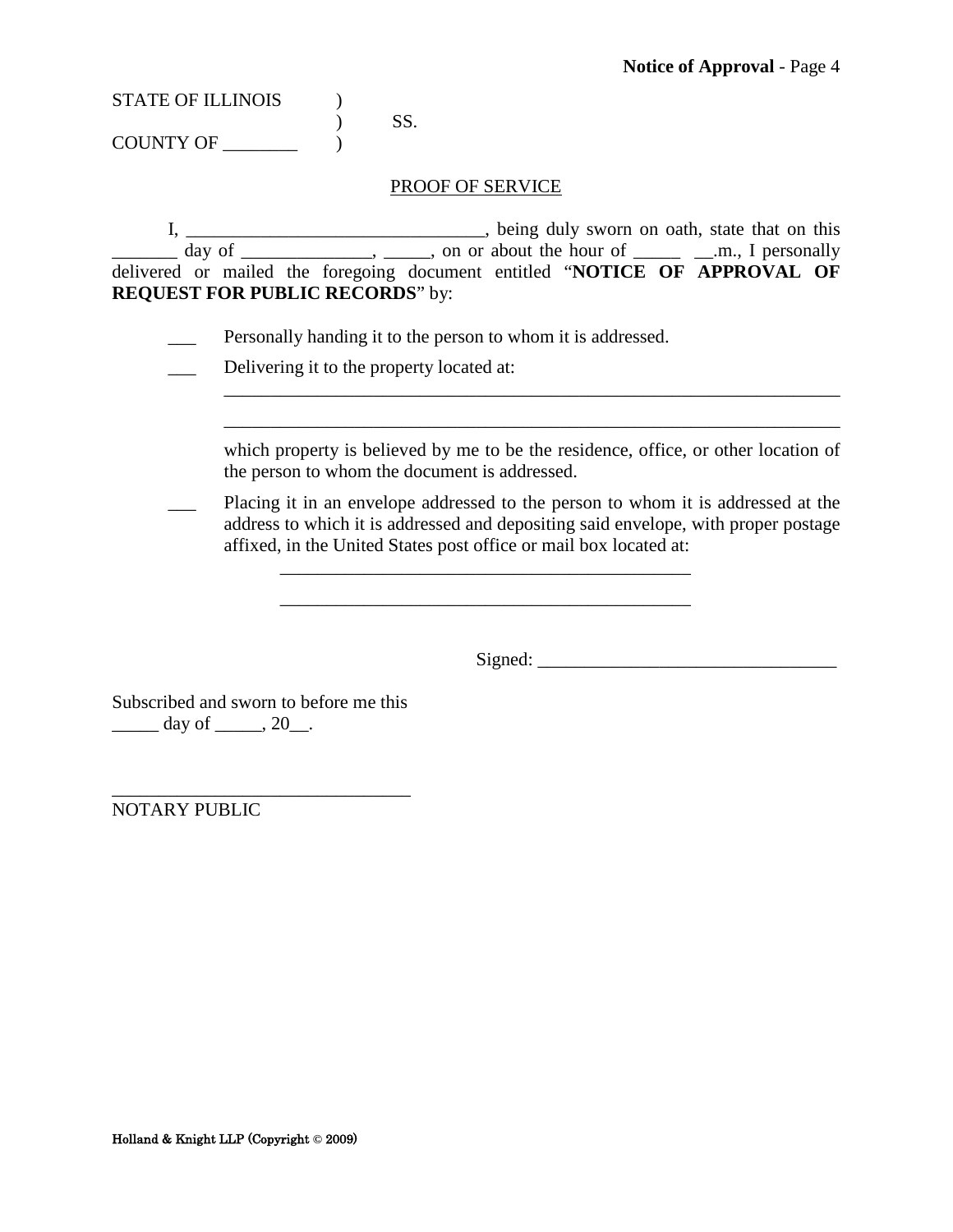$)$  SS. COUNTY OF  $\_\_\_\_\_\_\$ 

#### PROOF OF SERVICE

I, \_\_\_\_\_\_\_\_\_\_\_\_\_\_\_\_\_\_\_\_\_\_\_\_\_\_\_\_\_\_\_\_, being duly sworn on oath, state that on this  $\frac{1}{\sqrt{2}}$  day of  $\frac{1}{\sqrt{2}}$ ,  $\frac{1}{\sqrt{2}}$ , on or about the hour of  $\frac{1}{\sqrt{2}}$  and  $\frac{1}{\sqrt{2}}$  personally delivered or mailed the foregoing document entitled "**NOTICE OF APPROVAL OF REQUEST FOR PUBLIC RECORDS**" by:

Personally handing it to the person to whom it is addressed.

\_\_\_ Delivering it to the property located at:

which property is believed by me to be the residence, office, or other location of the person to whom the document is addressed.

\_\_\_\_\_\_\_\_\_\_\_\_\_\_\_\_\_\_\_\_\_\_\_\_\_\_\_\_\_\_\_\_\_\_\_\_\_\_\_\_\_\_\_\_\_\_\_\_\_\_\_\_\_\_\_\_\_\_\_\_\_\_\_\_\_\_ \_\_\_\_\_\_\_\_\_\_\_\_\_\_\_\_\_\_\_\_\_\_\_\_\_\_\_\_\_\_\_\_\_\_\_\_\_\_\_\_\_\_\_\_\_\_\_\_\_\_\_\_\_\_\_\_\_\_\_\_\_\_\_\_\_\_

Placing it in an envelope addressed to the person to whom it is addressed at the address to which it is addressed and depositing said envelope, with proper postage affixed, in the United States post office or mail box located at:

\_\_\_\_\_\_\_\_\_\_\_\_\_\_\_\_\_\_\_\_\_\_\_\_\_\_\_\_\_\_\_\_\_\_\_\_\_\_\_\_\_\_\_\_

 $Signed:$ 

Subscribed and sworn to before me this  $\frac{day \text{ of }_1 \dots 20}{x}$ .

\_\_\_\_\_\_\_\_\_\_\_\_\_\_\_\_\_\_\_\_\_\_\_\_\_\_\_\_\_\_\_\_ NOTARY PUBLIC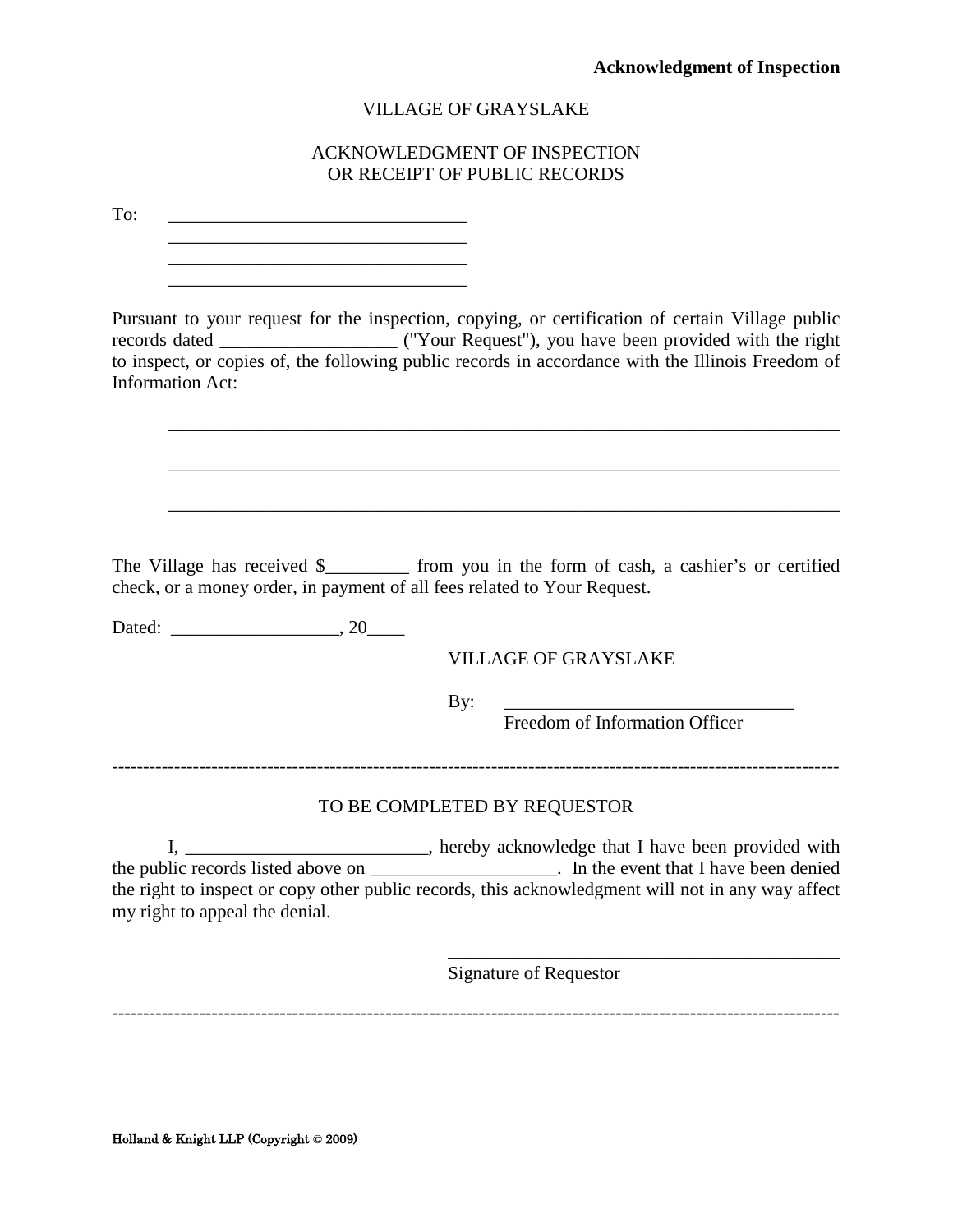#### ACKNOWLEDGMENT OF INSPECTION OR RECEIPT OF PUBLIC RECORDS

<span id="page-28-0"></span>To: \_\_\_\_\_\_\_\_\_\_\_\_\_\_\_\_\_\_\_\_\_\_\_\_\_\_\_\_\_\_\_\_

\_\_\_\_\_\_\_\_\_\_\_\_\_\_\_\_\_\_\_\_\_\_\_\_\_\_\_\_\_\_\_\_ \_\_\_\_\_\_\_\_\_\_\_\_\_\_\_\_\_\_\_\_\_\_\_\_\_\_\_\_\_\_\_\_ Pursuant to your request for the inspection, copying, or certification of certain Village public records dated \_\_\_\_\_\_\_\_\_\_\_\_\_\_\_\_\_\_\_ ("Your Request"), you have been provided with the right to inspect, or copies of, the following public records in accordance with the Illinois Freedom of Information Act: \_\_\_\_\_\_\_\_\_\_\_\_\_\_\_\_\_\_\_\_\_\_\_\_\_\_\_\_\_\_\_\_\_\_\_\_\_\_\_\_\_\_\_\_\_\_\_\_\_\_\_\_\_\_\_\_\_\_\_\_\_\_\_\_\_\_\_\_\_\_\_\_ \_\_\_\_\_\_\_\_\_\_\_\_\_\_\_\_\_\_\_\_\_\_\_\_\_\_\_\_\_\_\_\_\_\_\_\_\_\_\_\_\_\_\_\_\_\_\_\_\_\_\_\_\_\_\_\_\_\_\_\_\_\_\_\_\_\_\_\_\_\_\_\_ \_\_\_\_\_\_\_\_\_\_\_\_\_\_\_\_\_\_\_\_\_\_\_\_\_\_\_\_\_\_\_\_\_\_\_\_\_\_\_\_\_\_\_\_\_\_\_\_\_\_\_\_\_\_\_\_\_\_\_\_\_\_\_\_\_\_\_\_\_\_\_\_ The Village has received \$ from you in the form of cash, a cashier's or certified check, or a money order, in payment of all fees related to Your Request. Dated: \_\_\_\_\_\_\_\_\_\_\_\_\_\_\_\_\_\_, 20\_\_\_\_ VILLAGE OF GRAYSLAKE By: \_\_\_\_\_\_\_\_\_\_\_\_\_\_\_\_\_\_\_\_\_\_\_\_\_\_\_\_\_\_\_ Freedom of Information Officer --------------------------------------------------------------------------------------------------------------------- TO BE COMPLETED BY REQUESTOR I, \_\_\_\_\_\_\_\_\_\_\_\_\_\_\_\_\_\_\_\_\_\_\_, hereby acknowledge that I have been provided with the public records listed above on \_\_\_\_\_\_\_\_\_\_\_\_\_\_\_\_\_\_\_\_\_\_\_. In the event that I have been denied the right to inspect or copy other public records, this acknowledgment will not in any way affect my right to appeal the denial. \_\_\_\_\_\_\_\_\_\_\_\_\_\_\_\_\_\_\_\_\_\_\_\_\_\_\_\_\_\_\_\_\_\_\_\_\_\_\_\_\_\_ Signature of Requestor ---------------------------------------------------------------------------------------------------------------------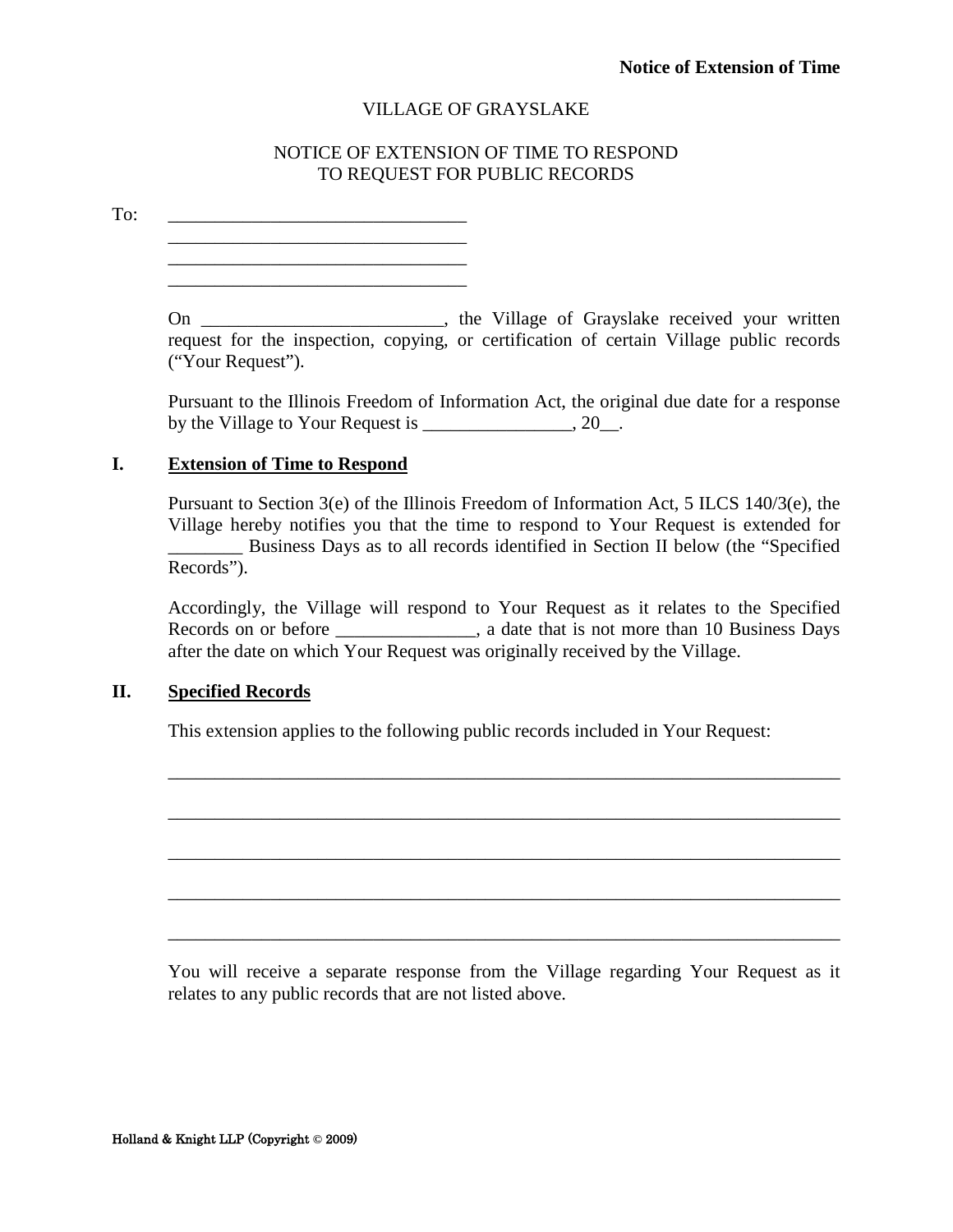#### NOTICE OF EXTENSION OF TIME TO RESPOND TO REQUEST FOR PUBLIC RECORDS

<span id="page-29-0"></span>To: \_\_\_\_\_\_\_\_\_\_\_\_\_\_\_\_\_\_\_\_\_\_\_\_\_\_\_\_\_\_\_\_

\_\_\_\_\_\_\_\_\_\_\_\_\_\_\_\_\_\_\_\_\_\_\_\_\_\_\_\_\_\_\_\_ On \_\_\_\_\_\_\_\_\_\_\_\_\_\_\_\_\_\_\_\_\_\_\_, the Village of Grayslake received your written request for the inspection, copying, or certification of certain Village public records

Pursuant to the Illinois Freedom of Information Act, the original due date for a response by the Village to Your Request is \_\_\_\_\_\_\_\_\_\_\_\_\_\_\_, 20\_\_.

#### **I. Extension of Time to Respond**

("Your Request").

\_\_\_\_\_\_\_\_\_\_\_\_\_\_\_\_\_\_\_\_\_\_\_\_\_\_\_\_\_\_\_\_ \_\_\_\_\_\_\_\_\_\_\_\_\_\_\_\_\_\_\_\_\_\_\_\_\_\_\_\_\_\_\_\_

Pursuant to Section 3(e) of the Illinois Freedom of Information Act, 5 ILCS 140/3(e), the Village hereby notifies you that the time to respond to Your Request is extended for \_\_\_\_\_\_\_\_ Business Days as to all records identified in Section II below (the "Specified Records").

Accordingly, the Village will respond to Your Request as it relates to the Specified Records on or before \_\_\_\_\_\_\_\_\_\_\_\_, a date that is not more than 10 Business Days after the date on which Your Request was originally received by the Village.

\_\_\_\_\_\_\_\_\_\_\_\_\_\_\_\_\_\_\_\_\_\_\_\_\_\_\_\_\_\_\_\_\_\_\_\_\_\_\_\_\_\_\_\_\_\_\_\_\_\_\_\_\_\_\_\_\_\_\_\_\_\_\_\_\_\_\_\_\_\_\_\_

\_\_\_\_\_\_\_\_\_\_\_\_\_\_\_\_\_\_\_\_\_\_\_\_\_\_\_\_\_\_\_\_\_\_\_\_\_\_\_\_\_\_\_\_\_\_\_\_\_\_\_\_\_\_\_\_\_\_\_\_\_\_\_\_\_\_\_\_\_\_\_\_

\_\_\_\_\_\_\_\_\_\_\_\_\_\_\_\_\_\_\_\_\_\_\_\_\_\_\_\_\_\_\_\_\_\_\_\_\_\_\_\_\_\_\_\_\_\_\_\_\_\_\_\_\_\_\_\_\_\_\_\_\_\_\_\_\_\_\_\_\_\_\_\_

\_\_\_\_\_\_\_\_\_\_\_\_\_\_\_\_\_\_\_\_\_\_\_\_\_\_\_\_\_\_\_\_\_\_\_\_\_\_\_\_\_\_\_\_\_\_\_\_\_\_\_\_\_\_\_\_\_\_\_\_\_\_\_\_\_\_\_\_\_\_\_\_

\_\_\_\_\_\_\_\_\_\_\_\_\_\_\_\_\_\_\_\_\_\_\_\_\_\_\_\_\_\_\_\_\_\_\_\_\_\_\_\_\_\_\_\_\_\_\_\_\_\_\_\_\_\_\_\_\_\_\_\_\_\_\_\_\_\_\_\_\_\_\_\_

#### **II. Specified Records**

This extension applies to the following public records included in Your Request:

You will receive a separate response from the Village regarding Your Request as it relates to any public records that are not listed above.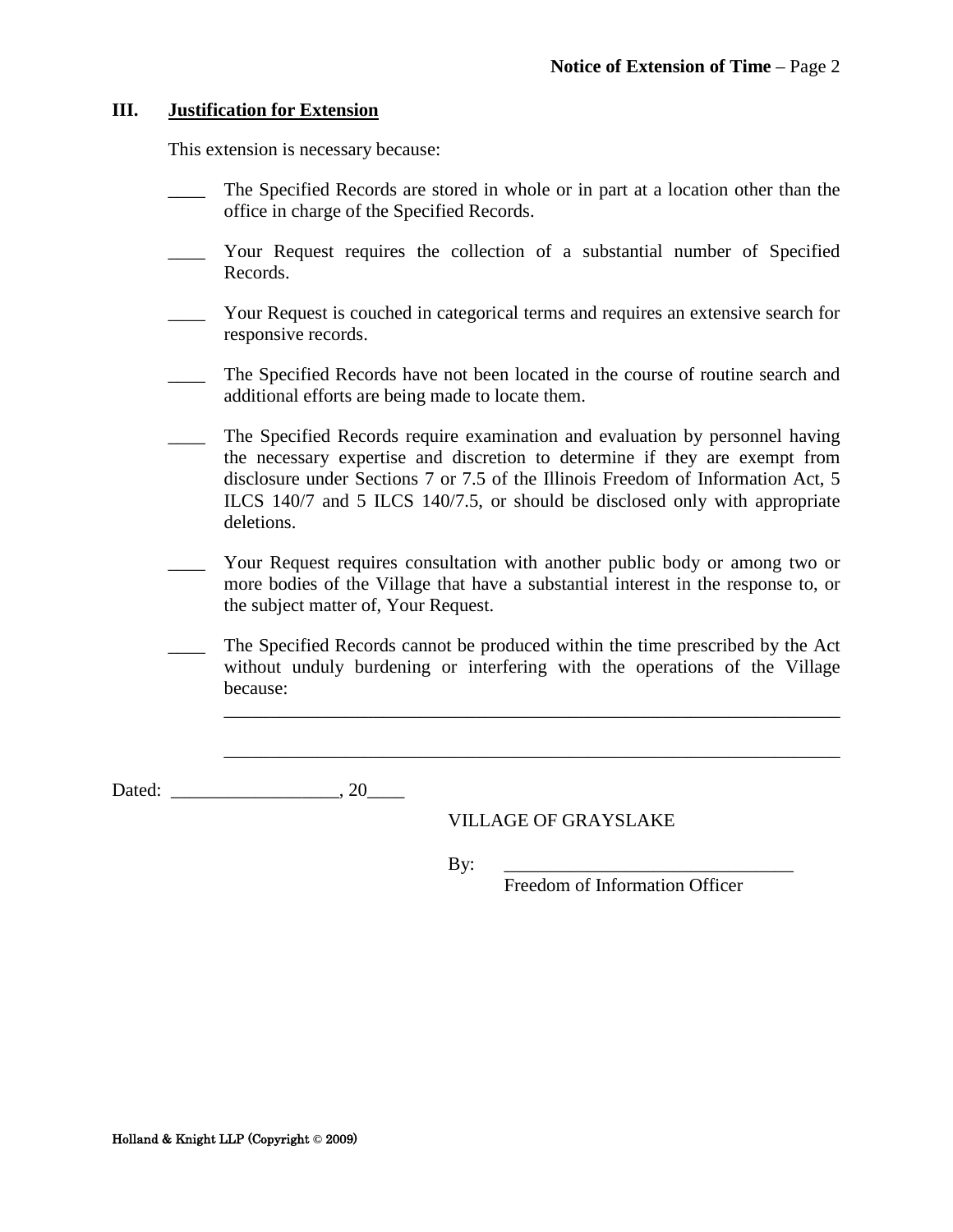#### **III. Justification for Extension**

This extension is necessary because:

- The Specified Records are stored in whole or in part at a location other than the office in charge of the Specified Records.
- \_\_\_\_ Your Request requires the collection of a substantial number of Specified Records.
- \_\_\_\_ Your Request is couched in categorical terms and requires an extensive search for responsive records.
- \_\_\_\_ The Specified Records have not been located in the course of routine search and additional efforts are being made to locate them.
- \_\_\_\_ The Specified Records require examination and evaluation by personnel having the necessary expertise and discretion to determine if they are exempt from disclosure under Sections 7 or 7.5 of the Illinois Freedom of Information Act, 5 ILCS 140/7 and 5 ILCS 140/7.5, or should be disclosed only with appropriate deletions.
- \_\_\_\_ Your Request requires consultation with another public body or among two or more bodies of the Village that have a substantial interest in the response to, or the subject matter of, Your Request.
- \_\_\_\_ The Specified Records cannot be produced within the time prescribed by the Act without unduly burdening or interfering with the operations of the Village because:

\_\_\_\_\_\_\_\_\_\_\_\_\_\_\_\_\_\_\_\_\_\_\_\_\_\_\_\_\_\_\_\_\_\_\_\_\_\_\_\_\_\_\_\_\_\_\_\_\_\_\_\_\_\_\_\_\_\_\_\_\_\_\_\_\_\_

\_\_\_\_\_\_\_\_\_\_\_\_\_\_\_\_\_\_\_\_\_\_\_\_\_\_\_\_\_\_\_\_\_\_\_\_\_\_\_\_\_\_\_\_\_\_\_\_\_\_\_\_\_\_\_\_\_\_\_\_\_\_\_\_\_\_

Dated: \_\_\_\_\_\_\_\_\_\_\_\_\_\_\_\_\_\_, 20\_\_\_\_

VILLAGE OF GRAYSLAKE

By: \_\_\_\_\_\_\_\_\_\_\_\_\_\_\_\_\_\_\_\_\_\_\_\_\_\_\_\_\_\_\_

Freedom of Information Officer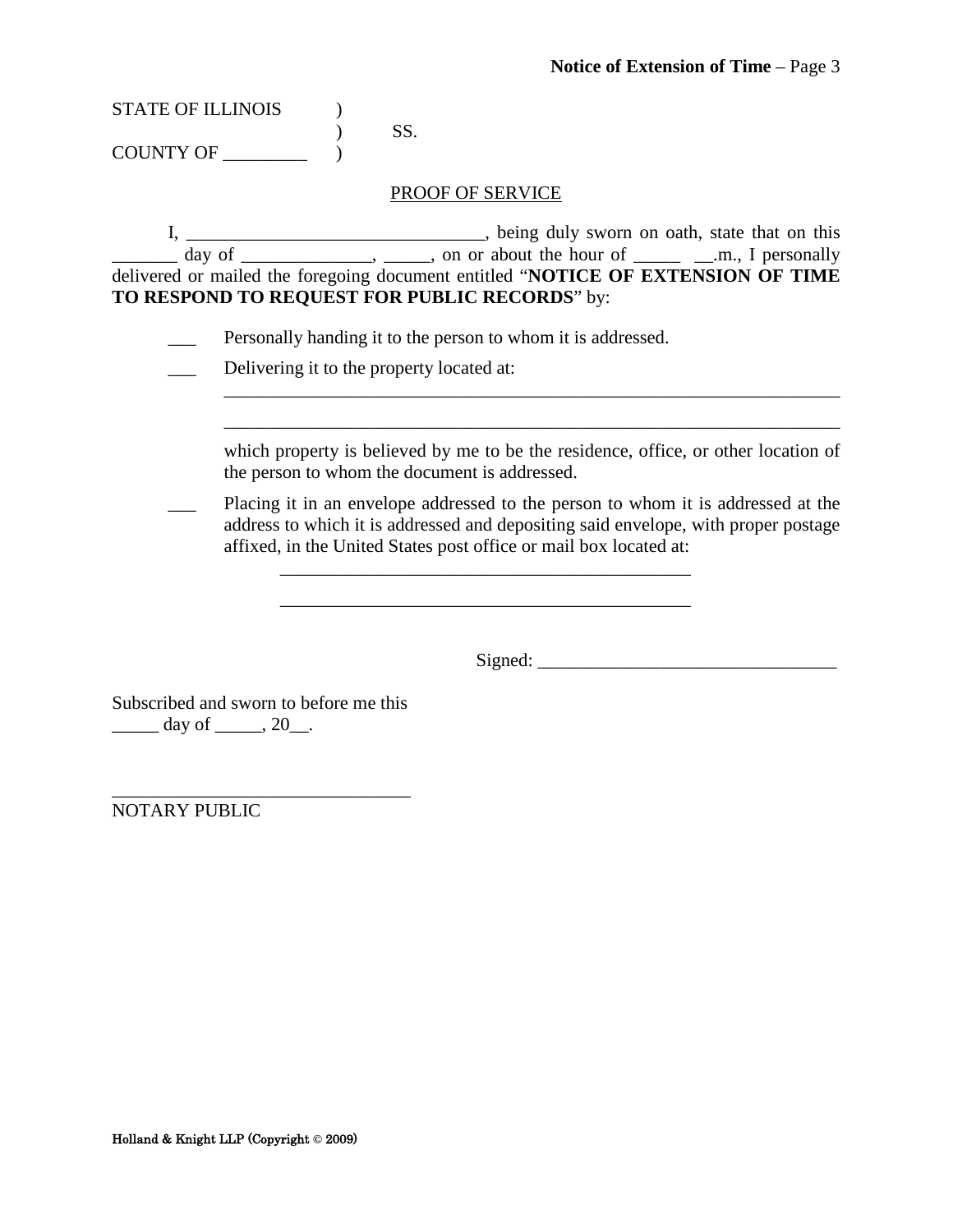| <b>STATE OF ILLINOIS</b> |      |  |
|--------------------------|------|--|
|                          | -SS. |  |
| <b>COUNTY OF</b>         |      |  |

#### PROOF OF SERVICE

I, \_\_\_\_\_\_\_\_\_\_\_\_\_\_\_\_\_\_\_\_\_\_\_\_\_\_\_\_\_\_\_\_, being duly sworn on oath, state that on this  $\frac{1}{\sqrt{2}}$  day of  $\frac{1}{\sqrt{2}}$ ,  $\frac{1}{\sqrt{2}}$ , on or about the hour of  $\frac{1}{\sqrt{2}}$  and  $\frac{1}{\sqrt{2}}$  personally delivered or mailed the foregoing document entitled "**NOTICE OF EXTENSION OF TIME TO RESPOND TO REQUEST FOR PUBLIC RECORDS**" by:

- **EXECUTE:** Personally handing it to the person to whom it is addressed.
- Delivering it to the property located at:

| which property is believed by me to be the residence, office, or other location of |  |  |
|------------------------------------------------------------------------------------|--|--|
| the person to whom the document is addressed.                                      |  |  |

 $\overline{\phantom{a}}$  , and the contribution of the contribution of the contribution of the contribution of the contribution of the contribution of the contribution of the contribution of the contribution of the contribution of the \_\_\_\_\_\_\_\_\_\_\_\_\_\_\_\_\_\_\_\_\_\_\_\_\_\_\_\_\_\_\_\_\_\_\_\_\_\_\_\_\_\_\_\_\_\_\_\_\_\_\_\_\_\_\_\_\_\_\_\_\_\_\_\_\_\_

Placing it in an envelope addressed to the person to whom it is addressed at the address to which it is addressed and depositing said envelope, with proper postage affixed, in the United States post office or mail box located at:

\_\_\_\_\_\_\_\_\_\_\_\_\_\_\_\_\_\_\_\_\_\_\_\_\_\_\_\_\_\_\_\_\_\_\_\_\_\_\_\_\_\_\_\_

Signed: \_\_\_\_\_\_\_\_\_\_\_\_\_\_\_\_\_\_\_\_\_\_\_\_\_\_\_\_\_\_\_\_

Subscribed and sworn to before me this  $\frac{day \text{ of } 20}{.}$ 

\_\_\_\_\_\_\_\_\_\_\_\_\_\_\_\_\_\_\_\_\_\_\_\_\_\_\_\_\_\_\_\_

NOTARY PUBLIC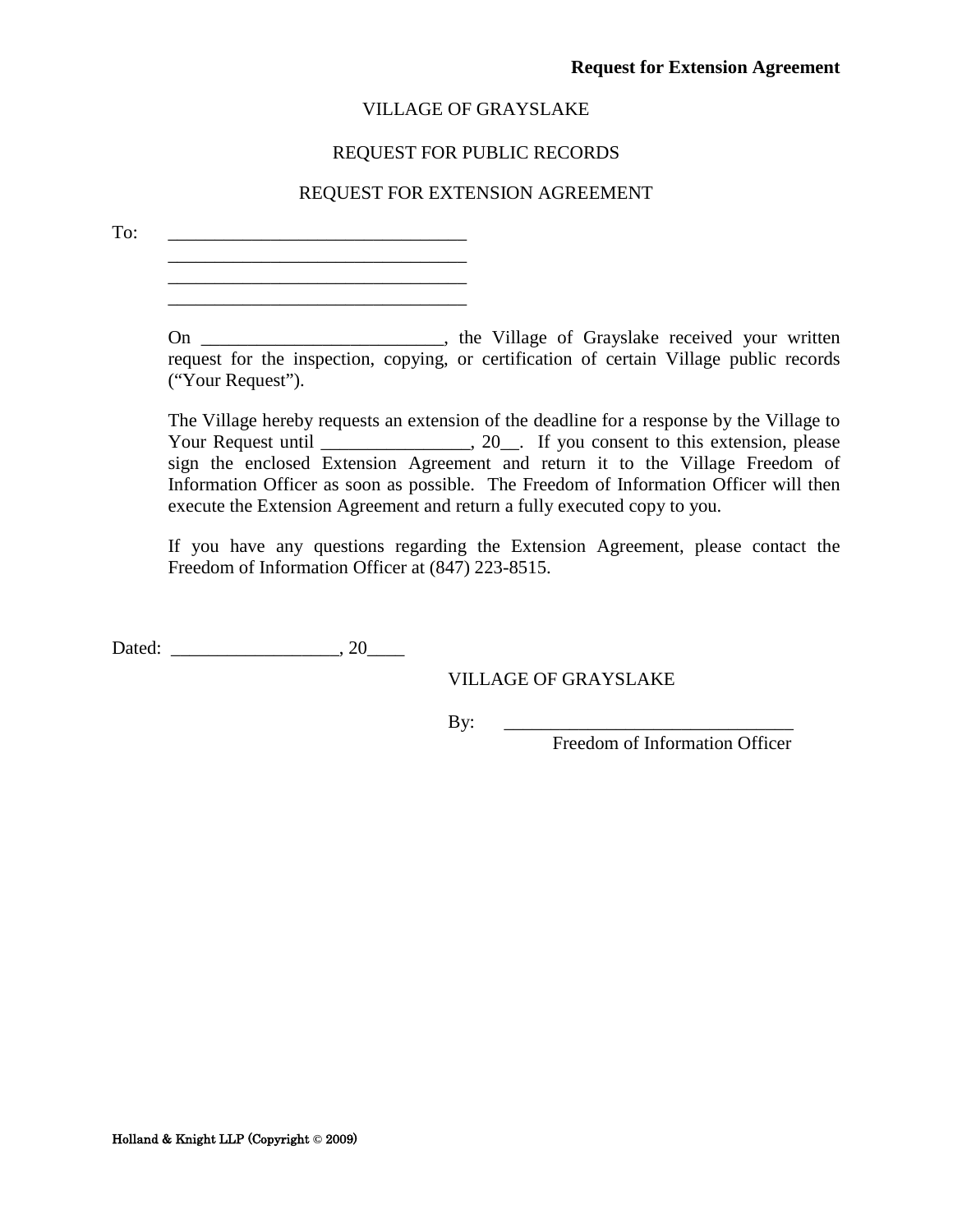#### REQUEST FOR PUBLIC RECORDS

#### REQUEST FOR EXTENSION AGREEMENT

<span id="page-32-0"></span>To:

\_\_\_\_\_\_\_\_\_\_\_\_\_\_\_\_\_\_\_\_\_\_\_\_\_\_\_\_\_\_\_\_ \_\_\_\_\_\_\_\_\_\_\_\_\_\_\_\_\_\_\_\_\_\_\_\_\_\_\_\_\_\_\_\_

On \_\_\_\_\_\_\_\_\_\_\_\_\_\_\_\_\_\_\_\_\_\_\_\_, the Village of Grayslake received your written request for the inspection, copying, or certification of certain Village public records ("Your Request").

The Village hereby requests an extension of the deadline for a response by the Village to Your Request until \_\_\_\_\_\_\_\_\_\_\_\_\_, 20\_. If you consent to this extension, please sign the enclosed Extension Agreement and return it to the Village Freedom of Information Officer as soon as possible. The Freedom of Information Officer will then execute the Extension Agreement and return a fully executed copy to you.

If you have any questions regarding the Extension Agreement, please contact the Freedom of Information Officer at (847) 223-8515.

Dated: \_\_\_\_\_\_\_\_\_\_\_\_\_\_\_\_\_\_, 20\_\_\_\_

VILLAGE OF GRAYSLAKE

By: \_\_\_\_\_\_\_\_\_\_\_\_\_\_\_\_\_\_\_\_\_\_\_\_\_\_\_\_\_\_\_

Freedom of Information Officer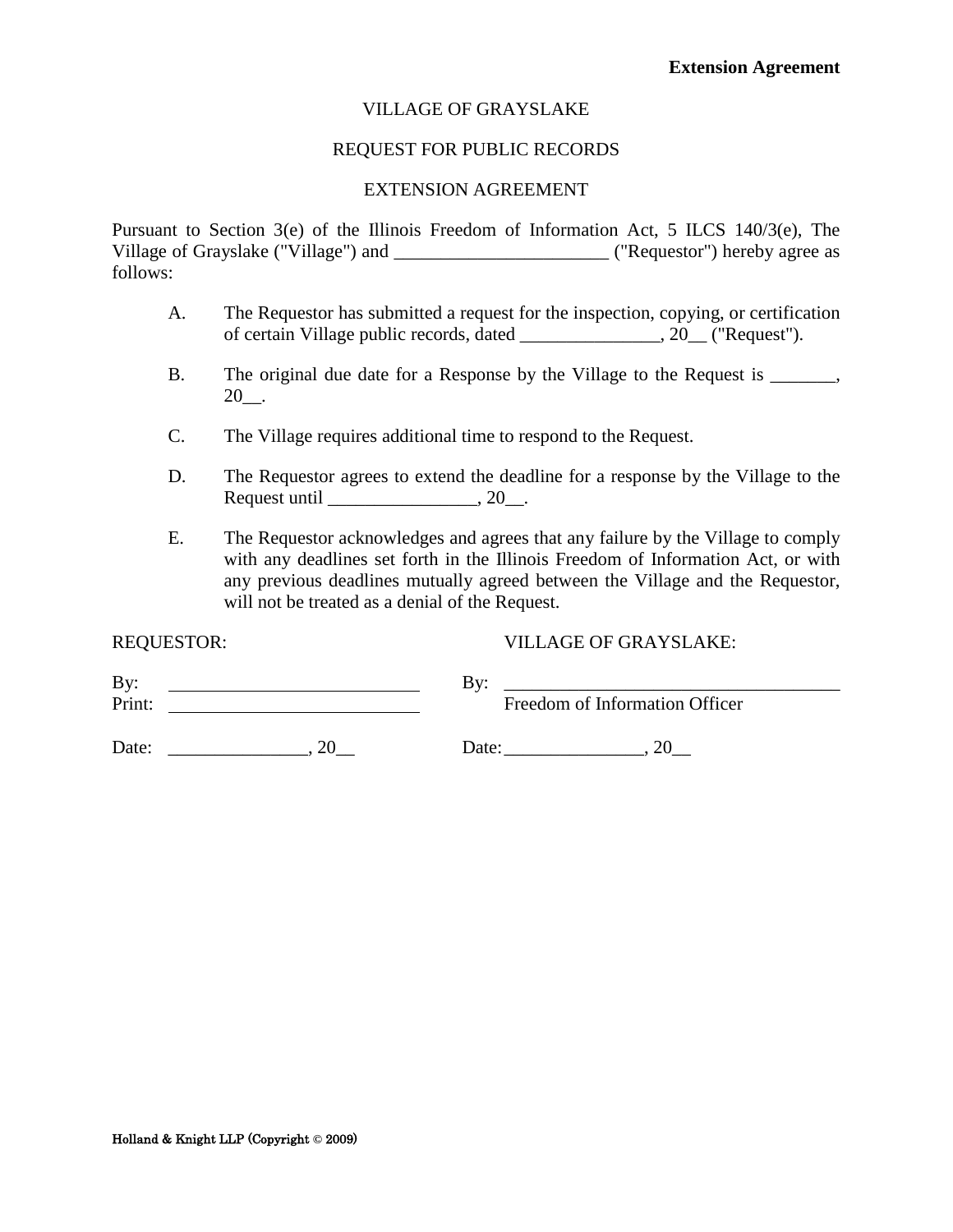#### REQUEST FOR PUBLIC RECORDS

#### EXTENSION AGREEMENT

<span id="page-33-0"></span>Pursuant to Section 3(e) of the Illinois Freedom of Information Act, 5 ILCS 140/3(e), The Village of Grayslake ("Village") and \_\_\_\_\_\_\_\_\_\_\_\_\_\_\_\_\_\_\_\_\_\_\_\_\_\_\_\_ ("Requestor") hereby agree as follows:

- A. The Requestor has submitted a request for the inspection, copying, or certification of certain Village public records, dated \_\_\_\_\_\_\_\_\_\_\_\_\_\_\_, 20\_\_ ("Request").
- B. The original due date for a Response by the Village to the Request is \_\_\_\_\_\_, 20\_\_.
- C. The Village requires additional time to respond to the Request.
- D. The Requestor agrees to extend the deadline for a response by the Village to the Request until  $\qquad \qquad$  , 20.
- E. The Requestor acknowledges and agrees that any failure by the Village to comply with any deadlines set forth in the Illinois Freedom of Information Act, or with any previous deadlines mutually agreed between the Village and the Requestor, will not be treated as a denial of the Request.

#### REQUESTOR: VILLAGE OF GRAYSLAKE:

| By:    | Bv:   |                                |
|--------|-------|--------------------------------|
| Print: |       | Freedom of Information Officer |
| Date:  | Date: |                                |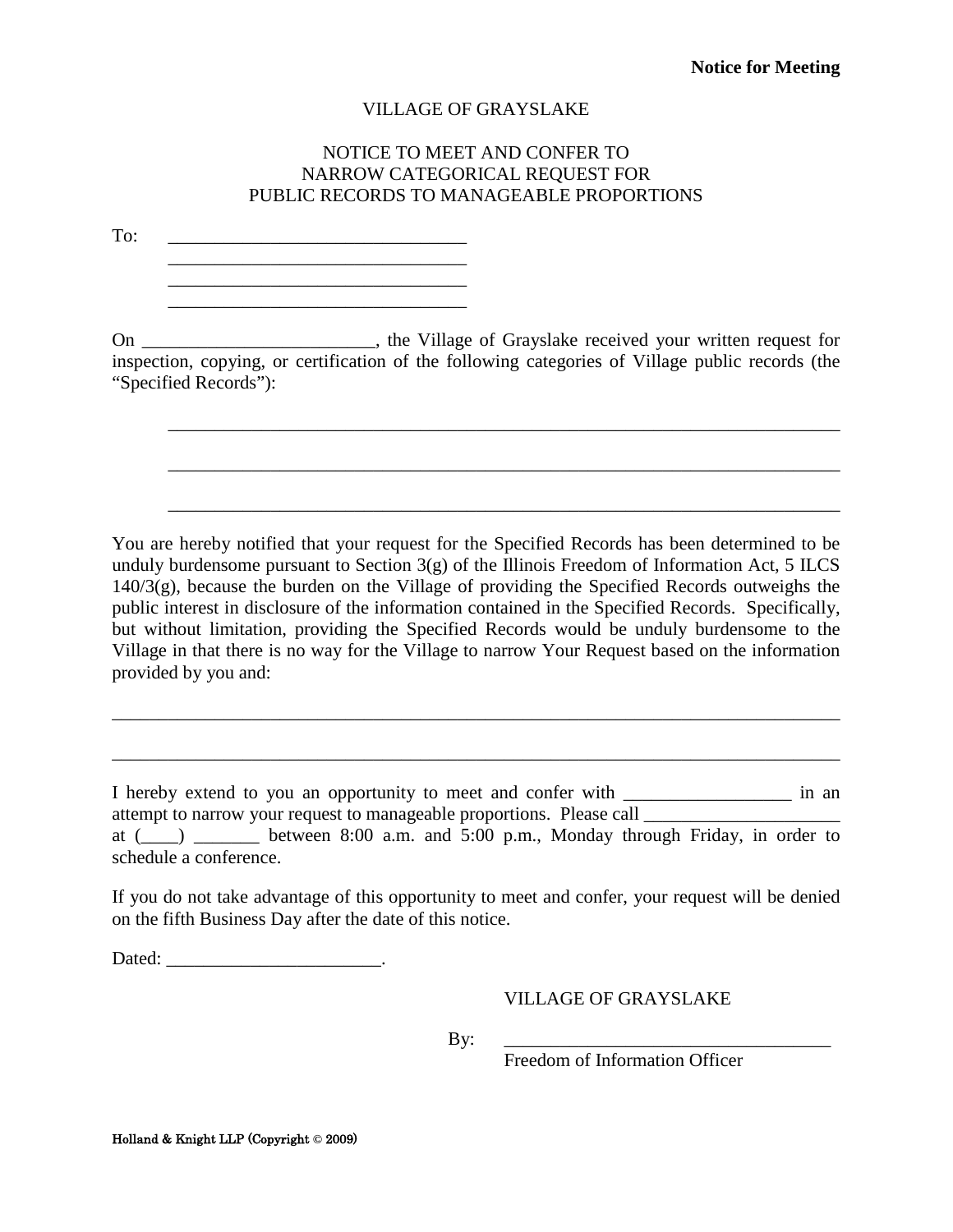#### NOTICE TO MEET AND CONFER TO NARROW CATEGORICAL REQUEST FOR PUBLIC RECORDS TO MANAGEABLE PROPORTIONS

<span id="page-34-0"></span>To: \_\_\_\_\_\_\_\_\_\_\_\_\_\_\_\_\_\_\_\_\_\_\_\_\_\_\_\_\_\_\_\_

\_\_\_\_\_\_\_\_\_\_\_\_\_\_\_\_\_\_\_\_\_\_\_\_\_\_\_\_\_\_\_\_ \_\_\_\_\_\_\_\_\_\_\_\_\_\_\_\_\_\_\_\_\_\_\_\_\_\_\_\_\_\_\_\_

On \_\_\_\_\_\_\_\_\_\_\_\_\_\_\_\_\_\_\_\_\_\_\_, the Village of Grayslake received your written request for inspection, copying, or certification of the following categories of Village public records (the "Specified Records"):

\_\_\_\_\_\_\_\_\_\_\_\_\_\_\_\_\_\_\_\_\_\_\_\_\_\_\_\_\_\_\_\_\_\_\_\_\_\_\_\_\_\_\_\_\_\_\_\_\_\_\_\_\_\_\_\_\_\_\_\_\_\_\_\_\_\_\_\_\_\_\_\_

\_\_\_\_\_\_\_\_\_\_\_\_\_\_\_\_\_\_\_\_\_\_\_\_\_\_\_\_\_\_\_\_\_\_\_\_\_\_\_\_\_\_\_\_\_\_\_\_\_\_\_\_\_\_\_\_\_\_\_\_\_\_\_\_\_\_\_\_\_\_\_\_

\_\_\_\_\_\_\_\_\_\_\_\_\_\_\_\_\_\_\_\_\_\_\_\_\_\_\_\_\_\_\_\_\_\_\_\_\_\_\_\_\_\_\_\_\_\_\_\_\_\_\_\_\_\_\_\_\_\_\_\_\_\_\_\_\_\_\_\_\_\_\_\_

You are hereby notified that your request for the Specified Records has been determined to be unduly burdensome pursuant to Section  $3(g)$  of the Illinois Freedom of Information Act, 5 ILCS 140/3(g), because the burden on the Village of providing the Specified Records outweighs the public interest in disclosure of the information contained in the Specified Records. Specifically, but without limitation, providing the Specified Records would be unduly burdensome to the Village in that there is no way for the Village to narrow Your Request based on the information provided by you and:

I hereby extend to you an opportunity to meet and confer with \_\_\_\_\_\_\_\_\_\_\_\_\_\_\_\_\_\_\_\_\_\_ in an attempt to narrow your request to manageable proportions. Please call \_\_\_\_\_\_\_\_\_\_\_ at  $(\_\_\_\_\_\_\_\_\_\_\_\_\_\_\_\_\_\_\_\_\_\_\_\_\_\_\_\_\_\_$  between 8:00 a.m. and 5:00 p.m., Monday through Friday, in order to schedule a conference.

\_\_\_\_\_\_\_\_\_\_\_\_\_\_\_\_\_\_\_\_\_\_\_\_\_\_\_\_\_\_\_\_\_\_\_\_\_\_\_\_\_\_\_\_\_\_\_\_\_\_\_\_\_\_\_\_\_\_\_\_\_\_\_\_\_\_\_\_\_\_\_\_\_\_\_\_\_\_

\_\_\_\_\_\_\_\_\_\_\_\_\_\_\_\_\_\_\_\_\_\_\_\_\_\_\_\_\_\_\_\_\_\_\_\_\_\_\_\_\_\_\_\_\_\_\_\_\_\_\_\_\_\_\_\_\_\_\_\_\_\_\_\_\_\_\_\_\_\_\_\_\_\_\_\_\_\_

If you do not take advantage of this opportunity to meet and confer, your request will be denied on the fifth Business Day after the date of this notice.

Dated: \_\_\_\_\_\_\_\_\_\_\_\_\_\_\_\_\_\_\_\_\_\_\_.

VILLAGE OF GRAYSLAKE

By: \_\_\_\_\_\_\_\_\_\_\_\_\_\_\_\_\_\_\_\_\_\_\_\_\_\_\_\_\_\_\_\_\_\_\_

Freedom of Information Officer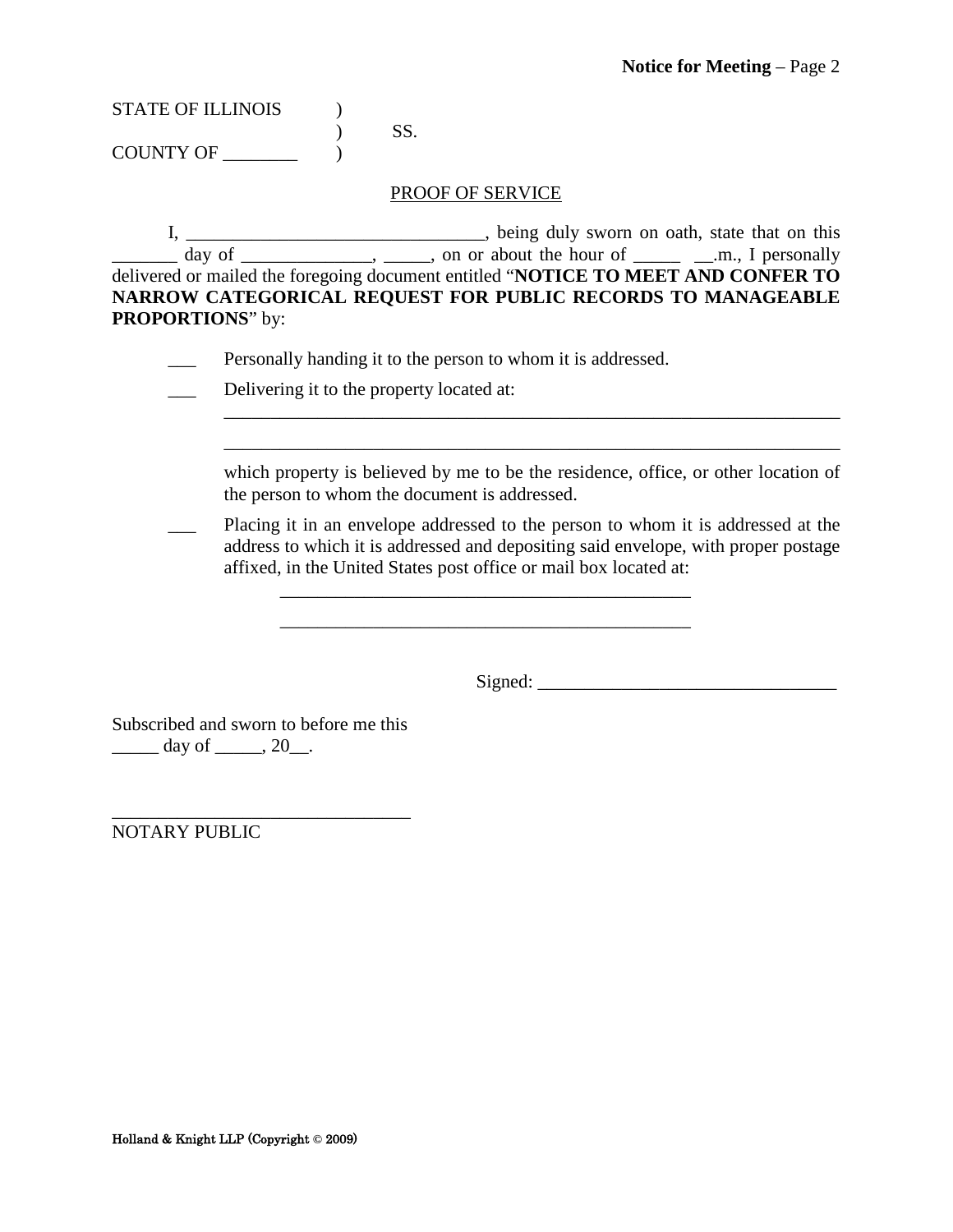| <b>STATE OF ILLINOIS</b> |  |
|--------------------------|--|
|                          |  |

COUNTY OF \_\_\_\_\_\_\_\_ )

#### PROOF OF SERVICE

I, \_\_\_\_\_\_\_\_\_\_\_\_\_\_\_\_\_\_\_\_\_\_\_\_\_\_\_\_\_\_\_\_, being duly sworn on oath, state that on this  $\frac{1}{\sqrt{2}}$  day of  $\frac{1}{\sqrt{2}}$ ,  $\frac{1}{\sqrt{2}}$ , on or about the hour of  $\frac{1}{\sqrt{2}}$  and  $\frac{1}{\sqrt{2}}$  personally delivered or mailed the foregoing document entitled "**NOTICE TO MEET AND CONFER TO NARROW CATEGORICAL REQUEST FOR PUBLIC RECORDS TO MANAGEABLE PROPORTIONS**" by:

\_\_\_ Personally handing it to the person to whom it is addressed.

|  | Delivering it to the property located at: |
|--|-------------------------------------------|
|--|-------------------------------------------|

which property is believed by me to be the residence, office, or other location of the person to whom the document is addressed.

\_\_\_\_\_\_\_\_\_\_\_\_\_\_\_\_\_\_\_\_\_\_\_\_\_\_\_\_\_\_\_\_\_\_\_\_\_\_\_\_\_\_\_\_\_\_\_\_\_\_\_\_\_\_\_\_\_\_\_\_\_\_\_\_\_\_ \_\_\_\_\_\_\_\_\_\_\_\_\_\_\_\_\_\_\_\_\_\_\_\_\_\_\_\_\_\_\_\_\_\_\_\_\_\_\_\_\_\_\_\_\_\_\_\_\_\_\_\_\_\_\_\_\_\_\_\_\_\_\_\_\_\_

Placing it in an envelope addressed to the person to whom it is addressed at the address to which it is addressed and depositing said envelope, with proper postage affixed, in the United States post office or mail box located at:

\_\_\_\_\_\_\_\_\_\_\_\_\_\_\_\_\_\_\_\_\_\_\_\_\_\_\_\_\_\_\_\_\_\_\_\_\_\_\_\_\_\_\_\_

Signed: \_\_\_\_\_\_\_\_\_\_\_\_\_\_\_\_\_\_\_\_\_\_\_\_\_\_\_\_\_\_\_\_

Subscribed and sworn to before me this  $\frac{day \text{ of }_1 \dots 20}{x}$ .

\_\_\_\_\_\_\_\_\_\_\_\_\_\_\_\_\_\_\_\_\_\_\_\_\_\_\_\_\_\_\_\_ NOTARY PUBLIC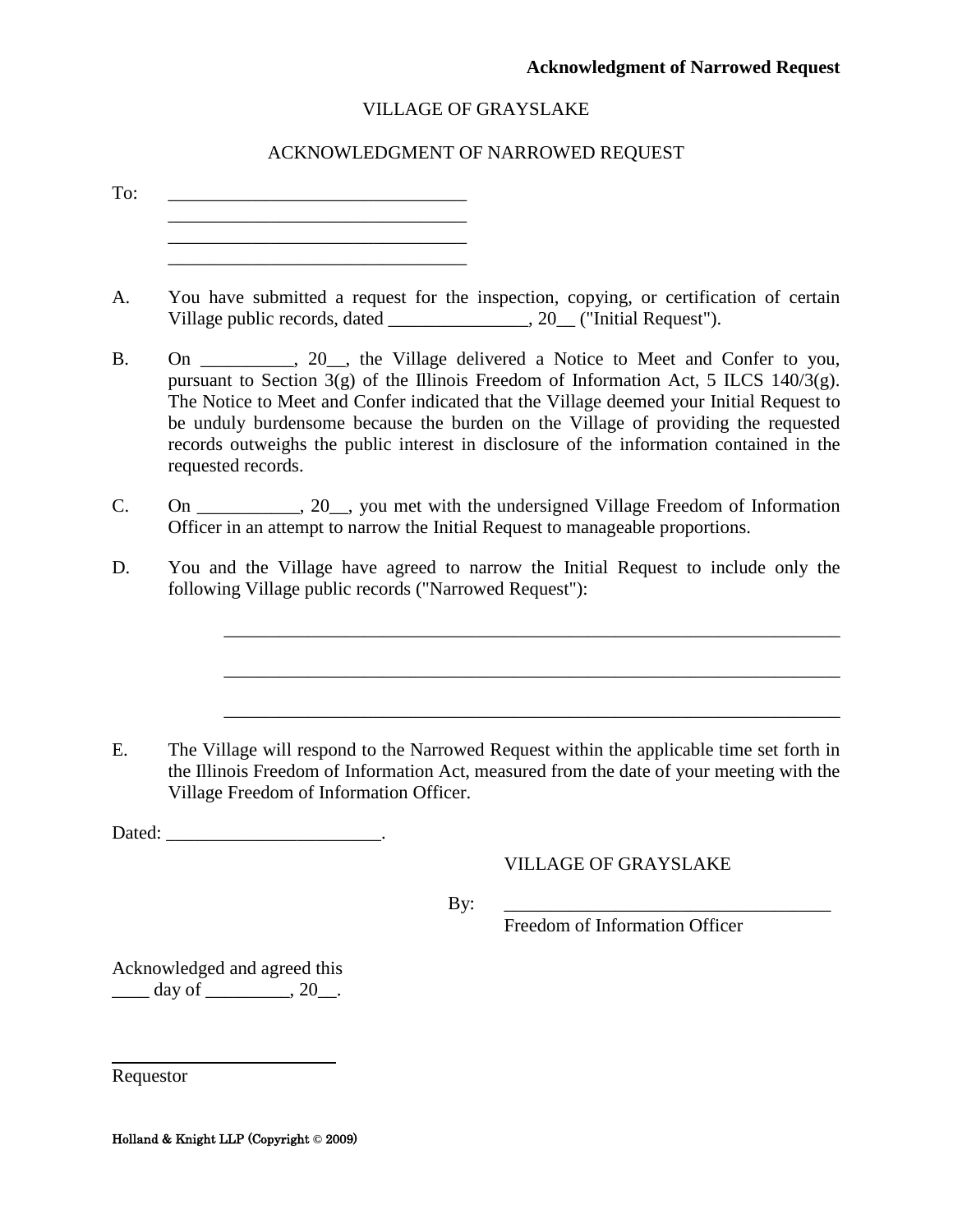#### ACKNOWLEDGMENT OF NARROWED REQUEST

<span id="page-36-0"></span>

| To: |                                                                                                                                                                                                                                                                                                                                                                                                                                                                        |
|-----|------------------------------------------------------------------------------------------------------------------------------------------------------------------------------------------------------------------------------------------------------------------------------------------------------------------------------------------------------------------------------------------------------------------------------------------------------------------------|
|     | the control of the control of the control of the control of the control of the control of                                                                                                                                                                                                                                                                                                                                                                              |
| A.  | You have submitted a request for the inspection, copying, or certification of certain<br>Village public records, dated ________________, 20_ ("Initial Request").                                                                                                                                                                                                                                                                                                      |
|     | On _________, 20_, the Village delivered a Notice to Meet and Confer to you,<br>pursuant to Section 3(g) of the Illinois Freedom of Information Act, 5 ILCS 140/3(g).<br>The Notice to Meet and Confer indicated that the Village deemed your Initial Request to<br>be unduly burdensome because the burden on the Village of providing the requested<br>records outweighs the public interest in disclosure of the information contained in the<br>requested records. |
|     | On ___________, 20__, you met with the undersigned Village Freedom of Information<br>Officer in an attempt to narrow the Initial Request to manageable proportions.                                                                                                                                                                                                                                                                                                    |
|     | You and the Village have agreed to narrow the Initial Request to include only the<br>following Village public records ("Narrowed Request"):                                                                                                                                                                                                                                                                                                                            |
|     | The Village will respond to the Narrowed Request within the applicable time set forth in<br>the Illinois Freedom of Information Act, measured from the date of your meeting with the                                                                                                                                                                                                                                                                                   |
|     | Village Freedom of Information Officer.                                                                                                                                                                                                                                                                                                                                                                                                                                |
|     | <b>VILLAGE OF GRAYSLAKE</b>                                                                                                                                                                                                                                                                                                                                                                                                                                            |
|     | By:<br>Freedom of Information Officer                                                                                                                                                                                                                                                                                                                                                                                                                                  |
|     | Acknowledged and agreed this<br>day of ___________, 20___.                                                                                                                                                                                                                                                                                                                                                                                                             |

Requestor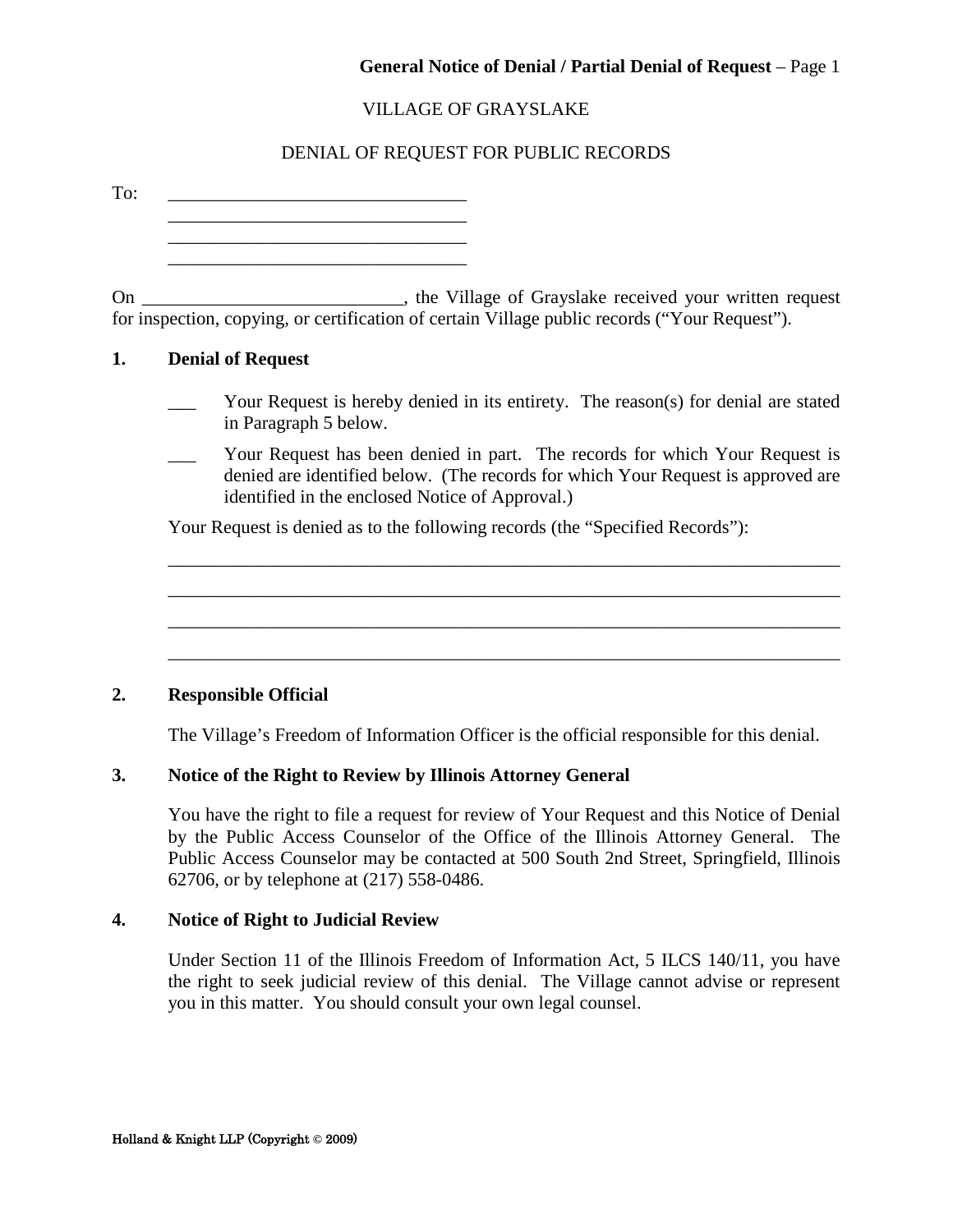#### General Notice of Denial / Partial Denial of Request - Page 1

#### VILLAGE OF GRAYSLAKE

#### DENIAL OF REQUEST FOR PUBLIC RECORDS

<span id="page-37-0"></span>To:  $\qquad \qquad \overline{\qquad \qquad }$ \_\_\_\_\_\_\_\_\_\_\_\_\_\_\_\_\_\_\_\_\_\_\_\_\_\_\_\_\_\_\_\_ \_\_\_\_\_\_\_\_\_\_\_\_\_\_\_\_\_\_\_\_\_\_\_\_\_\_\_\_\_\_\_\_ \_\_\_\_\_\_\_\_\_\_\_\_\_\_\_\_\_\_\_\_\_\_\_\_\_\_\_\_\_\_\_\_

On \_\_\_\_\_\_\_\_\_\_\_\_\_\_\_\_\_\_\_\_\_\_\_\_\_\_, the Village of Grayslake received your written request for inspection, copying, or certification of certain Village public records ("Your Request").

#### **1. Denial of Request**

- Your Request is hereby denied in its entirety. The reason(s) for denial are stated in Paragraph 5 below.
- Your Request has been denied in part. The records for which Your Request is denied are identified below. (The records for which Your Request is approved are identified in the enclosed Notice of Approval.)

\_\_\_\_\_\_\_\_\_\_\_\_\_\_\_\_\_\_\_\_\_\_\_\_\_\_\_\_\_\_\_\_\_\_\_\_\_\_\_\_\_\_\_\_\_\_\_\_\_\_\_\_\_\_\_\_\_\_\_\_\_\_\_\_\_\_\_\_\_\_\_\_ \_\_\_\_\_\_\_\_\_\_\_\_\_\_\_\_\_\_\_\_\_\_\_\_\_\_\_\_\_\_\_\_\_\_\_\_\_\_\_\_\_\_\_\_\_\_\_\_\_\_\_\_\_\_\_\_\_\_\_\_\_\_\_\_\_\_\_\_\_\_\_\_ \_\_\_\_\_\_\_\_\_\_\_\_\_\_\_\_\_\_\_\_\_\_\_\_\_\_\_\_\_\_\_\_\_\_\_\_\_\_\_\_\_\_\_\_\_\_\_\_\_\_\_\_\_\_\_\_\_\_\_\_\_\_\_\_\_\_\_\_\_\_\_\_

 $\_$  , and the set of the set of the set of the set of the set of the set of the set of the set of the set of the set of the set of the set of the set of the set of the set of the set of the set of the set of the set of th

Your Request is denied as to the following records (the "Specified Records"):

#### **2. Responsible Official**

The Village's Freedom of Information Officer is the official responsible for this denial.

#### **3. Notice of the Right to Review by Illinois Attorney General**

You have the right to file a request for review of Your Request and this Notice of Denial by the Public Access Counselor of the Office of the Illinois Attorney General. The Public Access Counselor may be contacted at 500 South 2nd Street, Springfield, Illinois 62706, or by telephone at (217) 558-0486.

#### **4. Notice of Right to Judicial Review**

Under Section 11 of the Illinois Freedom of Information Act, 5 ILCS 140/11, you have the right to seek judicial review of this denial. The Village cannot advise or represent you in this matter. You should consult your own legal counsel.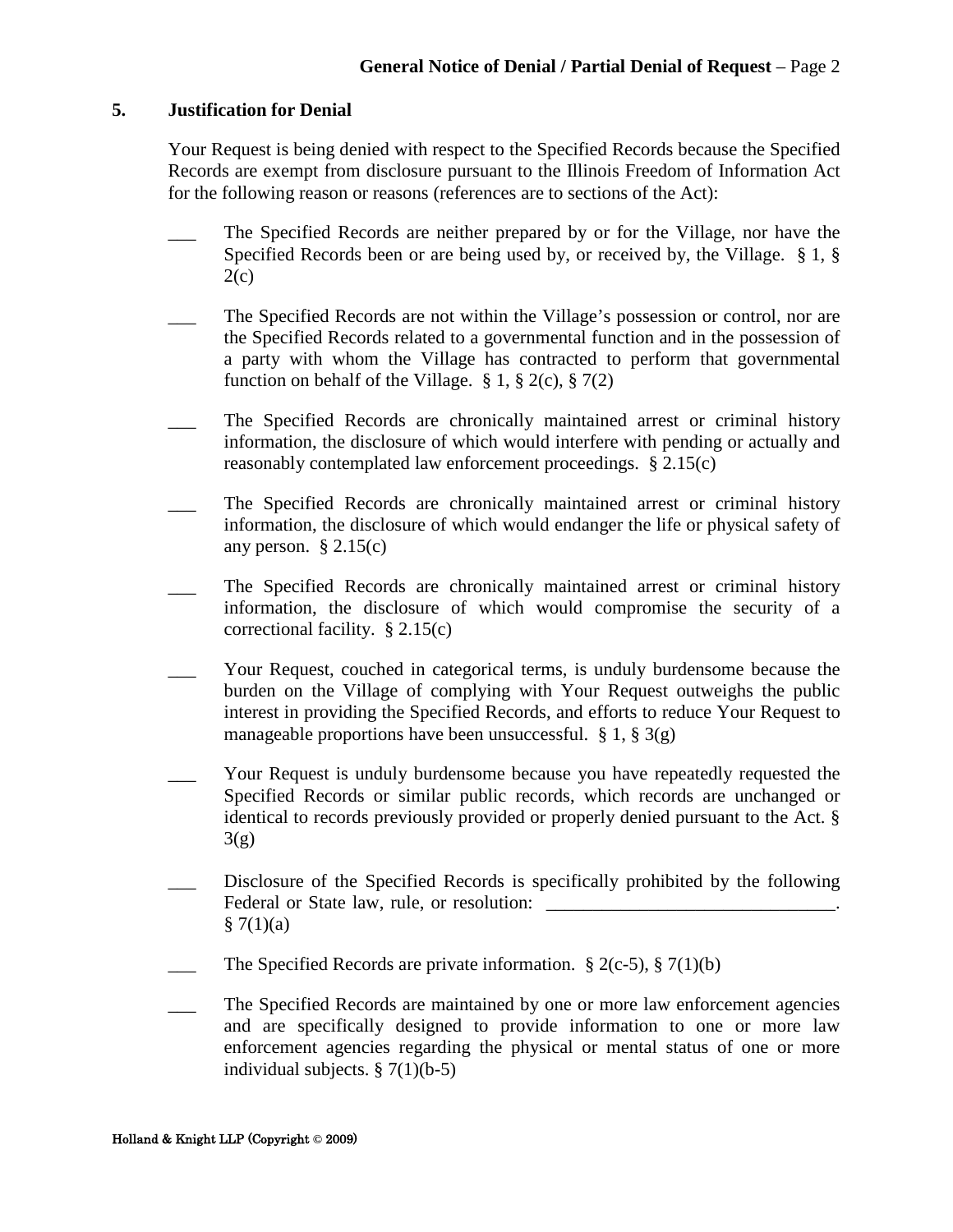#### **5. Justification for Denial**

Your Request is being denied with respect to the Specified Records because the Specified Records are exempt from disclosure pursuant to the Illinois Freedom of Information Act for the following reason or reasons (references are to sections of the Act):

- \_\_\_ The Specified Records are neither prepared by or for the Village, nor have the Specified Records been or are being used by, or received by, the Village. § 1, §  $2(c)$
- \_\_\_ The Specified Records are not within the Village's possession or control, nor are the Specified Records related to a governmental function and in the possession of a party with whom the Village has contracted to perform that governmental function on behalf of the Village.  $\S 1$ ,  $\S 2(c)$ ,  $\S 7(2)$
- The Specified Records are chronically maintained arrest or criminal history information, the disclosure of which would interfere with pending or actually and reasonably contemplated law enforcement proceedings. § 2.15(c)
- The Specified Records are chronically maintained arrest or criminal history information, the disclosure of which would endanger the life or physical safety of any person.  $\S 2.15(c)$
- The Specified Records are chronically maintained arrest or criminal history information, the disclosure of which would compromise the security of a correctional facility. § 2.15(c)
- Your Request, couched in categorical terms, is unduly burdensome because the burden on the Village of complying with Your Request outweighs the public interest in providing the Specified Records, and efforts to reduce Your Request to manageable proportions have been unsuccessful.  $\S 1, \S 3(g)$
- Your Request is unduly burdensome because you have repeatedly requested the Specified Records or similar public records, which records are unchanged or identical to records previously provided or properly denied pursuant to the Act. §  $3(g)$
- Disclosure of the Specified Records is specifically prohibited by the following Federal or State law, rule, or resolution:  $§ 7(1)(a)$
- The Specified Records are private information.  $\S 2(c-5)$ ,  $\S 7(1)(b)$
- \_\_\_ The Specified Records are maintained by one or more law enforcement agencies and are specifically designed to provide information to one or more law enforcement agencies regarding the physical or mental status of one or more individual subjects.  $\S 7(1)(b-5)$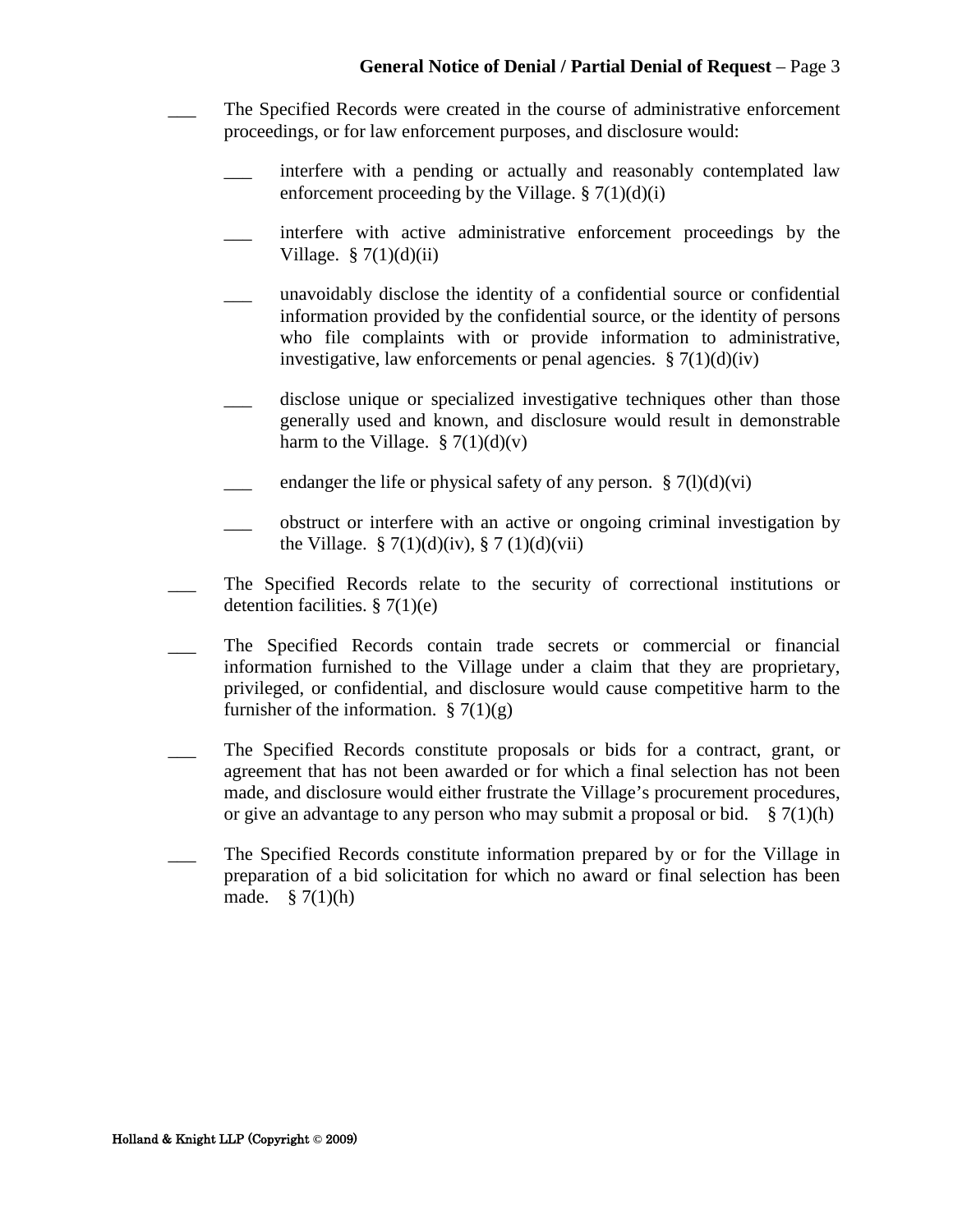- \_\_\_ The Specified Records were created in the course of administrative enforcement proceedings, or for law enforcement purposes, and disclosure would:
	- interfere with a pending or actually and reasonably contemplated law enforcement proceeding by the Village.  $\S 7(1)(d)(i)$
	- interfere with active administrative enforcement proceedings by the Village.  $\S 7(1)(d)(ii)$
	- \_\_\_ unavoidably disclose the identity of a confidential source or confidential information provided by the confidential source, or the identity of persons who file complaints with or provide information to administrative, investigative, law enforcements or penal agencies.  $\S 7(1)(d)(iv)$
	- disclose unique or specialized investigative techniques other than those generally used and known, and disclosure would result in demonstrable harm to the Village.  $\S 7(1)(d)(v)$
	- endanger the life or physical safety of any person.  $\S 7(1)(d)(vi)$
	- \_\_\_ obstruct or interfere with an active or ongoing criminal investigation by the Village.  $\S 7(1)(d)(iv)$ ,  $\S 7(1)(d)(vii)$
- The Specified Records relate to the security of correctional institutions or detention facilities.  $\S 7(1)(e)$
- \_\_\_ The Specified Records contain trade secrets or commercial or financial information furnished to the Village under a claim that they are proprietary, privileged, or confidential, and disclosure would cause competitive harm to the furnisher of the information.  $\S 7(1)(g)$
- \_\_\_ The Specified Records constitute proposals or bids for a contract, grant, or agreement that has not been awarded or for which a final selection has not been made, and disclosure would either frustrate the Village's procurement procedures, or give an advantage to any person who may submit a proposal or bid.  $\S 7(1)(h)$
- The Specified Records constitute information prepared by or for the Village in preparation of a bid solicitation for which no award or final selection has been made.  $§ 7(1)(h)$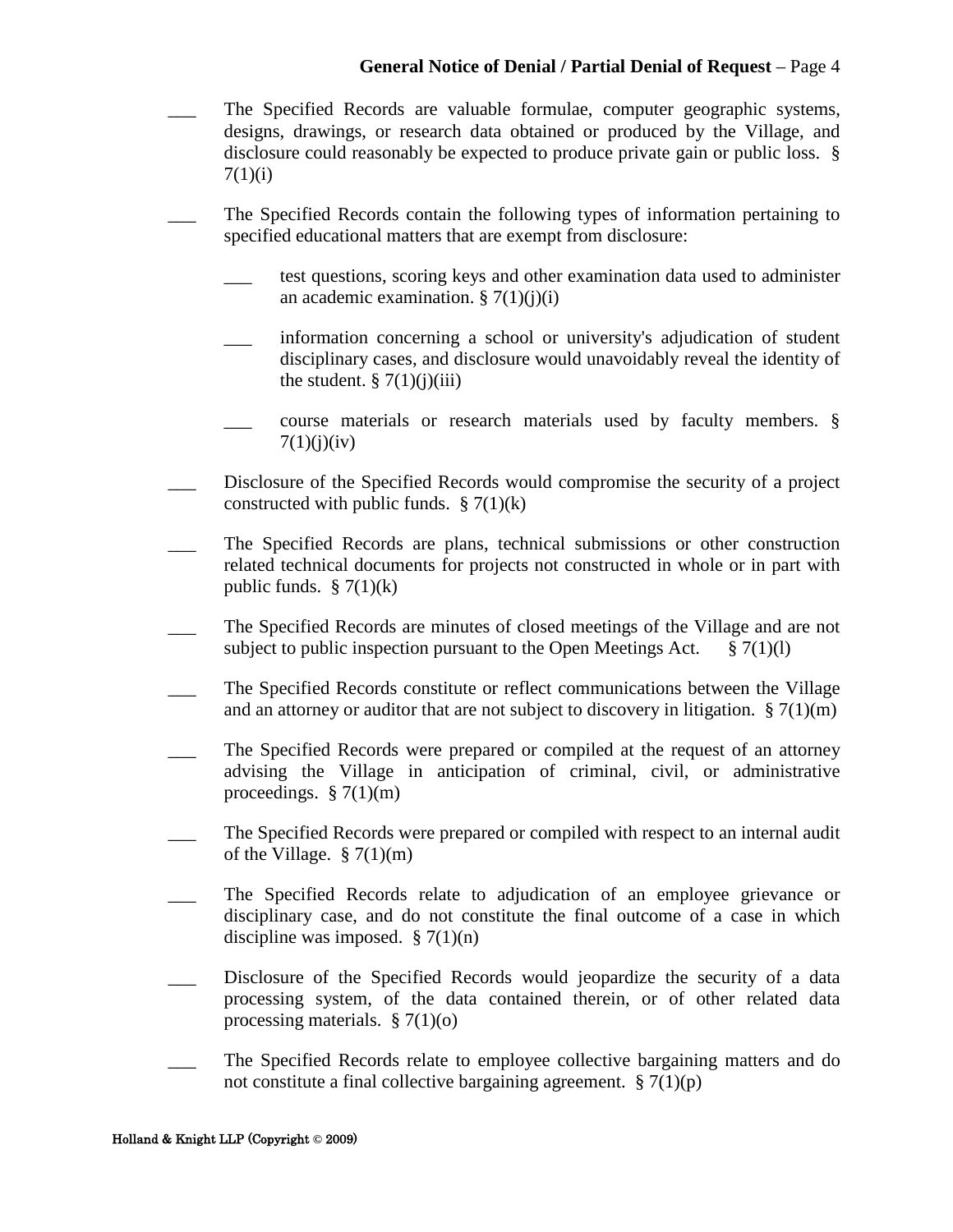- \_\_\_ The Specified Records are valuable formulae, computer geographic systems, designs, drawings, or research data obtained or produced by the Village, and disclosure could reasonably be expected to produce private gain or public loss. §  $7(1)(i)$
- \_\_\_ The Specified Records contain the following types of information pertaining to specified educational matters that are exempt from disclosure:
	- \_\_\_ test questions, scoring keys and other examination data used to administer an academic examination.  $\S 7(1)(j)(i)$
	- \_\_\_ information concerning a school or university's adjudication of student disciplinary cases, and disclosure would unavoidably reveal the identity of the student.  $\S 7(1)(i)(iii)$
	- course materials or research materials used by faculty members. §  $7(1)(i)(iv)$
- Disclosure of the Specified Records would compromise the security of a project constructed with public funds.  $\S 7(1)(k)$
- The Specified Records are plans, technical submissions or other construction related technical documents for projects not constructed in whole or in part with public funds.  $\S$  7(1)(k)
- \_\_\_ The Specified Records are minutes of closed meetings of the Village and are not subject to public inspection pursuant to the Open Meetings Act.  $\S 7(1)(1)$
- \_\_\_ The Specified Records constitute or reflect communications between the Village and an attorney or auditor that are not subject to discovery in litigation.  $\S 7(1)(m)$
- The Specified Records were prepared or compiled at the request of an attorney advising the Village in anticipation of criminal, civil, or administrative proceedings.  $\S 7(1)(m)$
- \_\_\_ The Specified Records were prepared or compiled with respect to an internal audit of the Village.  $\S 7(1)(m)$
- The Specified Records relate to adjudication of an employee grievance or disciplinary case, and do not constitute the final outcome of a case in which discipline was imposed.  $\S 7(1)(n)$
- Disclosure of the Specified Records would jeopardize the security of a data processing system, of the data contained therein, or of other related data processing materials.  $\S 7(1)(o)$
- The Specified Records relate to employee collective bargaining matters and do not constitute a final collective bargaining agreement.  $\S 7(1)(p)$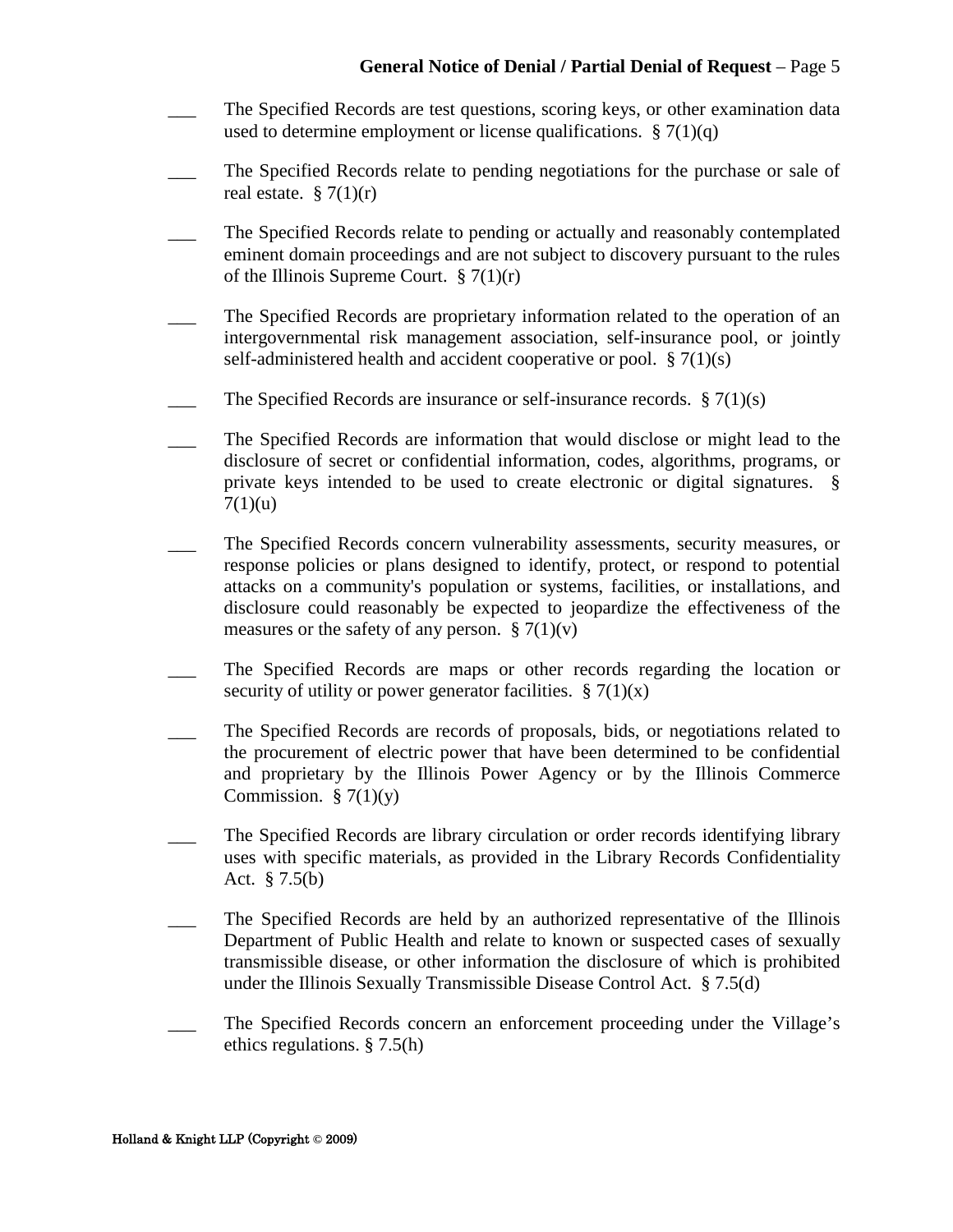- The Specified Records are test questions, scoring keys, or other examination data used to determine employment or license qualifications.  $\S 7(1)(q)$
- The Specified Records relate to pending negotiations for the purchase or sale of real estate.  $\S 7(1)(r)$
- The Specified Records relate to pending or actually and reasonably contemplated eminent domain proceedings and are not subject to discovery pursuant to the rules of the Illinois Supreme Court.  $\S 7(1)(r)$
- \_\_\_ The Specified Records are proprietary information related to the operation of an intergovernmental risk management association, self-insurance pool, or jointly self-administered health and accident cooperative or pool.  $\S 7(1)(s)$
- The Specified Records are insurance or self-insurance records.  $\S 7(1)(s)$
- \_\_\_ The Specified Records are information that would disclose or might lead to the disclosure of secret or confidential information, codes, algorithms, programs, or private keys intended to be used to create electronic or digital signatures. §  $7(1)(u)$
- The Specified Records concern vulnerability assessments, security measures, or response policies or plans designed to identify, protect, or respond to potential attacks on a community's population or systems, facilities, or installations, and disclosure could reasonably be expected to jeopardize the effectiveness of the measures or the safety of any person.  $\S 7(1)(v)$
- \_\_\_ The Specified Records are maps or other records regarding the location or security of utility or power generator facilities.  $\S 7(1)(x)$
- The Specified Records are records of proposals, bids, or negotiations related to the procurement of electric power that have been determined to be confidential and proprietary by the Illinois Power Agency or by the Illinois Commerce Commission.  $\S 7(1)(y)$
- The Specified Records are library circulation or order records identifying library uses with specific materials, as provided in the Library Records Confidentiality Act. § 7.5(b)
- The Specified Records are held by an authorized representative of the Illinois Department of Public Health and relate to known or suspected cases of sexually transmissible disease, or other information the disclosure of which is prohibited under the Illinois Sexually Transmissible Disease Control Act. § 7.5(d)
- The Specified Records concern an enforcement proceeding under the Village's ethics regulations. § 7.5(h)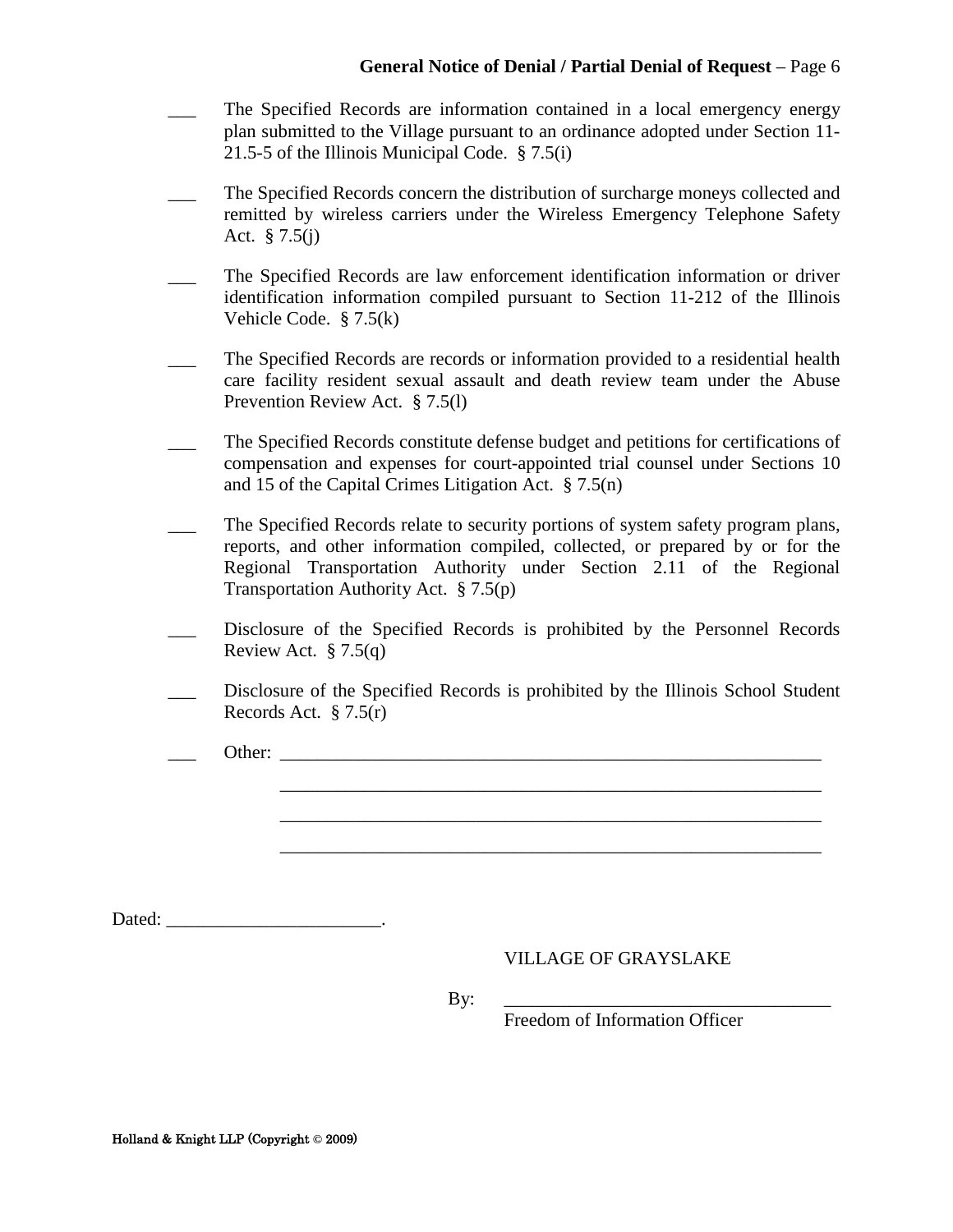- The Specified Records are information contained in a local emergency energy plan submitted to the Village pursuant to an ordinance adopted under Section 11- 21.5-5 of the Illinois Municipal Code. § 7.5(i)
- \_\_\_ The Specified Records concern the distribution of surcharge moneys collected and remitted by wireless carriers under the Wireless Emergency Telephone Safety Act. § 7.5(j)
- \_\_\_ The Specified Records are law enforcement identification information or driver identification information compiled pursuant to Section 11-212 of the Illinois Vehicle Code. § 7.5(k)
- The Specified Records are records or information provided to a residential health care facility resident sexual assault and death review team under the Abuse Prevention Review Act. § 7.5(l)
- \_\_\_ The Specified Records constitute defense budget and petitions for certifications of compensation and expenses for court-appointed trial counsel under Sections 10 and 15 of the Capital Crimes Litigation Act. § 7.5(n)
- The Specified Records relate to security portions of system safety program plans, reports, and other information compiled, collected, or prepared by or for the Regional Transportation Authority under Section 2.11 of the Regional Transportation Authority Act. § 7.5(p)
- Disclosure of the Specified Records is prohibited by the Personnel Records Review Act.  $\S 7.5(q)$
- Disclosure of the Specified Records is prohibited by the Illinois School Student Records Act. § 7.5(r)

\_\_\_\_\_\_\_\_\_\_\_\_\_\_\_\_\_\_\_\_\_\_\_\_\_\_\_\_\_\_\_\_\_\_\_\_\_\_\_\_\_\_\_\_\_\_\_\_\_\_\_\_\_\_\_\_\_\_ \_\_\_\_\_\_\_\_\_\_\_\_\_\_\_\_\_\_\_\_\_\_\_\_\_\_\_\_\_\_\_\_\_\_\_\_\_\_\_\_\_\_\_\_\_\_\_\_\_\_\_\_\_\_\_\_\_\_ \_\_\_\_\_\_\_\_\_\_\_\_\_\_\_\_\_\_\_\_\_\_\_\_\_\_\_\_\_\_\_\_\_\_\_\_\_\_\_\_\_\_\_\_\_\_\_\_\_\_\_\_\_\_\_\_\_\_

Other:

Dated: \_\_\_\_\_\_\_\_\_\_\_\_\_\_\_\_\_\_\_\_\_\_\_\_\_\_\_\_\_\_\_\_\_.

#### VILLAGE OF GRAYSLAKE

By: \_\_\_\_\_\_\_\_\_\_\_\_\_\_\_\_\_\_\_\_\_\_\_\_\_\_\_\_\_\_\_\_\_\_\_

Freedom of Information Officer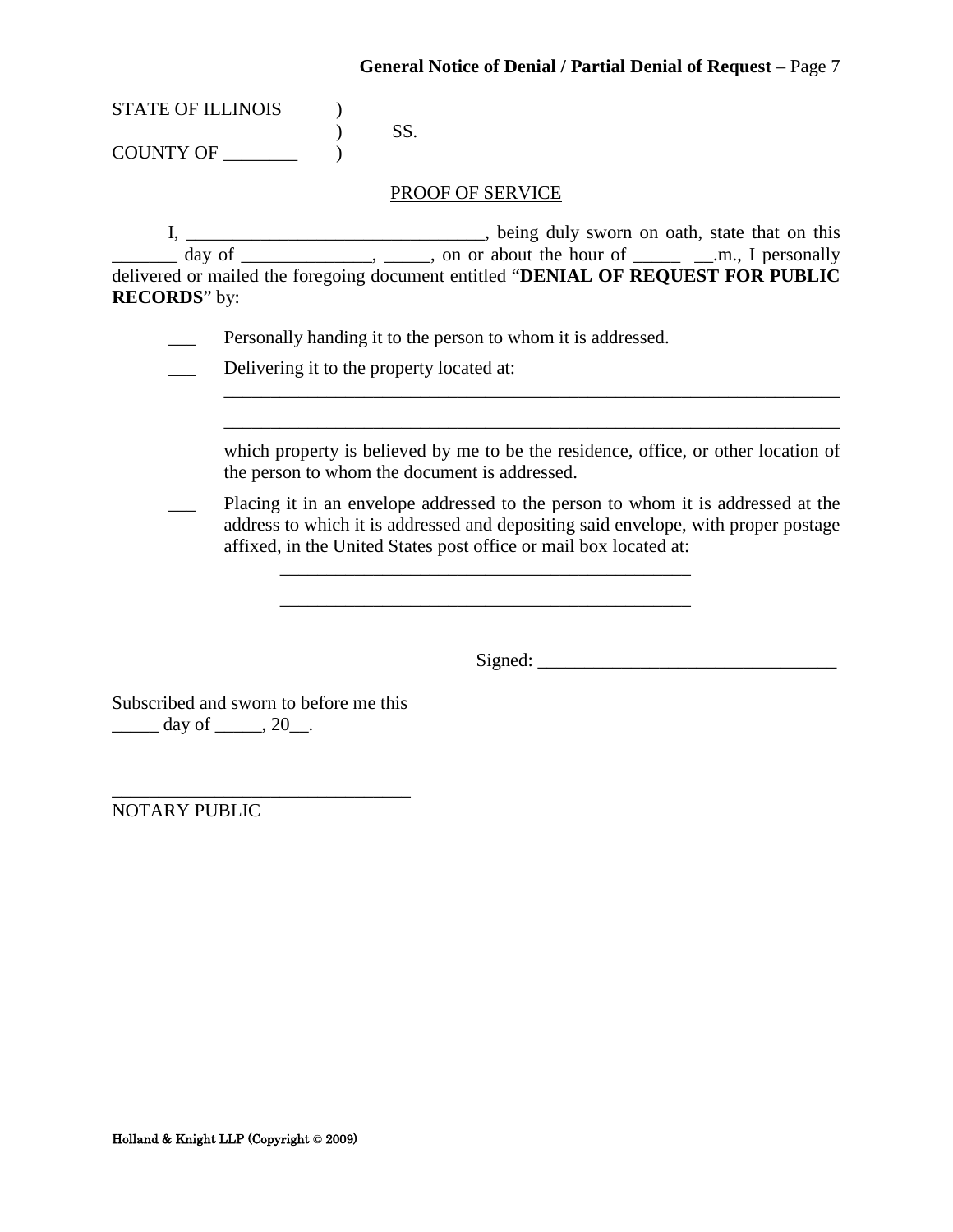| STATE OF ILLINOIS |     |
|-------------------|-----|
|                   | SS. |
| <b>COUNTY OF</b>  |     |

#### PROOF OF SERVICE

I, \_\_\_\_\_\_\_\_\_\_\_\_\_\_\_\_\_\_\_\_\_\_\_\_\_\_\_\_\_\_\_\_, being duly sworn on oath, state that on this  $\frac{1}{\sqrt{2}}$  day of  $\frac{1}{\sqrt{2}}$ ,  $\frac{1}{\sqrt{2}}$ , on or about the hour of  $\frac{1}{\sqrt{2}}$  and  $\frac{1}{\sqrt{2}}$  personally delivered or mailed the foregoing document entitled "**DENIAL OF REQUEST FOR PUBLIC RECORDS**" by:

- Personally handing it to the person to whom it is addressed.
- \_\_\_ Delivering it to the property located at:
	- which property is believed by me to be the residence, office, or other location of the person to whom the document is addressed.

\_\_\_\_\_\_\_\_\_\_\_\_\_\_\_\_\_\_\_\_\_\_\_\_\_\_\_\_\_\_\_\_\_\_\_\_\_\_\_\_\_\_\_\_\_\_\_\_\_\_\_\_\_\_\_\_\_\_\_\_\_\_\_\_\_\_ \_\_\_\_\_\_\_\_\_\_\_\_\_\_\_\_\_\_\_\_\_\_\_\_\_\_\_\_\_\_\_\_\_\_\_\_\_\_\_\_\_\_\_\_\_\_\_\_\_\_\_\_\_\_\_\_\_\_\_\_\_\_\_\_\_\_

Placing it in an envelope addressed to the person to whom it is addressed at the address to which it is addressed and depositing said envelope, with proper postage affixed, in the United States post office or mail box located at:

\_\_\_\_\_\_\_\_\_\_\_\_\_\_\_\_\_\_\_\_\_\_\_\_\_\_\_\_\_\_\_\_\_\_\_\_\_\_\_\_\_\_\_\_

 $Sigma:$   $\Box$ 

Subscribed and sworn to before me this  $\frac{day \text{ of } 20}{.}$ 

\_\_\_\_\_\_\_\_\_\_\_\_\_\_\_\_\_\_\_\_\_\_\_\_\_\_\_\_\_\_\_\_ NOTARY PUBLIC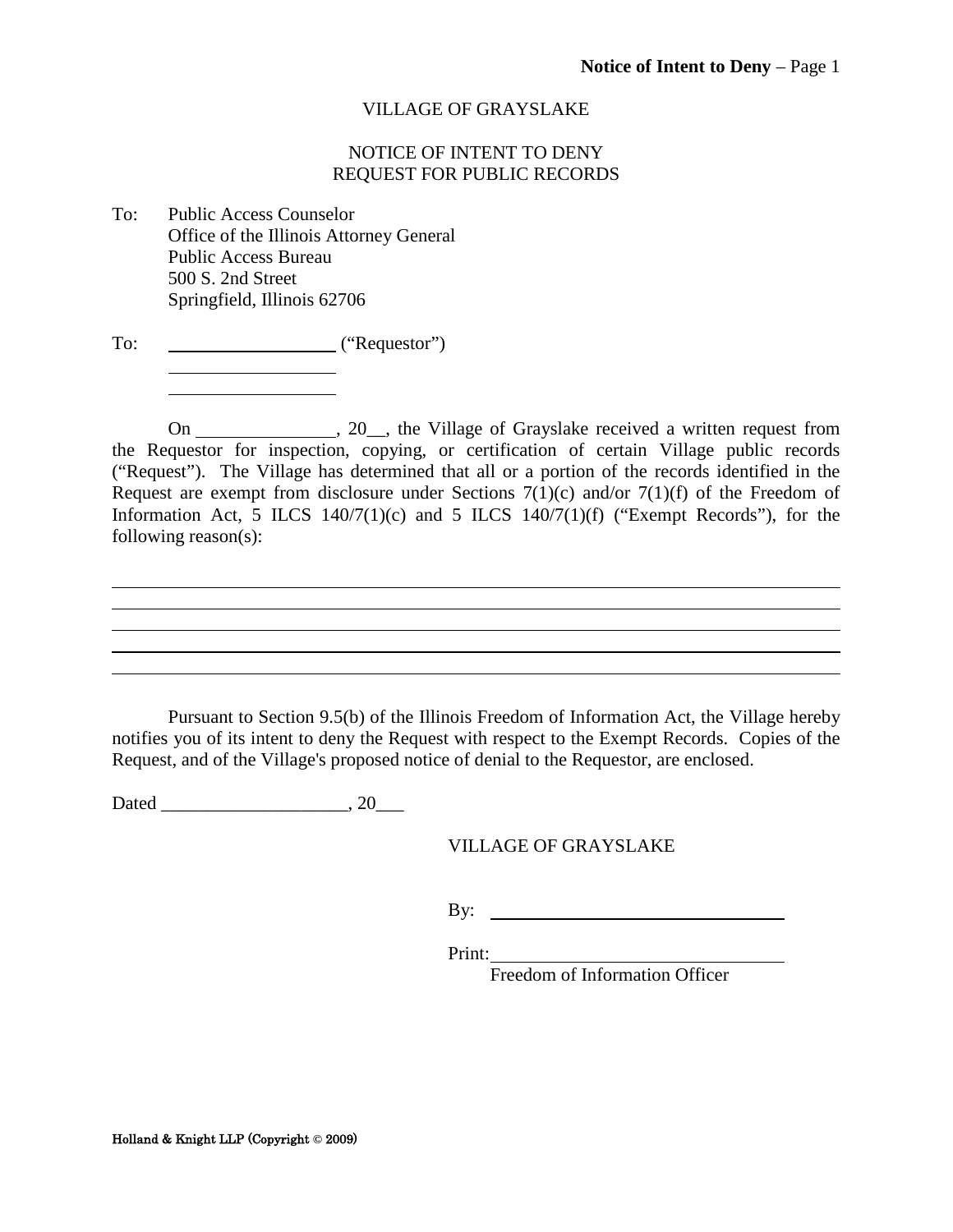#### NOTICE OF INTENT TO DENY REQUEST FOR PUBLIC RECORDS

- <span id="page-44-0"></span>To: Public Access Counselor Office of the Illinois Attorney General Public Access Bureau 500 S. 2nd Street Springfield, Illinois 62706
- To: ("Requestor")

On 20<sup>the Village of Grayslake received a written request from</sup> the Requestor for inspection, copying, or certification of certain Village public records ("Request"). The Village has determined that all or a portion of the records identified in the Request are exempt from disclosure under Sections  $7(1)(c)$  and/or  $7(1)(f)$  of the Freedom of Information Act, 5 ILCS  $140/7(1)(c)$  and 5 ILCS  $140/7(1)(f)$  ("Exempt Records"), for the following reason(s):

Pursuant to Section 9.5(b) of the Illinois Freedom of Information Act, the Village hereby notifies you of its intent to deny the Request with respect to the Exempt Records. Copies of the Request, and of the Village's proposed notice of denial to the Requestor, are enclosed.

Dated \_\_\_\_\_\_\_\_\_\_\_\_\_\_\_\_\_\_\_\_, 20\_\_\_

VILLAGE OF GRAYSLAKE

By:

Print:

Freedom of Information Officer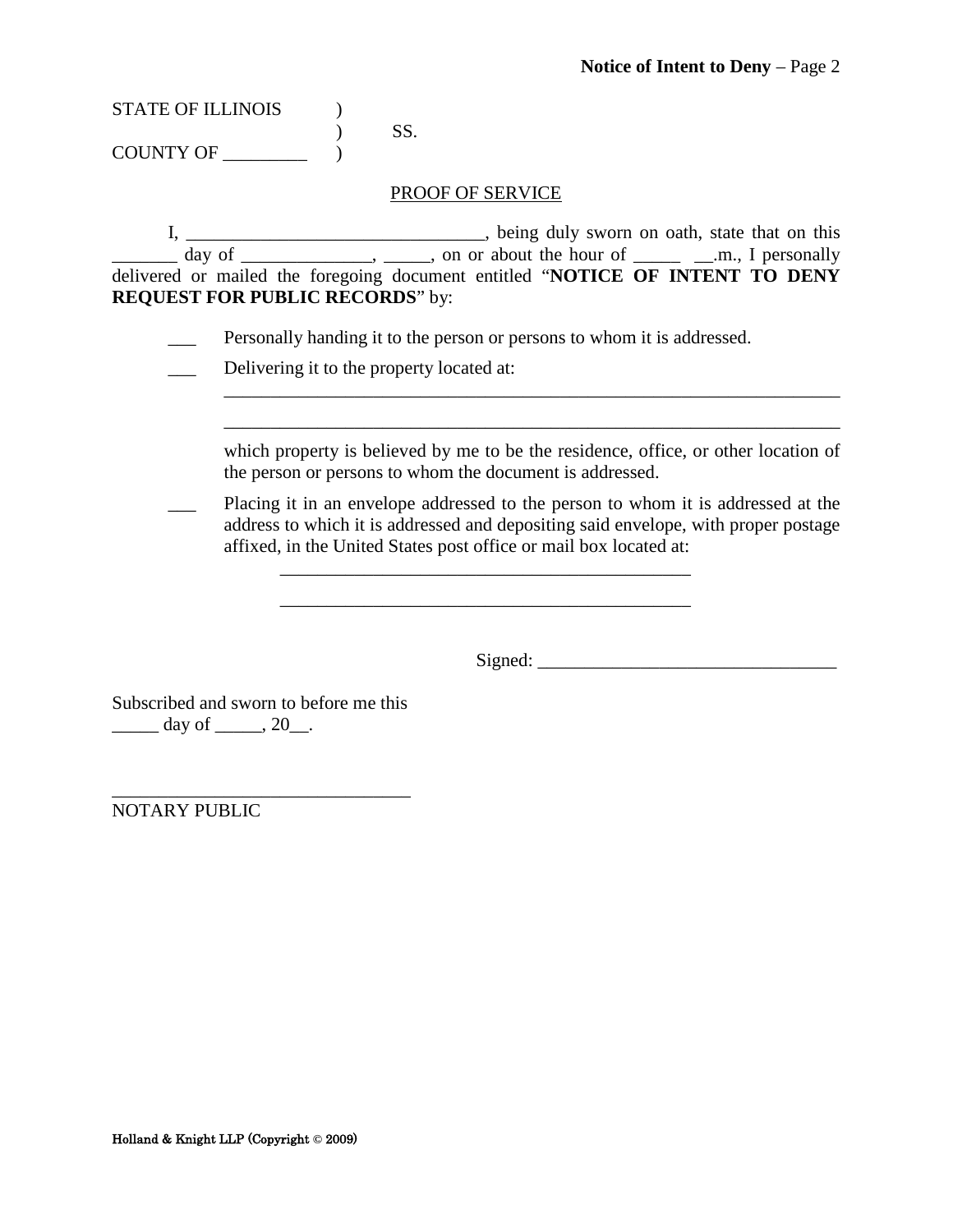| <b>STATE OF ILLINOIS</b> |    |
|--------------------------|----|
|                          | SS |
| COUNTY OF                |    |

PROOF OF SERVICE

I, \_\_\_\_\_\_\_\_\_\_\_\_\_\_\_\_\_\_\_\_\_\_\_\_\_\_\_\_\_\_\_\_, being duly sworn on oath, state that on this  $\frac{1}{\sqrt{2}}$  day of  $\frac{1}{\sqrt{2}}$ ,  $\frac{1}{\sqrt{2}}$ , on or about the hour of  $\frac{1}{\sqrt{2}}$  and  $\frac{1}{\sqrt{2}}$  personally delivered or mailed the foregoing document entitled "**NOTICE OF INTENT TO DENY REQUEST FOR PUBLIC RECORDS**" by:

- \_\_\_ Personally handing it to the person or persons to whom it is addressed.
- \_\_\_ Delivering it to the property located at:

| which property is believed by me to be the residence, office, or other location of |
|------------------------------------------------------------------------------------|
| the person or persons to whom the document is addressed.                           |

\_\_\_\_\_\_\_\_\_\_\_\_\_\_\_\_\_\_\_\_\_\_\_\_\_\_\_\_\_\_\_\_\_\_\_\_\_\_\_\_\_\_\_\_\_\_\_\_\_\_\_\_\_\_\_\_\_\_\_\_\_\_\_\_\_\_

 $\overline{\phantom{a}}$  ,  $\overline{\phantom{a}}$  ,  $\overline{\phantom{a}}$  ,  $\overline{\phantom{a}}$  ,  $\overline{\phantom{a}}$  ,  $\overline{\phantom{a}}$  ,  $\overline{\phantom{a}}$  ,  $\overline{\phantom{a}}$  ,  $\overline{\phantom{a}}$  ,  $\overline{\phantom{a}}$  ,  $\overline{\phantom{a}}$  ,  $\overline{\phantom{a}}$  ,  $\overline{\phantom{a}}$  ,  $\overline{\phantom{a}}$  ,  $\overline{\phantom{a}}$  ,  $\overline{\phantom{a}}$ 

Placing it in an envelope addressed to the person to whom it is addressed at the address to which it is addressed and depositing said envelope, with proper postage affixed, in the United States post office or mail box located at:

\_\_\_\_\_\_\_\_\_\_\_\_\_\_\_\_\_\_\_\_\_\_\_\_\_\_\_\_\_\_\_\_\_\_\_\_\_\_\_\_\_\_\_\_

Signed: \_\_\_\_\_\_\_\_\_\_\_\_\_\_\_\_\_\_\_\_\_\_\_\_\_\_\_\_\_\_\_\_

Subscribed and sworn to before me this  $\frac{day \text{ of } 20}{.}$ 

\_\_\_\_\_\_\_\_\_\_\_\_\_\_\_\_\_\_\_\_\_\_\_\_\_\_\_\_\_\_\_\_

NOTARY PUBLIC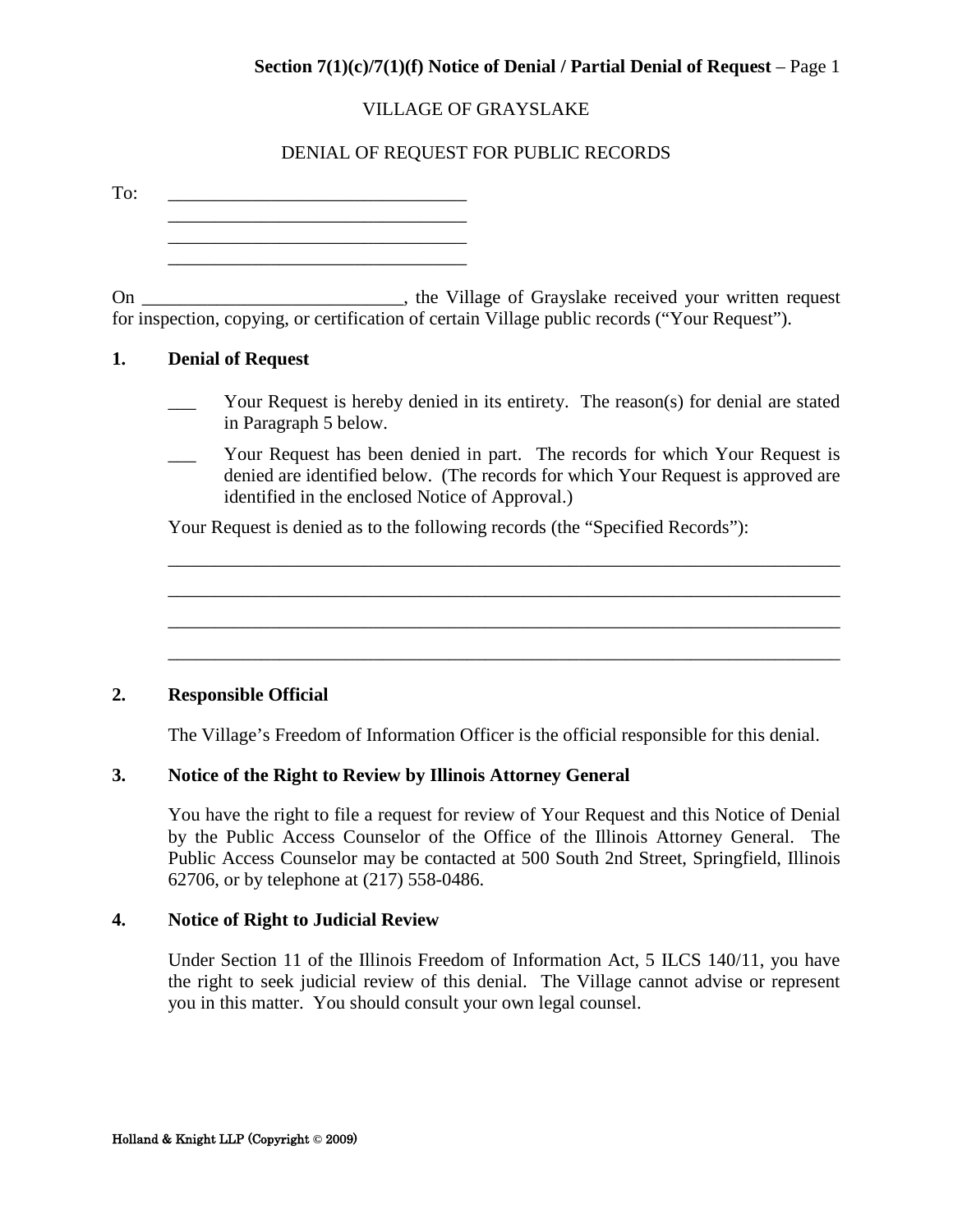#### **Section 7(1)(c)/7(1)(f) Notice of Denial / Partial Denial of Request – Page 1**

#### VILLAGE OF GRAYSLAKE

#### DENIAL OF REQUEST FOR PUBLIC RECORDS

<span id="page-46-0"></span>

| To: |                          |                                                                                                                                                            |
|-----|--------------------------|------------------------------------------------------------------------------------------------------------------------------------------------------------|
|     |                          |                                                                                                                                                            |
| On  |                          | _, the Village of Grayslake received your written request<br>for inspection, copying, or certification of certain Village public records ("Your Request"). |
|     | <b>Denial of Request</b> |                                                                                                                                                            |

- Your Request is hereby denied in its entirety. The reason(s) for denial are stated in Paragraph 5 below.
- Your Request has been denied in part. The records for which Your Request is denied are identified below. (The records for which Your Request is approved are identified in the enclosed Notice of Approval.)

\_\_\_\_\_\_\_\_\_\_\_\_\_\_\_\_\_\_\_\_\_\_\_\_\_\_\_\_\_\_\_\_\_\_\_\_\_\_\_\_\_\_\_\_\_\_\_\_\_\_\_\_\_\_\_\_\_\_\_\_\_\_\_\_\_\_\_\_\_\_\_\_ \_\_\_\_\_\_\_\_\_\_\_\_\_\_\_\_\_\_\_\_\_\_\_\_\_\_\_\_\_\_\_\_\_\_\_\_\_\_\_\_\_\_\_\_\_\_\_\_\_\_\_\_\_\_\_\_\_\_\_\_\_\_\_\_\_\_\_\_\_\_\_\_ \_\_\_\_\_\_\_\_\_\_\_\_\_\_\_\_\_\_\_\_\_\_\_\_\_\_\_\_\_\_\_\_\_\_\_\_\_\_\_\_\_\_\_\_\_\_\_\_\_\_\_\_\_\_\_\_\_\_\_\_\_\_\_\_\_\_\_\_\_\_\_\_

 $\_$  , and the set of the set of the set of the set of the set of the set of the set of the set of the set of the set of the set of the set of the set of the set of the set of the set of the set of the set of the set of th

Your Request is denied as to the following records (the "Specified Records"):

#### **2. Responsible Official**

The Village's Freedom of Information Officer is the official responsible for this denial.

#### **3. Notice of the Right to Review by Illinois Attorney General**

You have the right to file a request for review of Your Request and this Notice of Denial by the Public Access Counselor of the Office of the Illinois Attorney General. The Public Access Counselor may be contacted at 500 South 2nd Street, Springfield, Illinois 62706, or by telephone at (217) 558-0486.

#### **4. Notice of Right to Judicial Review**

Under Section 11 of the Illinois Freedom of Information Act, 5 ILCS 140/11, you have the right to seek judicial review of this denial. The Village cannot advise or represent you in this matter. You should consult your own legal counsel.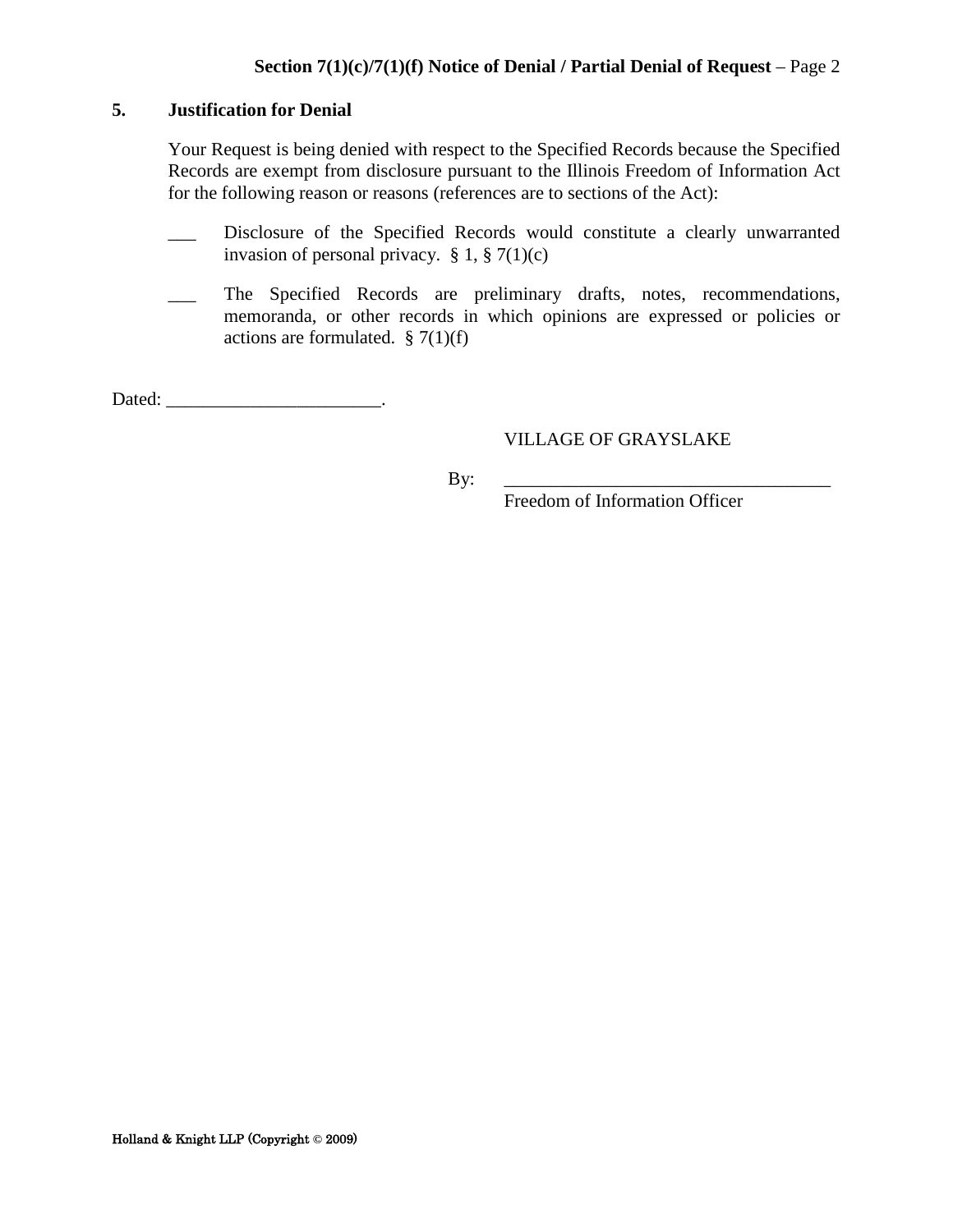#### **5. Justification for Denial**

Your Request is being denied with respect to the Specified Records because the Specified Records are exempt from disclosure pursuant to the Illinois Freedom of Information Act for the following reason or reasons (references are to sections of the Act):

- Disclosure of the Specified Records would constitute a clearly unwarranted invasion of personal privacy.  $\S 1$ ,  $\S 7(1)(c)$
- \_\_\_ The Specified Records are preliminary drafts, notes, recommendations, memoranda, or other records in which opinions are expressed or policies or actions are formulated.  $\S 7(1)(f)$

Dated: \_\_\_\_\_\_\_\_\_\_\_\_\_\_\_\_\_\_\_\_\_\_\_\_\_\_\_\_\_.

#### VILLAGE OF GRAYSLAKE

By: \_\_\_\_\_\_\_\_\_\_\_\_\_\_\_\_\_\_\_\_\_\_\_\_\_\_\_\_\_\_\_\_\_\_\_

Freedom of Information Officer